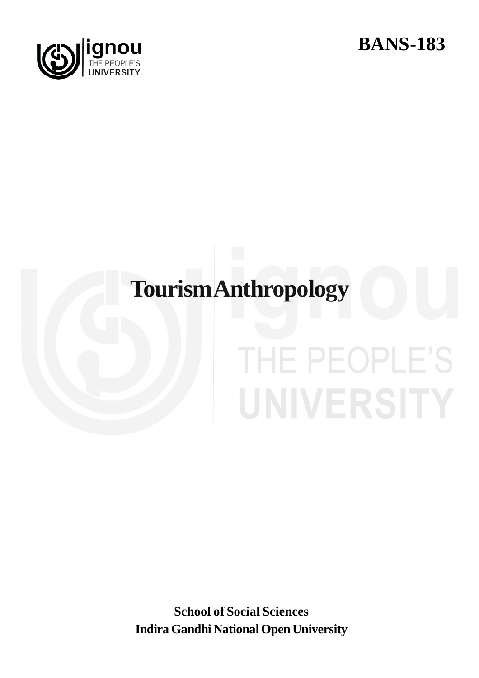



#### **TourismAnthropology**

## THE PEOPLE'S UNIVERSITY

**School of Social Sciences Indira Gandhi National Open University**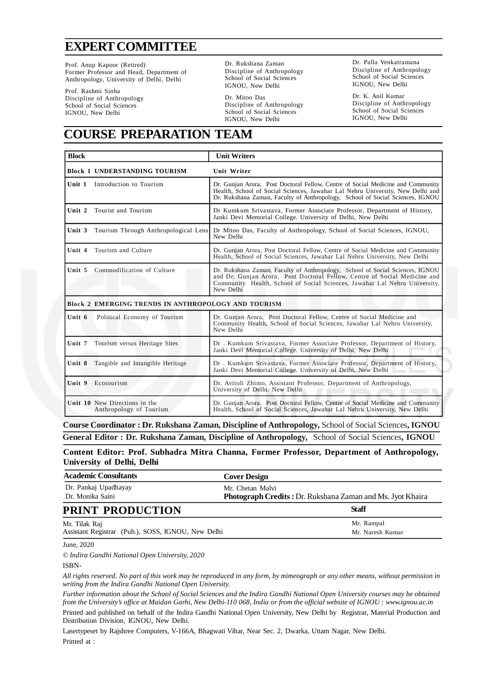#### **EXPERTCOMMITTEE**

Prof. Anup Kapoor (Retired) Former Professor and Head, Department of Anthropology, University of Delhi, Delhi

Prof. Rashmi Sinha Discipline of Anthropology School of Social Sciences IGNOU, New Delhi

Dr. Rukshana Zaman Discipline of Anthropology School of Social Sciences IGNOU, New Delhi

Dr. Mitoo Das Discipline of Anthropology School of Social Sciences IGNOU, New Delhi

Dr. Palla Venkatramana Discipline of Anthropology School of Social Sciences IGNOU, New Delhi

Dr. K. Anil Kumar Discipline of Anthropology School of Social Sciences IGNOU, New Delhi

#### **COURSE PREPARATION TEAM**

| <b>Block</b>                                               |                                             | <b>Unit Writers</b>                                                                                                                                                                                                                                   |  |
|------------------------------------------------------------|---------------------------------------------|-------------------------------------------------------------------------------------------------------------------------------------------------------------------------------------------------------------------------------------------------------|--|
|                                                            | <b>Block 1 UNDERSTANDING TOURISM</b>        | Unit Writer                                                                                                                                                                                                                                           |  |
| Unit 1                                                     | Introduction to Tourism                     | Dr. Gunjan Arora, Post Doctoral Fellow, Centre of Social Medicine and Community<br>Health, School of Social Sciences, Jawahar Lal Nehru University, New Delhi and<br>Dr. Rukshana Zaman, Faculty of Anthropology, School of Social Sciences, IGNOU    |  |
| Unit 2                                                     | Tourist and Tourism                         | Dr Kumkum Srivastava, Former Associate Professor, Department of History,<br>Janki Devi Memorial College. University of Delhi, New Delhi                                                                                                               |  |
|                                                            | Unit 3 Tourism Through Anthropological Lens | Dr Mitoo Das, Faculty of Anthropology, School of Social Sciences, IGNOU,<br>New Delhi                                                                                                                                                                 |  |
| Unit 4                                                     | Tourism and Culture                         | Dr. Gunjan Arora, Post Doctoral Fellow, Centre of Social Medicine and Community<br>Health, School of Social Sciences, Jawahar Lal Nehru University, New Delhi                                                                                         |  |
| Unit $5$                                                   | Commodification of Culture                  | Dr. Rukshana Zaman, Faculty of Anthropology, School of Social Sciences, IGNOU<br>and Dr. Gunjan Arora, Post Doctoral Fellow, Centre of Social Medicine and<br>Community Health, School of Social Sciences, Jawahar Lal Nehru University,<br>New Delhi |  |
| <b>Block 2 EMERGING TRENDS IN ANTHROPOLOGY AND TOURISM</b> |                                             |                                                                                                                                                                                                                                                       |  |
| Unit 6                                                     | Political Economy of Tourism                | Dr. Gunjan Arora, Post Doctoral Fellow, Centre of Social Medicine and<br>Community Health, School of Social Sciences, Jawahar Lal Nehru University,<br>New Delhi                                                                                      |  |
| Unit 7                                                     | Tourism versus Heritage Sites               | Dr. Kumkum Srivastava, Former Associate Professor, Department of History,<br>Janki Devi Memorial College. University of Delhi, New Delhi                                                                                                              |  |
|                                                            | Unit 8 Tangible and Intangible Heritage     | Dr. Kumkum Srivastava, Former Associate Professor, Department of History,<br>Janki Devi Memorial College. University of Delhi, New Delhi                                                                                                              |  |
| Unit 9<br>Ecotourism                                       |                                             | Dr. Avitoli Zhimo, Assistant Professor, Department of Anthropology,<br>University of Delhi. New Delhi                                                                                                                                                 |  |
| Unit 10 New Directions in the                              | Anthropology of Tourism                     | Dr. Gunjan Arora, Post Doctoral Fellow, Centre of Social Medicine and Community<br>Health, School of Social Sciences, Jawahar Lal Nehru University, New Delhi                                                                                         |  |

**Course Coordinator : Dr. Rukshana Zaman, Discipline of Anthropology,** School of Social Sciences**, IGNOU General Editor : Dr. Rukshana Zaman, Discipline of Anthropology,** School of Social Sciences**, IGNOU**

**Content Editor: Prof. Subhadra Mitra Channa, Former Professor, Department of Anthropology, University of Delhi, Delhi**

| <b>Academic Consultants</b>                        | <b>Cover Design</b>                                        |  |
|----------------------------------------------------|------------------------------------------------------------|--|
| Dr. Pankaj Upadhayay                               | Mr. Chetan Malvi                                           |  |
| Dr. Monika Saini                                   | Photograph Credits: Dr. Rukshana Zaman and Ms. Jyot Khaira |  |
| <b>PRINT PRODUCTION</b>                            | <b>Staff</b>                                               |  |
| Mr. Tilak Raj                                      | Mr. Rampal                                                 |  |
| Assistant Registrar (Pub.), SOSS, IGNOU, New Delhi | Mr. Naresh Kumar                                           |  |

June, 2020

*© Indira Gandhi National Open University, 2020*

ISBN-

*All rights reserved. No part of this work may be reproduced in any form, by mimeograph or any other means, without permission in writing from the Indira Gandhi National Open University.*

*Further information about the School of Social Sciences and the Indira Gandhi National Open University courses may be obtained from the University's office at Maidan Garhi, New Delhi-110 068, India or from the official website of IGNOU : www.ignou.ac.in*

Printed and published on behalf of the Indira Gandhi National Open University, New Delhi by Registrar, Material Production and Distribution Division, IGNOU, New Delhi.

Lasertypeset by Rajshree Computers, V-166A, Bhagwati Vihar, Near Sec. 2, Dwarka, Uttam Nagar, New Delhi. Printed at :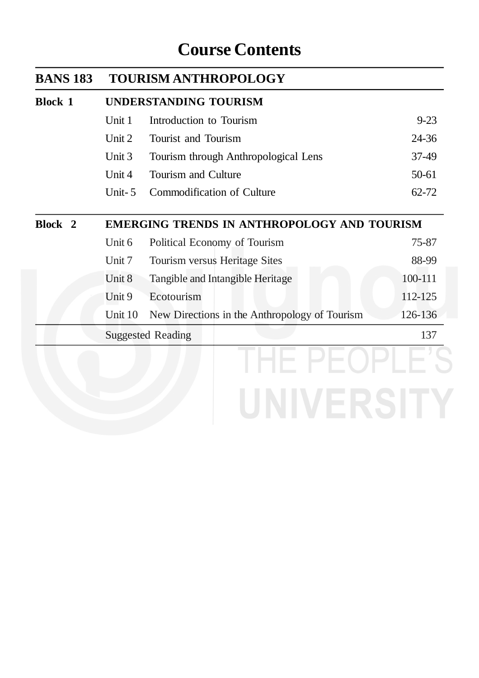#### **Course Contents**

| <b>BANS 183</b>    | <b>TOURISM ANTHROPOLOGY</b>                        |                                               |           |  |
|--------------------|----------------------------------------------------|-----------------------------------------------|-----------|--|
| <b>Block 1</b>     | <b>UNDERSTANDING TOURISM</b>                       |                                               |           |  |
|                    | Unit 1                                             | Introduction to Tourism                       | $9 - 23$  |  |
|                    | Unit 2                                             | Tourist and Tourism                           | 24-36     |  |
|                    | Unit 3                                             | Tourism through Anthropological Lens          | 37-49     |  |
|                    | Unit 4                                             | Tourism and Culture                           | $50 - 61$ |  |
|                    | Unit- $5$                                          | Commodification of Culture                    | $62 - 72$ |  |
| Block <sub>2</sub> | <b>EMERGING TRENDS IN ANTHROPOLOGY AND TOURISM</b> |                                               |           |  |
|                    | Unit 6                                             | Political Economy of Tourism                  | 75-87     |  |
|                    | Unit 7                                             | Tourism versus Heritage Sites                 | 88-99     |  |
|                    | Unit 8                                             | Tangible and Intangible Heritage              | 100-111   |  |
|                    | Unit 9                                             | Ecotourism                                    | 112-125   |  |
|                    | Unit 10                                            | New Directions in the Anthropology of Tourism | 126-136   |  |
|                    | <b>Suggested Reading</b>                           |                                               | 137       |  |
|                    |                                                    |                                               |           |  |
|                    |                                                    |                                               |           |  |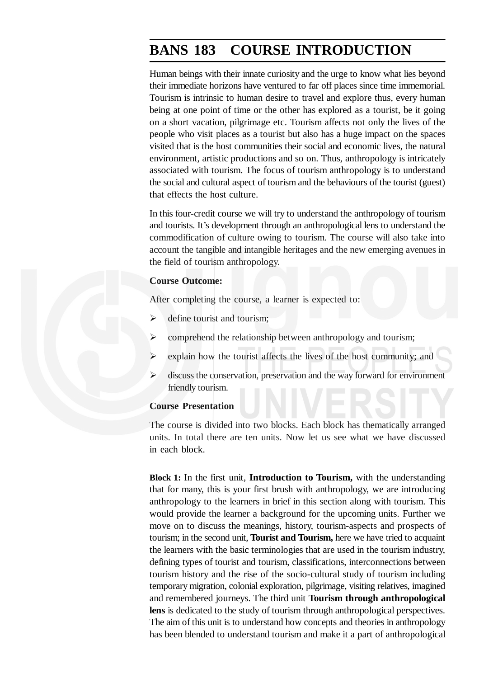#### **BANS 183 COURSE INTRODUCTION**

Human beings with their innate curiosity and the urge to know what lies beyond their immediate horizons have ventured to far off places since time immemorial. Tourism is intrinsic to human desire to travel and explore thus, every human being at one point of time or the other has explored as a tourist, be it going on a short vacation, pilgrimage etc. Tourism affects not only the lives of the people who visit places as a tourist but also has a huge impact on the spaces visited that is the host communities their social and economic lives, the natural environment, artistic productions and so on. Thus, anthropology is intricately associated with tourism. The focus of tourism anthropology is to understand the social and cultural aspect of tourism and the behaviours of the tourist (guest) that effects the host culture.

In this four-credit course we will try to understand the anthropology of tourism and tourists. It's development through an anthropological lens to understand the commodification of culture owing to tourism. The course will also take into account the tangible and intangible heritages and the new emerging avenues in the field of tourism anthropology.

#### **Course Outcome:**

After completing the course, a learner is expected to:

- $\triangleright$  define tourist and tourism;
- comprehend the relationship between anthropology and tourism;
- explain how the tourist affects the lives of the host community; and
- $\triangleright$  discuss the conservation, preservation and the way forward for environment friendly tourism.

#### **Course Presentation**

The course is divided into two blocks. Each block has thematically arranged units. In total there are ten units. Now let us see what we have discussed in each block.

**Block 1:** In the first unit, **Introduction to Tourism,** with the understanding that for many, this is your first brush with anthropology, we are introducing anthropology to the learners in brief in this section along with tourism. This would provide the learner a background for the upcoming units. Further we move on to discuss the meanings, history, tourism-aspects and prospects of tourism; in the second unit, **Tourist and Tourism,** here we have tried to acquaint the learners with the basic terminologies that are used in the tourism industry, defining types of tourist and tourism, classifications, interconnections between tourism history and the rise of the socio-cultural study of tourism including temporary migration, colonial exploration, pilgrimage, visiting relatives, imagined and remembered journeys. The third unit **Tourism through anthropological lens** is dedicated to the study of tourism through anthropological perspectives. The aim of this unit is to understand how concepts and theories in anthropology has been blended to understand tourism and make it a part of anthropological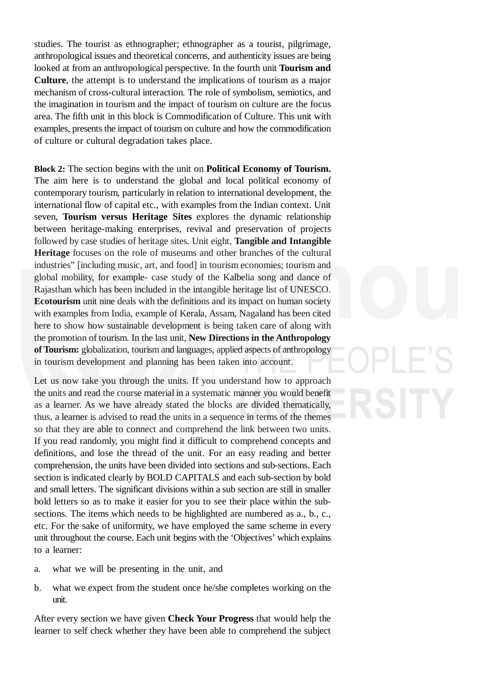studies. The tourist as ethnographer; ethnographer as a tourist, pilgrimage, anthropological issues and theoretical concerns, and authenticity issues are being looked at from an anthropological perspective. In the fourth unit **Tourism and Culture**, the attempt is to understand the implications of tourism as a major mechanism of cross-cultural interaction. The role of symbolism, semiotics, and the imagination in tourism and the impact of tourism on culture are the focus area. The fifth unit in this block is Commodification of Culture. This unit with examples, presents the impact of tourism on culture and how the commodification of culture or cultural degradation takes place.

**Block 2:** The section begins with the unit on **Political Economy of Tourism.** The aim here is to understand the global and local political economy of contemporary tourism, particularly in relation to international development, the international flow of capital etc., with examples from the Indian context. Unit seven, **Tourism versus Heritage Sites** explores the dynamic relationship between heritage-making enterprises, revival and preservation of projects followed by case studies of heritage sites. Unit eight, **Tangible and Intangible Heritage** focuses on the role of museums and other branches of the cultural industries" [including music, art, and food] in tourism economies; tourism and global mobility, for example- case study of the Kalbelia song and dance of Rajasthan which has been included in the intangible heritage list of UNESCO. **Ecotourism** unit nine deals with the definitions and its impact on human society with examples from India, example of Kerala, Assam, Nagaland has been cited here to show how sustainable development is being taken care of along with the promotion of tourism. In the last unit, **New Directions in the Anthropology of Tourism:** globalization, tourism and languages, applied aspects of anthropology in tourism development and planning has been taken into account.

Let us now take you through the units. If you understand how to approach the units and read the course material in a systematic manner you would benefit as a learner. As we have already stated the blocks are divided thematically, thus, a learner is advised to read the units in a sequence in terms of the themes so that they are able to connect and comprehend the link between two units. If you read randomly, you might find it difficult to comprehend concepts and definitions, and lose the thread of the unit. For an easy reading and better comprehension, the units have been divided into sections and sub-sections. Each section is indicated clearly by BOLD CAPITALS and each sub-section by bold and small letters. The significant divisions within a sub section are still in smaller bold letters so as to make it easier for you to see their place within the subsections. The items which needs to be highlighted are numbered as a., b., c., etc. For the sake of uniformity, we have employed the same scheme in every unit throughout the course. Each unit begins with the 'Objectives' which explains to a learner:

- a. what we will be presenting in the unit, and
- b. what we expect from the student once he/she completes working on the unit.

After every section we have given **Check Your Progress** that would help the learner to self check whether they have been able to comprehend the subject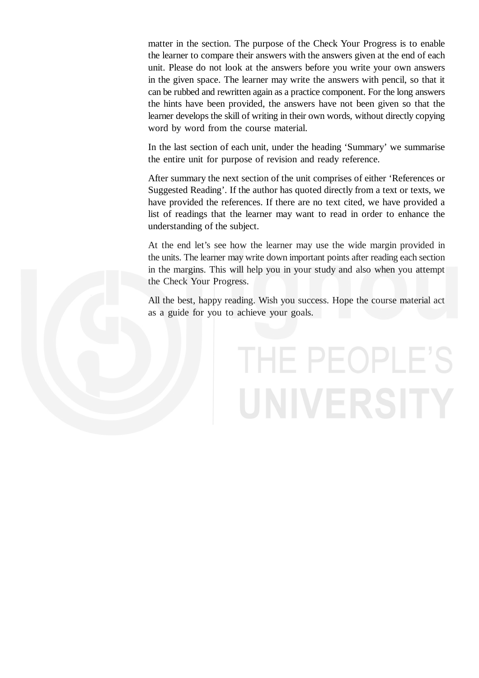matter in the section. The purpose of the Check Your Progress is to enable the learner to compare their answers with the answers given at the end of each unit. Please do not look at the answers before you write your own answers in the given space. The learner may write the answers with pencil, so that it can be rubbed and rewritten again as a practice component. For the long answers the hints have been provided, the answers have not been given so that the learner develops the skill of writing in their own words, without directly copying word by word from the course material.

In the last section of each unit, under the heading 'Summary' we summarise the entire unit for purpose of revision and ready reference.

After summary the next section of the unit comprises of either 'References or Suggested Reading'. If the author has quoted directly from a text or texts, we have provided the references. If there are no text cited, we have provided a list of readings that the learner may want to read in order to enhance the understanding of the subject.

At the end let's see how the learner may use the wide margin provided in the units. The learner may write down important points after reading each section in the margins. This will help you in your study and also when you attempt the Check Your Progress.

All the best, happy reading. Wish you success. Hope the course material act as a guide for you to achieve your goals.

# THE PEOPLE'S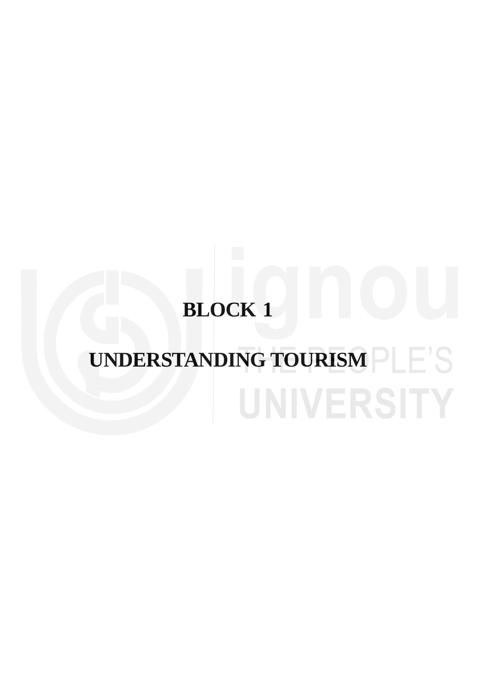## **BLOCK 1**

### **UNDERSTANDING TOURISM**UNIVERSITY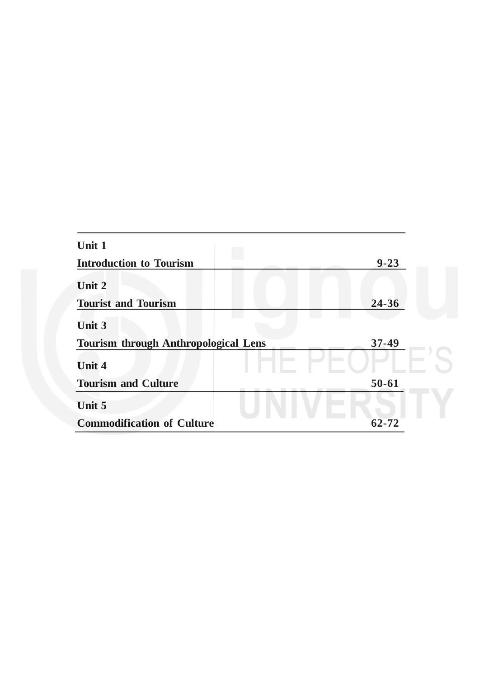| Unit 1                                      |           |  |
|---------------------------------------------|-----------|--|
| <b>Introduction to Tourism</b>              | $9 - 23$  |  |
| Unit 2                                      |           |  |
| <b>Tourist and Tourism</b>                  | 24-36     |  |
| <b>Unit 3</b>                               |           |  |
| <b>Tourism through Anthropological Lens</b> | $37 - 49$ |  |
| <b>Unit 4</b>                               |           |  |
| <b>Tourism and Culture</b>                  | $50 - 61$ |  |
| Unit 5                                      |           |  |
| <b>Commodification of Culture</b>           | 62-72     |  |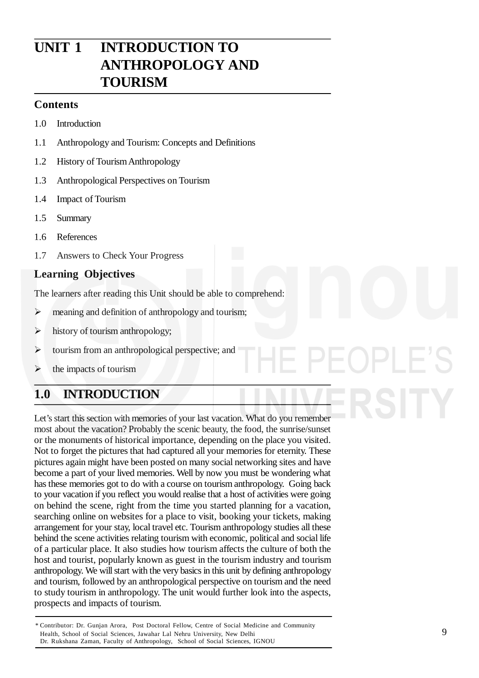#### **UNIT 1 INTRODUCTION TO ANTHROPOLOGY AND TOURISM**

#### **Contents**

- 1.0 Introduction
- 1.1 Anthropology and Tourism: Concepts and Definitions
- 1.2 History of TourismAnthropology
- 1.3 Anthropological Perspectives on Tourism
- 1.4 Impact of Tourism
- 1.5 Summary
- 1.6 References
- 1.7 Answers to Check Your Progress

#### **Learning Objectives**

The learners after reading this Unit should be able to comprehend:

- $\triangleright$  meaning and definition of anthropology and tourism;
- $\triangleright$  history of tourism anthropology;
- $\triangleright$  tourism from an anthropological perspective; and
- $\triangleright$  the impacts of tourism

#### **1.0 INTRODUCTION**

Let's start this section with memories of your last vacation. What do you remember most about the vacation? Probably the scenic beauty, the food, the sunrise/sunset or the monuments of historical importance, depending on the place you visited. Not to forget the pictures that had captured all your memories for eternity. These pictures again might have been posted on many social networking sites and have become a part of your lived memories. Well by now you must be wondering what has these memories got to do with a course on tourism anthropology. Going back to your vacation if you reflect you would realise that a host of activities were going on behind the scene, right from the time you started planning for a vacation, searching online on websites for a place to visit, booking your tickets, making arrangement for your stay, local travel etc. Tourism anthropology studies all these behind the scene activities relating tourism with economic, political and social life of a particular place. It also studies how tourism affects the culture of both the host and tourist, popularly known as guest in the tourism industry and tourism anthropology. We will start with the very basics in this unit by defining anthropology and tourism, followed by an anthropological perspective on tourism and the need to study tourism in anthropology. The unit would further look into the aspects, prospects and impacts of tourism.

<sup>\*</sup> Contributor: Dr. Gunjan Arora, Post Doctoral Fellow, Centre of Social Medicine and Community Health, School of Social Sciences, Jawahar Lal Nehru University, New Delhi Dr. Rukshana Zaman, Faculty of Anthropology, School of Social Sciences, IGNOU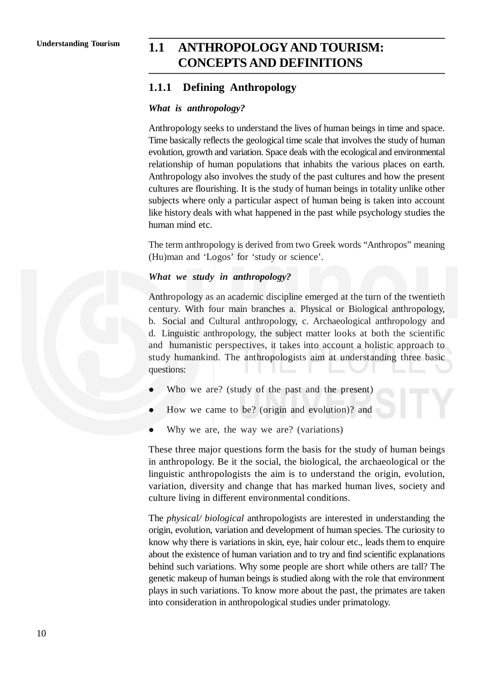#### **Understanding Tourism 1.1 ANTHROPOLOGY AND TOURISM: CONCEPTS AND DEFINITIONS**

#### **1.1.1 Defining Anthropology**

#### *What is anthropology?*

Anthropology seeks to understand the lives of human beings in time and space. Time basically reflects the geological time scale that involves the study of human evolution, growth and variation. Space deals with the ecological and environmental relationship of human populations that inhabits the various places on earth. Anthropology also involves the study of the past cultures and how the present cultures are flourishing. It is the study of human beings in totality unlike other subjects where only a particular aspect of human being is taken into account like history deals with what happened in the past while psychology studies the human mind etc.

The term anthropology is derived from two Greek words "Anthropos" meaning (Hu)man and 'Logos' for 'study or science'.

#### *What we study in anthropology?*

Anthropology as an academic discipline emerged at the turn of the twentieth century. With four main branches a. Physical or Biological anthropology, b. Social and Cultural anthropology, c. Archaeological anthropology and d. Linguistic anthropology, the subject matter looks at both the scientific and humanistic perspectives, it takes into account a holistic approach to study humankind. The anthropologists aim at understanding three basic questions:

- Who we are? (study of the past and the present)
- How we came to be? (origin and evolution)? and
- Why we are, the way we are? (variations)

These three major questions form the basis for the study of human beings in anthropology. Be it the social, the biological, the archaeological or the linguistic anthropologists the aim is to understand the origin, evolution, variation, diversity and change that has marked human lives, society and culture living in different environmental conditions.

The *physical/ biological* anthropologists are interested in understanding the origin, evolution, variation and development of human species. The curiosity to know why there is variations in skin, eye, hair colour etc., leads them to enquire about the existence of human variation and to try and find scientific explanations behind such variations. Why some people are short while others are tall? The genetic makeup of human beings is studied along with the role that environment plays in such variations. To know more about the past, the primates are taken into consideration in anthropological studies under primatology.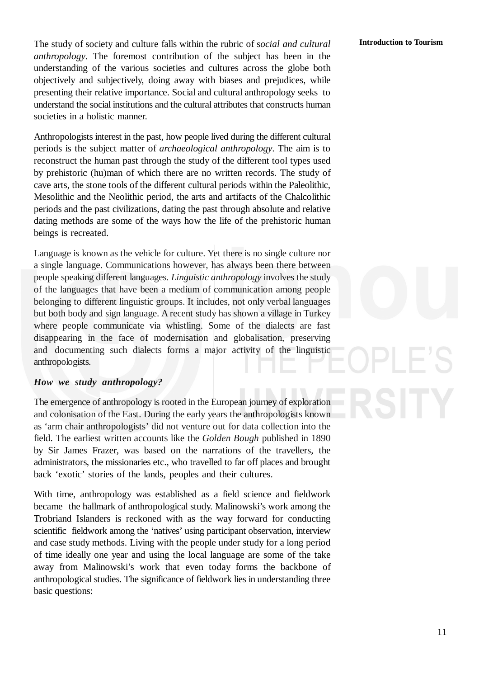The study of society and culture falls within the rubric of s*ocial and cultural anthropology*. The foremost contribution of the subject has been in the understanding of the various societies and cultures across the globe both objectively and subjectively, doing away with biases and prejudices, while presenting their relative importance. Social and cultural anthropology seeks to understand the social institutions and the cultural attributes that constructs human societies in a holistic manner.

Anthropologists interest in the past, how people lived during the different cultural periods is the subject matter of *archaeological anthropology*. The aim is to reconstruct the human past through the study of the different tool types used by prehistoric (hu)man of which there are no written records. The study of cave arts, the stone tools of the different cultural periods within the Paleolithic, Mesolithic and the Neolithic period, the arts and artifacts of the Chalcolithic periods and the past civilizations, dating the past through absolute and relative dating methods are some of the ways how the life of the prehistoric human beings is recreated.

Language is known as the vehicle for culture. Yet there is no single culture nor a single language. Communications however, has always been there between people speaking different languages. *Linguistic anthropology* involves the study of the languages that have been a medium of communication among people belonging to different linguistic groups. It includes, not only verbal languages but both body and sign language. A recent study has shown a village in Turkey where people communicate via whistling. Some of the dialects are fast disappearing in the face of modernisation and globalisation, preserving and documenting such dialects forms a major activity of the linguistic anthropologists.

#### *How we study anthropology?*

The emergence of anthropology is rooted in the European journey of exploration and colonisation of the East. During the early years the anthropologists known as 'arm chair anthropologists' did not venture out for data collection into the field. The earliest written accounts like the *Golden Bough* published in 1890 by Sir James Frazer, was based on the narrations of the travellers, the administrators, the missionaries etc., who travelled to far off places and brought back 'exotic' stories of the lands, peoples and their cultures.

With time, anthropology was established as a field science and fieldwork became the hallmark of anthropological study. Malinowski's work among the Trobriand Islanders is reckoned with as the way forward for conducting scientific fieldwork among the 'natives' using participant observation, interview and case study methods. Living with the people under study for a long period of time ideally one year and using the local language are some of the take away from Malinowski's work that even today forms the backbone of anthropological studies. The significance of fieldwork lies in understanding three basic questions: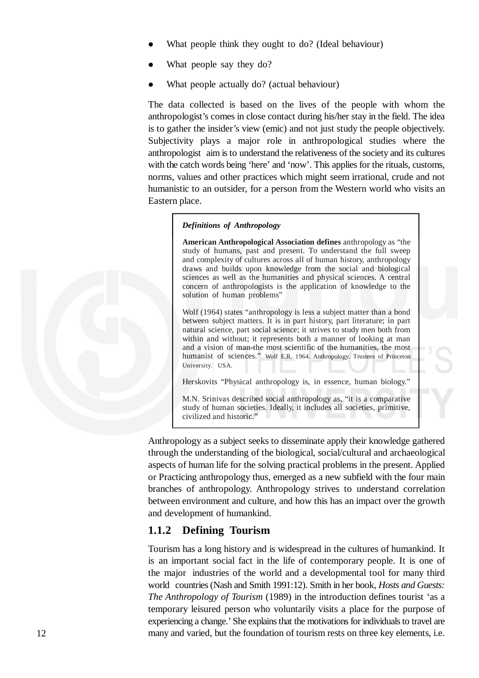- What people think they ought to do? (Ideal behaviour)
- What people say they do?
- What people actually do? (actual behaviour)

The data collected is based on the lives of the people with whom the anthropologist's comes in close contact during his/her stay in the field. The idea is to gather the insider's view (emic) and not just study the people objectively. Subjectivity plays a major role in anthropological studies where the anthropologist aim is to understand the relativeness of the society and its cultures with the catch words being 'here' and 'now'. This applies for the rituals, customs, norms, values and other practices which might seem irrational, crude and not humanistic to an outsider, for a person from the Western world who visits an Eastern place.

#### *Definitions of Anthropology*

**American Anthropological Association defines** anthropology as "the study of humans, past and present. To understand the full sweep and complexity of cultures across all of human history, anthropology draws and builds upon knowledge from the social and biological sciences as well as the humanities and physical sciences. A central concern of anthropologists is the application of knowledge to the solution of human problems"

Wolf (1964) states "anthropology is less a subject matter than a bond between subject matters. It is in part history, part literature; in part natural science, part social science; it strives to study men both from within and without; it represents both a manner of looking at man and a vision of man-the most scientific of the humanities, the most humanist of sciences." Wolf E.R. 1964. Anthropology. Trustees of Princeton University. USA.

Herskovits "Physical anthropology is, in essence, human biology."

M.N. Srinivas described social anthropology as, "it is a comparative study of human societies. Ideally, it includes all societies, primitive, civilized and historic."

Anthropology as a subject seeks to disseminate apply their knowledge gathered through the understanding of the biological, social/cultural and archaeological aspects of human life for the solving practical problems in the present. Applied or Practicing anthropology thus, emerged as a new subfield with the four main branches of anthropology. Anthropology strives to understand correlation between environment and culture, and how this has an impact over the growth and development of humankind.

#### **1.1.2 Defining Tourism**

Tourism has a long history and is widespread in the cultures of humankind. It is an important social fact in the life of contemporary people. It is one of the major industries of the world and a developmental tool for many third world countries (Nash and Smith 1991:12). Smith in her book, *Hosts and Guests: The Anthropology of Tourism* (1989) in the introduction defines tourist 'as a temporary leisured person who voluntarily visits a place for the purpose of experiencing a change.' She explains that the motivations for individuals to travel are many and varied, but the foundation of tourism rests on three key elements, i.e.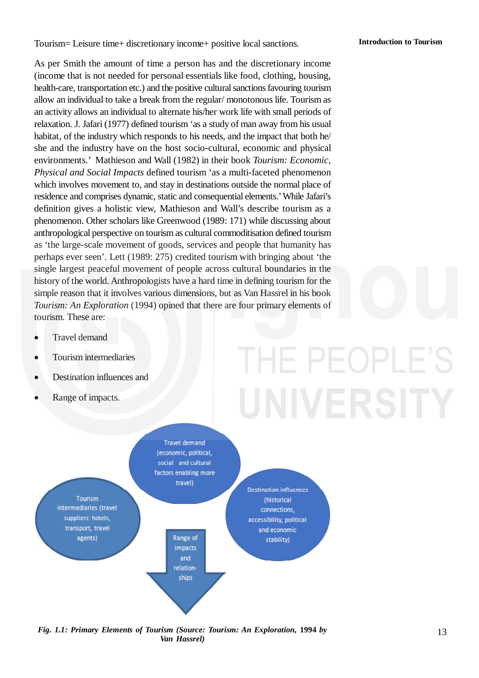Tourism= Leisure time+ discretionary income+ positive local sanctions.

As per Smith the amount of time a person has and the discretionary income (income that is not needed for personal essentials like food, clothing, housing, health-care, transportation etc.) and the positive cultural sanctions favouring tourism allow an individual to take a break from the regular/ monotonous life. Tourism as an activity allows an individual to alternate his/her work life with small periods of relaxation. J. Jafari (1977) defined tourism 'as a study of man away from his usual habitat, of the industry which responds to his needs, and the impact that both he/ she and the industry have on the host socio-cultural, economic and physical environments.' Mathieson and Wall (1982) in their book *Tourism: Economic, Physical and Social Impacts* defined tourism 'as a multi-faceted phenomenon which involves movement to, and stay in destinations outside the normal place of residence and comprises dynamic, static and consequential elements.'While Jafari's definition gives a holistic view, Mathieson and Wall's describe tourism as a phenomenon. Other scholars like Greenwood (1989: 171) while discussing about anthropological perspective on tourism as cultural commoditisation defined tourism as 'the large-scale movement of goods, services and people that humanity has perhaps ever seen'. Lett (1989: 275) credited tourism with bringing about 'the single largest peaceful movement of people across cultural boundaries in the history of the world. Anthropologists have a hard time in defining tourism for the simple reason that it involves various dimensions, but as Van Hassrel in his book *Tourism: An Exploration* (1994) opined that there are four primary elements of tourism. These are:

- Travel demand
- Tourism intermediaries
- Destination influences and
- Range of impacts.

# HE PEOPLE'



*Fig. 1.1: Primary Elements of Tourism (Source: Tourism: An Exploration,* **1994** *by Van Hassrel)*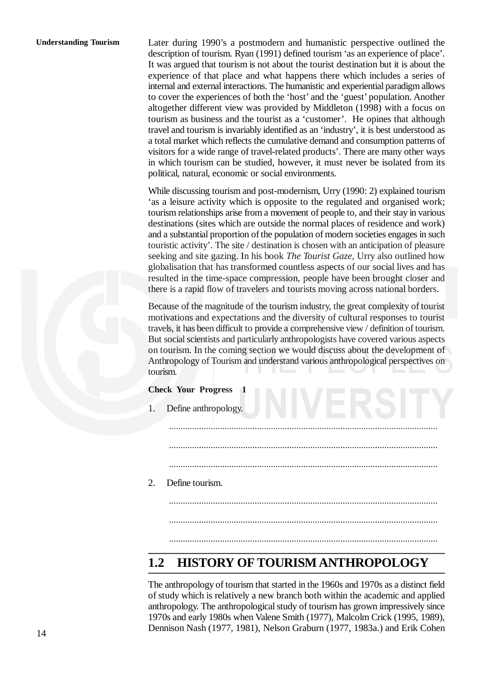#### **Understanding Tourism**

Later during 1990's a postmodern and humanistic perspective outlined the description of tourism. Ryan (1991) defined tourism 'as an experience of place'. It was argued that tourism is not about the tourist destination but it is about the experience of that place and what happens there which includes a series of internal and external interactions. The humanistic and experiential paradigm allows to cover the experiences of both the 'host' and the 'guest' population. Another altogether different view was provided by Middleton (1998) with a focus on tourism as business and the tourist as a 'customer'. He opines that although travel and tourism is invariably identified as an 'industry', it is best understood as a total market which reflects the cumulative demand and consumption patterns of visitors for a wide range of travel-related products'. There are many other ways in which tourism can be studied, however, it must never be isolated from its political, natural, economic or social environments.

While discussing tourism and post-modernism, Urry (1990: 2) explained tourism 'as a leisure activity which is opposite to the regulated and organised work; tourism relationships arise from a movement of people to, and their stay in various destinations (sites which are outside the normal places of residence and work) and a substantial proportion of the population of modern societies engages in such touristic activity'. The site / destination is chosen with an anticipation of pleasure seeking and site gazing. In his book *The Tourist Gaze,* Urry also outlined how globalisation that has transformed countless aspects of our social lives and has resulted in the time-space compression, people have been brought closer and there is a rapid flow of travelers and tourists moving across national borders.

Because of the magnitude of the tourism industry, the great complexity of tourist motivations and expectations and the diversity of cultural responses to tourist travels, it has been difficult to provide a comprehensive view / definition of tourism. But social scientists and particularly anthropologists have covered various aspects on tourism. In the coming section we would discuss about the development of Anthropology of Tourism and understand various anthropological perspectives on tourism.

| <b>Check Your Progress 1</b> |                      |  |
|------------------------------|----------------------|--|
| $\overline{1}$ .             | Define anthropology. |  |
|                              |                      |  |
|                              |                      |  |
|                              |                      |  |
| 2.                           | Define tourism.      |  |
|                              |                      |  |
|                              |                      |  |
|                              |                      |  |

#### **1.2 HISTORY OF TOURISM ANTHROPOLOGY**

The anthropology of tourism that started in the 1960s and 1970s as a distinct field of study which is relatively a new branch both within the academic and applied anthropology. The anthropological study of tourism has grown impressively since 1970s and early 1980s when Valene Smith (1977), Malcolm Crick (1995, 1989), Dennison Nash (1977, 1981), Nelson Graburn (1977, 1983a.) and Erik Cohen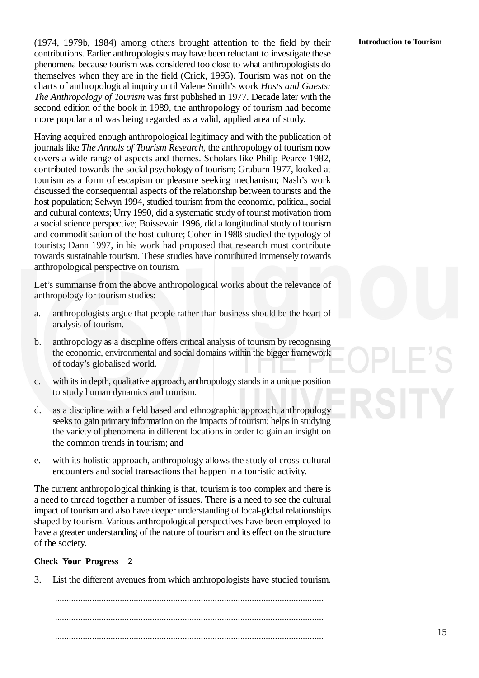(1974, 1979b, 1984) among others brought attention to the field by their contributions. Earlier anthropologists may have been reluctant to investigate these phenomena because tourism was considered too close to what anthropologists do themselves when they are in the field (Crick, 1995). Tourism was not on the charts of anthropological inquiry until Valene Smith's work *Hosts and Guests: The Anthropology of Tourism* was first published in 1977. Decade later with the second edition of the book in 1989, the anthropology of tourism had become more popular and was being regarded as a valid, applied area of study.

Having acquired enough anthropological legitimacy and with the publication of journals like *The Annals of Tourism Research*, the anthropology of tourism now covers a wide range of aspects and themes. Scholars like Philip Pearce 1982, contributed towards the social psychology of tourism; Graburn 1977, looked at tourism as a form of escapism or pleasure seeking mechanism; Nash's work discussed the consequential aspects of the relationship between tourists and the host population; Selwyn 1994, studied tourism from the economic, political, social and cultural contexts; Urry 1990, did a systematic study of tourist motivation from a social science perspective; Boissevain 1996, did a longitudinal study of tourism and commoditisation of the host culture; Cohen in 1988 studied the typology of tourists; Dann 1997, in his work had proposed that research must contribute towards sustainable tourism. These studies have contributed immensely towards anthropological perspective on tourism.

Let's summarise from the above anthropological works about the relevance of anthropology for tourism studies:

- a. anthropologists argue that people rather than business should be the heart of analysis of tourism.
- b. anthropology as a discipline offers critical analysis of tourism by recognising the economic, environmental and social domains within the bigger framework of today's globalised world.
- c. with its in depth, qualitative approach, anthropology stands in a unique position to study human dynamics and tourism.
- d. as a discipline with a field based and ethnographic approach, anthropology seeks to gain primary information on the impacts of tourism; helps in studying the variety of phenomena in different locations in order to gain an insight on the common trends in tourism; and
- e. with its holistic approach, anthropology allows the study of cross-cultural encounters and social transactions that happen in a touristic activity.

The current anthropological thinking is that, tourism is too complex and there is a need to thread together a number of issues. There is a need to see the cultural impact of tourism and also have deeper understanding of local-global relationships shaped by tourism. Various anthropological perspectives have been employed to have a greater understanding of the nature of tourism and its effect on the structure of the society.

#### **Check Your Progress 2**

3. List the different avenues from which anthropologists have studied tourism.

.................................................................................................................... .................................................................................................................... ....................................................................................................................

#### **Introduction to Tourism**

15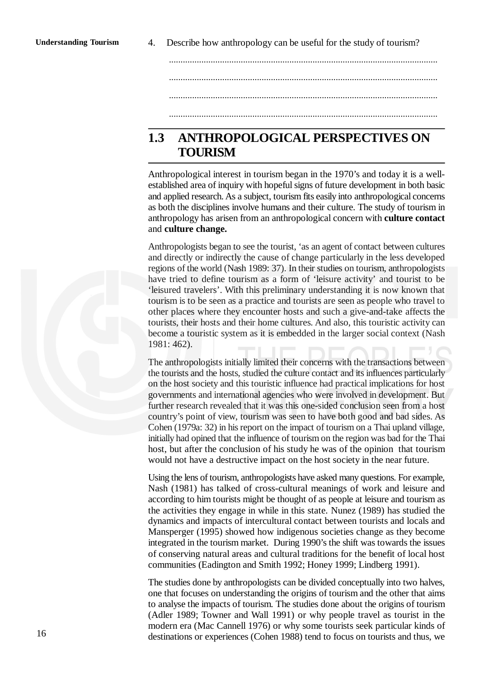4. Describe how anthropology can be useful for the study of tourism?

.................................................................................................................... .................................................................................................................... ....................................................................................................................

....................................................................................................................

#### **1.3 ANTHROPOLOGICAL PERSPECTIVES ON TOURISM**

Anthropological interest in tourism began in the 1970's and today it is a wellestablished area of inquiry with hopeful signs of future development in both basic and applied research. As a subject, tourism fits easily into anthropological concerns as both the disciplines involve humans and their culture. The study of tourism in anthropology has arisen from an anthropological concern with **culture contact** and **culture change.**

Anthropologists began to see the tourist, 'as an agent of contact between cultures and directly or indirectly the cause of change particularly in the less developed regions of the world (Nash 1989: 37). In their studies on tourism, anthropologists have tried to define tourism as a form of 'leisure activity' and tourist to be 'leisured travelers'. With this preliminary understanding it is now known that tourism is to be seen as a practice and tourists are seen as people who travel to other places where they encounter hosts and such a give-and-take affects the tourists, their hosts and their home cultures. And also, this touristic activity can become a touristic system as it is embedded in the larger social context (Nash 1981: 462).

The anthropologists initially limited their concerns with the transactions between the tourists and the hosts, studied the culture contact and its influences particularly on the host society and this touristic influence had practical implications for host governments and international agencies who were involved in development. But further research revealed that it was this one-sided conclusion seen from a host country's point of view, tourism was seen to have both good and bad sides. As Cohen (1979a: 32) in his report on the impact of tourism on a Thai upland village, initially had opined that the influence of tourism on the region was bad for the Thai host, but after the conclusion of his study he was of the opinion that tourism would not have a destructive impact on the host society in the near future.

Using the lens of tourism, anthropologists have asked many questions. For example, Nash (1981) has talked of cross-cultural meanings of work and leisure and according to him tourists might be thought of as people at leisure and tourism as the activities they engage in while in this state. Nunez (1989) has studied the dynamics and impacts of intercultural contact between tourists and locals and Mansperger (1995) showed how indigenous societies change as they become integrated in the tourism market. During 1990's the shift was towards the issues of conserving natural areas and cultural traditions for the benefit of local host communities (Eadington and Smith 1992; Honey 1999; Lindberg 1991).

The studies done by anthropologists can be divided conceptually into two halves, one that focuses on understanding the origins of tourism and the other that aims to analyse the impacts of tourism. The studies done about the origins of tourism (Adler 1989; Towner and Wall 1991) or why people travel as tourist in the modern era (Mac Cannell 1976) or why some tourists seek particular kinds of destinations or experiences (Cohen 1988) tend to focus on tourists and thus, we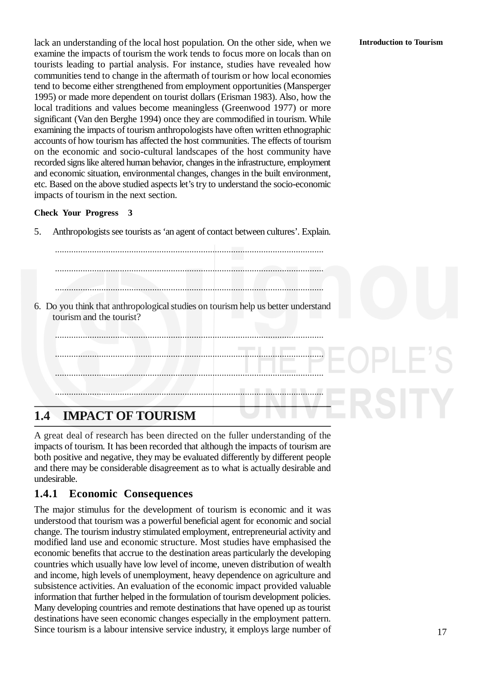lack an understanding of the local host population. On the other side, when we examine the impacts of tourism the work tends to focus more on locals than on tourists leading to partial analysis. For instance, studies have revealed how communities tend to change in the aftermath of tourism or how local economies tend to become either strengthened from employment opportunities (Mansperger 1995) or made more dependent on tourist dollars (Erisman 1983). Also, how the local traditions and values become meaningless (Greenwood 1977) or more significant (Van den Berghe 1994) once they are commodified in tourism. While examining the impacts of tourism anthropologists have often written ethnographic accounts of how tourism has affected the host communities. The effects of tourism on the economic and socio-cultural landscapes of the host community have recorded signs like altered human behavior, changes in the infrastructure, employment and economic situation, environmental changes, changes in the built environment, etc. Based on the above studied aspects let's try to understand the socio-economic impacts of tourism in the next section.

#### **Check Your Progress 3**

5. Anthropologists see tourists as 'an agent of contact between cultures'. Explain.

....................................................................................................................

.................................................................................................................... .................................................................................................................... 6. Do you think that anthropological studies on tourism help us better understand tourism and the tourist? .................................................................................................................... .................................................................................................................... .................................................................................................................... ....................................................................................................................

#### **1.4 IMPACT OF TOURISM**

A great deal of research has been directed on the fuller understanding of the impacts of tourism. It has been recorded that although the impacts of tourism are both positive and negative, they may be evaluated differently by different people and there may be considerable disagreement as to what is actually desirable and undesirable.

#### **1.4.1 Economic Consequences**

The major stimulus for the development of tourism is economic and it was understood that tourism was a powerful beneficial agent for economic and social change. The tourism industry stimulated employment, entrepreneurial activity and modified land use and economic structure. Most studies have emphasised the economic benefits that accrue to the destination areas particularly the developing countries which usually have low level of income, uneven distribution of wealth and income, high levels of unemployment, heavy dependence on agriculture and subsistence activities. An evaluation of the economic impact provided valuable information that further helped in the formulation of tourism development policies. Many developing countries and remote destinations that have opened up as tourist destinations have seen economic changes especially in the employment pattern. Since tourism is a labour intensive service industry, it employs large number of

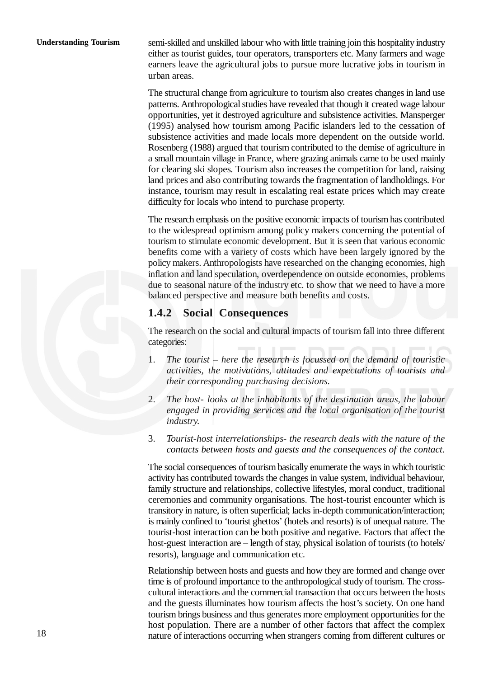semi-skilled and unskilled labour who with little training join this hospitality industry either as tourist guides, tour operators, transporters etc. Many farmers and wage earners leave the agricultural jobs to pursue more lucrative jobs in tourism in urban areas.

The structural change from agriculture to tourism also creates changes in land use patterns. Anthropological studies have revealed that though it created wage labour opportunities, yet it destroyed agriculture and subsistence activities. Mansperger (1995) analysed how tourism among Pacific islanders led to the cessation of subsistence activities and made locals more dependent on the outside world. Rosenberg (1988) argued that tourism contributed to the demise of agriculture in a small mountain village in France, where grazing animals came to be used mainly for clearing ski slopes. Tourism also increases the competition for land, raising land prices and also contributing towards the fragmentation of landholdings. For instance, tourism may result in escalating real estate prices which may create difficulty for locals who intend to purchase property.

The research emphasis on the positive economic impacts of tourism has contributed to the widespread optimism among policy makers concerning the potential of tourism to stimulate economic development. But it is seen that various economic benefits come with a variety of costs which have been largely ignored by the policy makers. Anthropologists have researched on the changing economies, high inflation and land speculation, overdependence on outside economies, problems due to seasonal nature of the industry etc. to show that we need to have a more balanced perspective and measure both benefits and costs.

#### **1.4.2 Social Consequences**

The research on the social and cultural impacts of tourism fall into three different categories:

- 1. *The tourist here the research is focussed on the demand of touristic activities, the motivations, attitudes and expectations of tourists and their corresponding purchasing decisions.*
- 2. *The host- looks at the inhabitants of the destination areas, the labour engaged in providing services and the local organisation of the tourist industry.*
- 3. *Tourist-host interrelationships- the research deals with the nature of the contacts between hosts and guests and the consequences of the contact.*

The social consequences of tourism basically enumerate the ways in which touristic activity has contributed towards the changes in value system, individual behaviour, family structure and relationships, collective lifestyles, moral conduct, traditional ceremonies and community organisations. The host-tourist encounter which is transitory in nature, is often superficial; lacks in-depth communication/interaction; is mainly confined to 'tourist ghettos' (hotels and resorts) is of unequal nature. The tourist-host interaction can be both positive and negative. Factors that affect the host-guest interaction are – length of stay, physical isolation of tourists (to hotels/ resorts), language and communication etc.

Relationship between hosts and guests and how they are formed and change over time is of profound importance to the anthropological study of tourism. The crosscultural interactions and the commercial transaction that occurs between the hosts and the guests illuminates how tourism affects the host's society. On one hand tourism brings business and thus generates more employment opportunities for the host population. There are a number of other factors that affect the complex nature of interactions occurring when strangers coming from different cultures or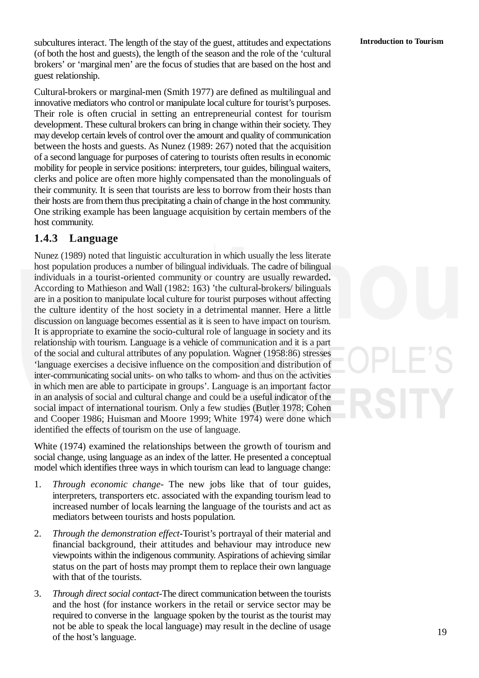subcultures interact. The length of the stay of the guest, attitudes and expectations (of both the host and guests), the length of the season and the role of the 'cultural brokers' or 'marginal men' are the focus of studies that are based on the host and guest relationship.

Cultural-brokers or marginal-men (Smith 1977) are defined as multilingual and innovative mediators who control or manipulate local culture for tourist's purposes. Their role is often crucial in setting an entrepreneurial contest for tourism development. These cultural brokers can bring in change within their society. They may develop certain levels of control over the amount and quality of communication between the hosts and guests. As Nunez (1989: 267) noted that the acquisition of a second language for purposes of catering to tourists often results in economic mobility for people in service positions: interpreters, tour guides, bilingual waiters, clerks and police are often more highly compensated than the monolinguals of their community. It is seen that tourists are less to borrow from their hosts than their hosts are from them thus precipitating a chain of change in the host community. One striking example has been language acquisition by certain members of the host community.

#### **1.4.3 Language**

Nunez (1989) noted that linguistic acculturation in which usually the less literate host population produces a number of bilingual individuals. The cadre of bilingual individuals in a tourist-oriented community or country are usually rewarded**.** According to Mathieson and Wall (1982: 163) 'the cultural-brokers/ bilinguals are in a position to manipulate local culture for tourist purposes without affecting the culture identity of the host society in a detrimental manner. Here a little discussion on language becomes essential as it is seen to have impact on tourism. It is appropriate to examine the socio-cultural role of language in society and its relationship with tourism. Language is a vehicle of communication and it is a part of the social and cultural attributes of any population. Wagner (1958:86) stresses 'language exercises a decisive influence on the composition and distribution of inter-communicating social units- on who talks to whom- and thus on the activities in which men are able to participate in groups'. Language is an important factor in an analysis of social and cultural change and could be a useful indicator of the social impact of international tourism. Only a few studies (Butler 1978; Cohen and Cooper 1986; Huisman and Moore 1999; White 1974) were done which identified the effects of tourism on the use of language.

White (1974) examined the relationships between the growth of tourism and social change, using language as an index of the latter. He presented a conceptual model which identifies three ways in which tourism can lead to language change:

- 1. *Through economic change* The new jobs like that of tour guides, interpreters, transporters etc. associated with the expanding tourism lead to increased number of locals learning the language of the tourists and act as mediators between tourists and hosts population.
- 2. *Through the demonstration effect*-Tourist's portrayal of their material and financial background, their attitudes and behaviour may introduce new viewpoints within the indigenous community. Aspirations of achieving similar status on the part of hosts may prompt them to replace their own language with that of the tourists.
- 3. *Through direct social contact*-The direct communication between the tourists and the host (for instance workers in the retail or service sector may be required to converse in the language spoken by the tourist as the tourist may not be able to speak the local language) may result in the decline of usage of the host's language.

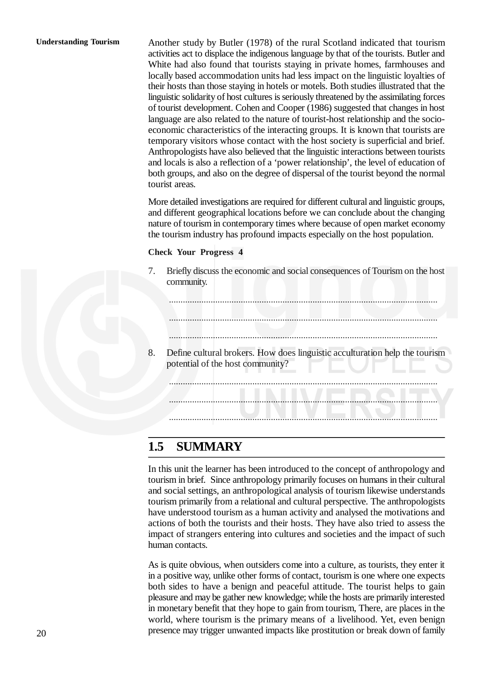#### **Understanding Tourism**

Another study by Butler (1978) of the rural Scotland indicated that tourism activities act to displace the indigenous language by that of the tourists. Butler and White had also found that tourists staying in private homes, farmhouses and locally based accommodation units had less impact on the linguistic loyalties of their hosts than those staying in hotels or motels. Both studies illustrated that the linguistic solidarity of host cultures is seriously threatened by the assimilating forces of tourist development. Cohen and Cooper (1986) suggested that changes in host language are also related to the nature of tourist-host relationship and the socioeconomic characteristics of the interacting groups. It is known that tourists are temporary visitors whose contact with the host society is superficial and brief. Anthropologists have also believed that the linguistic interactions between tourists and locals is also a reflection of a 'power relationship', the level of education of both groups, and also on the degree of dispersal of the tourist beyond the normal tourist areas.

More detailed investigations are required for different cultural and linguistic groups, and different geographical locations before we can conclude about the changing nature of tourism in contemporary times where because of open market economy the tourism industry has profound impacts especially on the host population.

#### **Check Your Progress 4**

7. Briefly discuss the economic and social consequences of Tourism on the host community.

....................................................................................................................

....................................................................................................................

....................................................................................................................

8. Define cultural brokers. How does linguistic acculturation help the tourism potential of the host community?

.................................................................................................................... .................................................................................................................... ....................................................................................................................

#### **1.5 SUMMARY**

In this unit the learner has been introduced to the concept of anthropology and tourism in brief. Since anthropology primarily focuses on humans in their cultural and social settings, an anthropological analysis of tourism likewise understands tourism primarily from a relational and cultural perspective. The anthropologists have understood tourism as a human activity and analysed the motivations and actions of both the tourists and their hosts. They have also tried to assess the impact of strangers entering into cultures and societies and the impact of such human contacts.

As is quite obvious, when outsiders come into a culture, as tourists, they enter it in a positive way, unlike other forms of contact, tourism is one where one expects both sides to have a benign and peaceful attitude. The tourist helps to gain pleasure and may be gather new knowledge; while the hosts are primarily interested in monetary benefit that they hope to gain from tourism, There, are places in the world, where tourism is the primary means of a livelihood. Yet, even benign presence may trigger unwanted impacts like prostitution or break down of family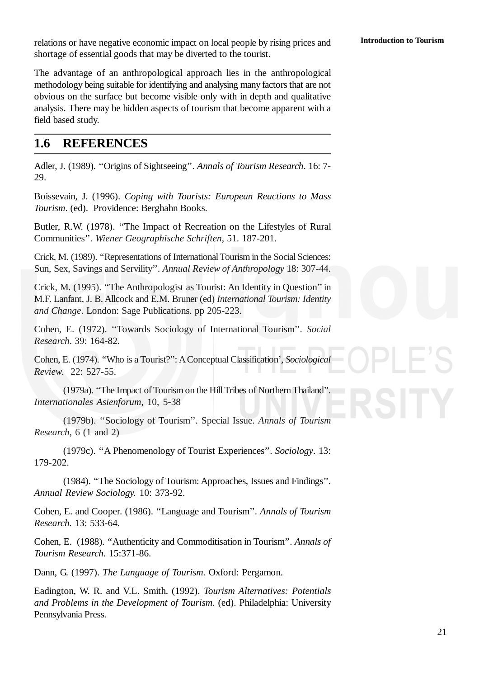relations or have negative economic impact on local people by rising prices and shortage of essential goods that may be diverted to the tourist.

The advantage of an anthropological approach lies in the anthropological methodology being suitable for identifying and analysing many factors that are not obvious on the surface but become visible only with in depth and qualitative analysis. There may be hidden aspects of tourism that become apparent with a field based study.

#### **1.6 REFERENCES**

Adler, J. (1989). ''Origins of Sightseeing''. *Annals of Tourism Research*. 16: 7- 29.

Boissevain, J. (1996). *Coping with Tourists: European Reactions to Mass Tourism*. (ed). Providence: Berghahn Books.

Butler, R.W. (1978). ''The Impact of Recreation on the Lifestyles of Rural Communities''. *Wiener Geographische Schriften,* 51. 187-201.

Crick, M. (1989). ''Representations of International Tourism in the Social Sciences: Sun, Sex, Savings and Servility''. *Annual Review of Anthropology* 18: 307-44.

Crick, M. (1995). ''The Anthropologist as Tourist: An Identity in Question'' in M.F. Lanfant, J. B. Allcock and E.M. Bruner (ed) *International Tourism: Identity and Change*. London: Sage Publications. pp 205-223.

Cohen, E. (1972). ''Towards Sociology of International Tourism''. *Social Research*. 39: 164-82.

Cohen, E. (1974). ''Who is a Tourist?'': AConceptual Classification', *Sociological Review*. 22: 527-55.

(1979a). ''The Impact of Tourism on the Hill Tribes of Northern Thailand''. *Internationales Asienforum*, 10, 5-38

(1979b). ''Sociology of Tourism''. Special Issue. *Annals of Tourism Research*, 6 (1 and 2)

(1979c). ''A Phenomenology of Tourist Experiences''. *Sociology*. 13: 179-202.

(1984). ''The Sociology of Tourism: Approaches, Issues and Findings''. *Annual Review Sociology.* 10: 373-92.

Cohen, E. and Cooper. (1986). ''Language and Tourism''. *Annals of Tourism Research.* 13: 533-64.

Cohen, E. (1988). ''Authenticity and Commoditisation in Tourism''. *Annals of Tourism Research.* 15:371-86.

Dann, G. (1997). *The Language of Tourism.* Oxford: Pergamon.

Eadington, W. R. and V.L. Smith. (1992). *Tourism Alternatives: Potentials and Problems in the Development of Tourism*. (ed). Philadelphia: University Pennsylvania Press.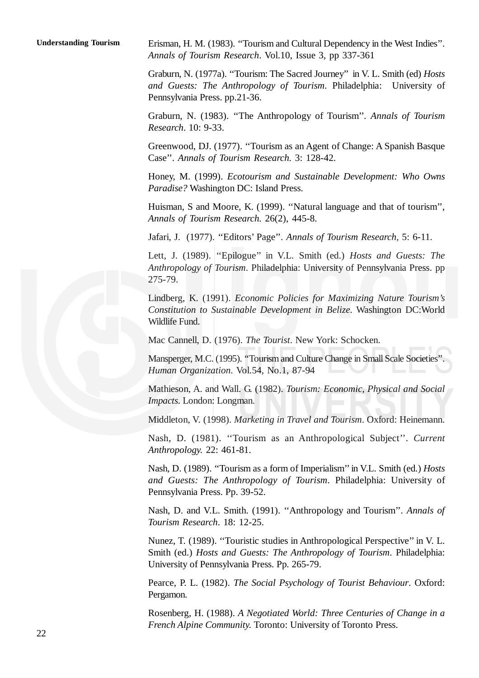Erisman, H. M. (1983). ''Tourism and Cultural Dependency in the West Indies''. *Annals of Tourism Research*. Vol.10, Issue 3, pp 337-361 **Understanding Tourism**

> Graburn, N. (1977a). ''Tourism: The Sacred Journey'' in V. L. Smith (ed) *Hosts and Guests: The Anthropology of Tourism.* Philadelphia: University of Pennsylvania Press. pp.21-36.

> Graburn, N. (1983). ''The Anthropology of Tourism''*. Annals of Tourism Research*. 10: 9-33.

> Greenwood, DJ. (1977). ''Tourism as an Agent of Change: A Spanish Basque Case''. *Annals of Tourism Research.* 3: 128-42.

> Honey, M. (1999). *Ecotourism and Sustainable Development: Who Owns Paradise?* Washington DC: Island Press.

> Huisman, S and Moore, K. (1999). ''Natural language and that of tourism'', *Annals of Tourism Research.* 26(2), 445-8.

Jafari, J. (1977). ''Editors' Page''. *Annals of Tourism Research,* 5: 6-11.

Lett, J. (1989). ''Epilogue'' in V.L. Smith (ed.) *Hosts and Guests: The Anthropology of Tourism*. Philadelphia: University of Pennsylvania Press. pp 275-79.

Lindberg, K. (1991). *Economic Policies for Maximizing Nature Tourism's Constitution to Sustainable Development in Belize*. Washington DC:World Wildlife Fund.

Mac Cannell, D. (1976). *The Tourist*. New York: Schocken.

Mansperger, M.C. (1995). "Tourism and Culture Change in Small Scale Societies *Human Organization*. Vol.54, No.1, 87-94

Mathieson, A. and Wall. G. (1982). *Tourism: Economic, Physical and Social Impacts*. London: Longman.

Middleton, V. (1998). *Marketing in Travel and Tourism*. Oxford: Heinemann.

Nash, D. (1981). ''Tourism as an Anthropological Subject''. *Current Anthropology.* 22: 461-81.

Nash, D. (1989). ''Tourism as a form of Imperialism'' in V.L. Smith (ed.) *Hosts and Guests: The Anthropology of Tourism*. Philadelphia: University of Pennsylvania Press. Pp. 39-52.

Nash, D. and V.L. Smith. (1991). ''Anthropology and Tourism''. *Annals of Tourism Research*. 18: 12-25.

Nunez, T. (1989). ''Touristic studies in Anthropological Perspective'' in V. L. Smith (ed.) *Hosts and Guests: The Anthropology of Tourism*. Philadelphia: University of Pennsylvania Press. Pp. 265-79.

Pearce, P. L. (1982). *The Social Psychology of Tourist Behaviour*. Oxford: Pergamon.

Rosenberg, H. (1988). *A Negotiated World: Three Centuries of Change in a French Alpine Community.* Toronto: University of Toronto Press.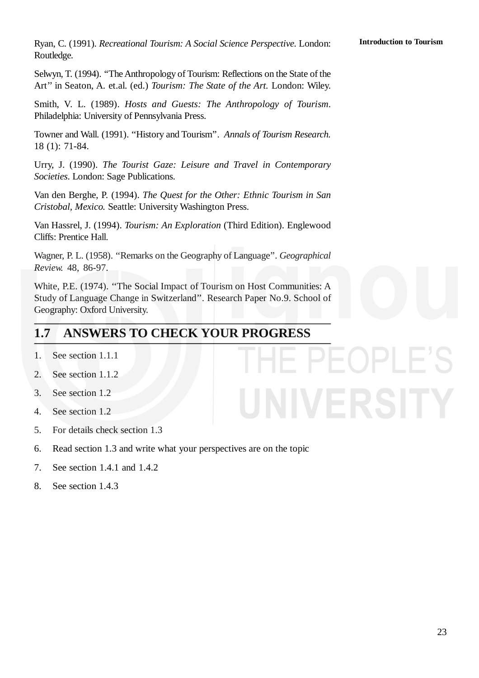Ryan, C. (1991). *Recreational Tourism: A Social Science Perspective.* London: Routledge.

Selwyn, T. (1994). ''The Anthropology of Tourism: Reflections on the State of the Art'' in Seaton, A. et.al. (ed.) *Tourism: The State of the Art.* London: Wiley.

Smith, V. L. (1989). *Hosts and Guests: The Anthropology of Tourism*. Philadelphia: University of Pennsylvania Press.

Towner and Wall. (1991). ''History and Tourism''. *Annals of Tourism Research.* 18 (1): 71-84.

Urry, J. (1990). *The Tourist Gaze: Leisure and Travel in Contemporary Societies*. London: Sage Publications.

Van den Berghe, P. (1994). *The Quest for the Other: Ethnic Tourism in San Cristobal, Mexico.* Seattle: University Washington Press.

Van Hassrel, J. (1994). *Tourism: An Exploration* (Third Edition). Englewood Cliffs: Prentice Hall.

Wagner, P. L. (1958). ''Remarks on the Geography of Language''. *Geographical Review.* 48, 86-97.

White, P.E. (1974). ''The Social Impact of Tourism on Host Communities: A Study of Language Change in Switzerland''. Research Paper No.9. School of Geography: Oxford University.

#### **1.7 ANSWERS TO CHECK YOUR PROGRESS**

- 1. See section 1.1.1
- 2. See section 1.1.2
- 3. See section 1.2
- 4. See section 1.2
- 5. For details check section 1.3
- 6. Read section 1.3 and write what your perspectives are on the topic
- 7. See section 1.4.1 and 1.4.2
- 8. See section 1.4.3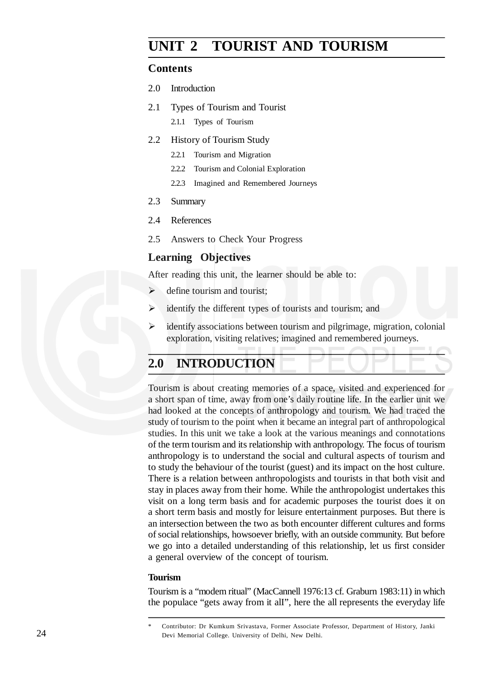#### **UNIT 2 TOURIST AND TOURISM**

#### **Contents**

- 2.0 Introduction
- 2.1 Types of Tourism and Tourist 2.1.1 Types of Tourism
- 2.2 History of Tourism Study
	- 2.2.1 Tourism and Migration
	- 2.2.2 Tourism and Colonial Exploration
	- 2.2.3 Imagined and Remembered Journeys
- 2.3 Summary
- 2.4 References
- 2.5 Answers to Check Your Progress

#### **Learning Objectives**

After reading this unit, the learner should be able to:

- $\triangleright$  define tourism and tourist:
- $\triangleright$  identify the different types of tourists and tourism; and
- $\triangleright$  identify associations between tourism and pilgrimage, migration, colonial exploration, visiting relatives; imagined and remembered journeys.

#### **2.0 INTRODUCTION**

Tourism is about creating memories of a space, visited and experienced for a short span of time, away from one's daily routine life. In the earlier unit we had looked at the concepts of anthropology and tourism. We had traced the study of tourism to the point when it became an integral part of anthropological studies. In this unit we take a look at the various meanings and connotations of the term tourism and its relationship with anthropology. The focus of tourism anthropology is to understand the social and cultural aspects of tourism and to study the behaviour of the tourist (guest) and its impact on the host culture. There is a relation between anthropologists and tourists in that both visit and stay in places away from their home. While the anthropologist undertakes this visit on a long term basis and for academic purposes the tourist does it on a short term basis and mostly for leisure entertainment purposes. But there is an intersection between the two as both encounter different cultures and forms of social relationships, howsoever briefly, with an outside community. But before we go into a detailed understanding of this relationship, let us first consider a general overview of the concept of tourism.

#### **Tourism**

Tourism is a "modem ritual" (MacCannell 1976:13 cf. Graburn 1983:11) in which the populace "gets away from it alI", here the all represents the everyday life

<sup>\*</sup> Contributor: Dr Kumkum Srivastava, Former Associate Professor, Department of History, Janki Devi Memorial College. University of Delhi, New Delhi.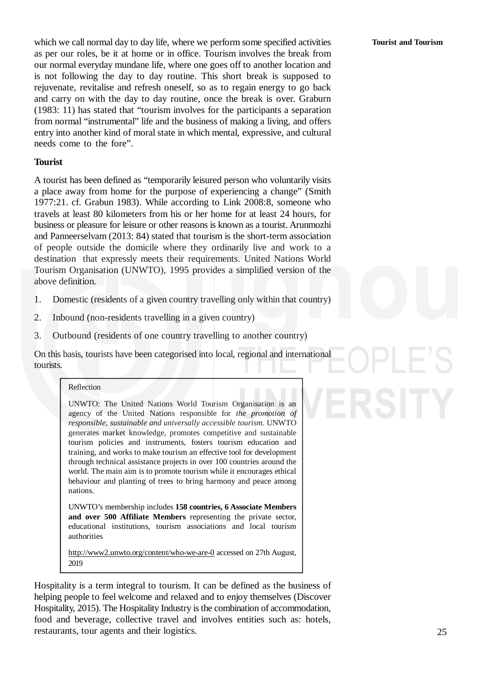which we call normal day to day life, where we perform some specified activities as per our roles, be it at home or in office. Tourism involves the break from our normal everyday mundane life, where one goes off to another location and is not following the day to day routine. This short break is supposed to rejuvenate, revitalise and refresh oneself, so as to regain energy to go back and carry on with the day to day routine, once the break is over. Graburn (1983: 11) has stated that "tourism involves for the participants a separation from normal "instrumental" life and the business of making a living, and offers entry into another kind of moral state in which mental, expressive, and cultural needs come to the fore".

#### **Tourist**

A tourist has been defined as "temporarily leisured person who voluntarily visits a place away from home for the purpose of experiencing a change" (Smith 1977:21. cf. Grabun 1983). While according to Link 2008:8, someone who travels at least 80 kilometers from his or her home for at least 24 hours, for business or pleasure for leisure or other reasons is known as a tourist. Arunmozhi and Panneerselvam (2013: 84) stated that tourism is the short-term association of people outside the domicile where they ordinarily live and work to a destination that expressly meets their requirements. United Nations World Tourism Organisation (UNWTO), 1995 provides a simplified version of the above definition.

- 1. Domestic (residents of a given country travelling only within that country)
- 2. Inbound (non-residents travelling in a given country)
- 3. Outbound (residents of one country travelling to another country)

On this basis, tourists have been categorised into local, regional and international tourists.

#### Reflection

UNWTO: The United Nations World Tourism Organisation is an agency of the United Nations responsible for *the promotion of responsible, sustainable and universally accessible tourism.* UNWTO generates market knowledge, promotes competitive and sustainable tourism policies and instruments, fosters tourism education and training, and works to make tourism an effective tool for development through technical assistance projects in over 100 countries around the world. The main aim is to promote tourism while it encourages ethical behaviour and planting of trees to bring harmony and peace among nations.

UNWTO's membership includes **158 countries, 6 Associate Members and over 500 Affiliate Members** representing the private sector, educational institutions, tourism associations and local tourism authorities

http://www2.unwto.org/content/who-we-are-0 accessed on 27th August, 2019

Hospitality is a term integral to tourism. It can be defined as the business of helping people to feel welcome and relaxed and to enjoy themselves (Discover Hospitality, 2015). The Hospitality Industry is the combination of accommodation, food and beverage, collective travel and involves entities such as: hotels, restaurants, tour agents and their logistics.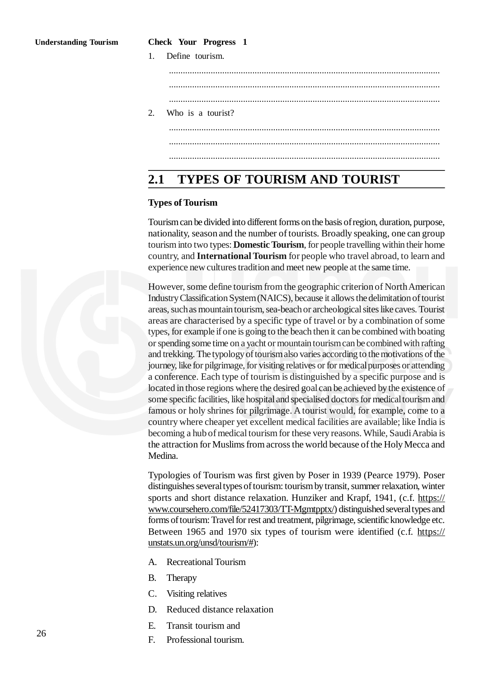#### **Check Your Progress 1**

| 1. Define tourism.   |
|----------------------|
|                      |
|                      |
| 2. Who is a tourist? |
|                      |
|                      |
|                      |

#### **2.1 TYPES OF TOURISM AND TOURIST**

#### **Types of Tourism**

Tourismcan be divided into different forms on the basis ofregion, duration, purpose, nationality, season and the number of tourists. Broadly speaking, one can group tourism into two types: **Domestic Tourism**, for people travelling within their home country, and **International Tourism** for people who travel abroad, to learn and experience new cultures tradition and meet new people at the same time.

However, some define tourism from the geographic criterion of NorthAmerican IndustryClassificationSystem(NAICS), because it allows thedelimitationof tourist areas, suchas mountain tourism, sea-beachor archeologicalsites like caves. Tourist areas are characterised by a specific type of travel or by a combination of some types, for example if one is going to the beach then it can be combined with boating or spending some time on a yacht or mountaintourismcan becombined with rafting and trekking. Thetypologyof tourismalso varies according to themotivations of the journey, like for pilgrimage, for visiting relatives or for medical purposes or attending a conference. Each type of tourism is distinguished by a specific purpose and is located in those regions where the desired goalcan be achieved bythe existence of some specific facilities, like hospital and specialised doctors for medical tourism and famous or holy shrines for pilgrimage. A tourist would, for example, come to a country where cheaper yet excellent medical facilities are available; like India is becoming a hub of medical tourism for these very reasons. While, Saudi Arabia is the attraction for Muslims from across the world because of the Holy Mecca and Medina.

Typologies of Tourism was first given by Poser in 1939 (Pearce 1979). Poser distinguishes several types of tourism: tourism by transit, summer relaxation, winter sports and short distance relaxation. Hunziker and Krapf, 1941, (c.f. https:// www.coursehero.com/file/52417303/TT-Mgmtpptx/) distinguished several types and forms of tourism: Travel for rest and treatment, pilgrimage, scientific knowledge etc. Between 1965 and 1970 six types of tourism were identified (c.f. https:// unstats.un.org/unsd/tourism/#):

- A. Recreational Tourism
- B. Therapy
- C. Visiting relatives
- D. Reduced distance relaxation
- E. Transit tourism and
- F. Professional tourism.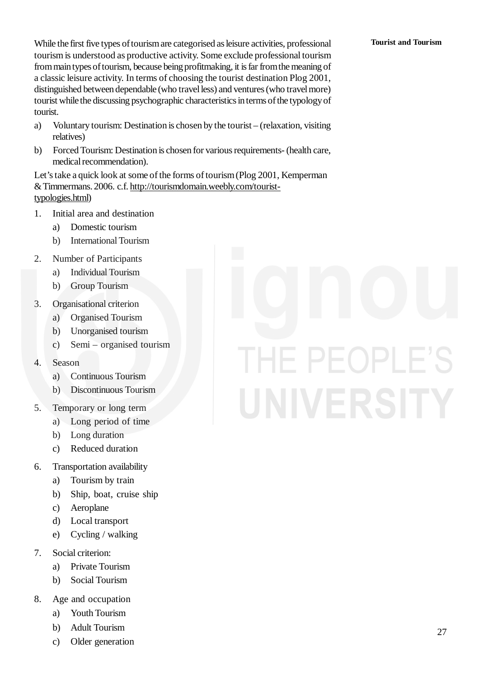#### **Tourist and Tourism**

While the first five types of tourism are categorised as leisure activities, professional tourism is understood as productive activity. Some exclude professional tourism from main types of tourism, because being profitmaking, it is far from the meaning of a classic leisure activity. In terms of choosing the tourist destination Plog 2001, distinguished between dependable (who travel less) and ventures (who travel more) tourist while the discussing psychographic characteristics in terms of the typology of tourist.

- a) Voluntary tourism: Destination is chosen by the tourist (relaxation, visiting relatives)
- b) Forced Tourism: Destination is chosen for various requirements- (health care, medical recommendation).

Let's take a quick look at some of the forms of tourism(Plog 2001, Kemperman &Timmermans. 2006. c.f. http://tourismdomain.weebly.com/touristtypologies.html)

- 1. Initial area and destination
	- a) Domestic tourism
	- b) International Tourism
- 2. Number of Participants
	- a) Individual Tourism
	- b) Group Tourism
- 3. Organisational criterion
	- a) Organised Tourism
	- b) Unorganised tourism
	- c) Semi organised tourism
- 4. Season
	- a) Continuous Tourism
	- b) Discontinuous Tourism
- 5. Temporary or long term
	- a) Long period of time
	- b) Long duration
	- c) Reduced duration
- 6. Transportation availability
	- a) Tourism by train
	- b) Ship, boat, cruise ship
	- c) Aeroplane
	- d) Local transport
	- e) Cycling / walking
- 7. Social criterion:
	- a) Private Tourism
	- b) Social Tourism
- 8. Age and occupation
	- a) Youth Tourism
	- b) Adult Tourism
	- c) Older generation

# E PEOPLE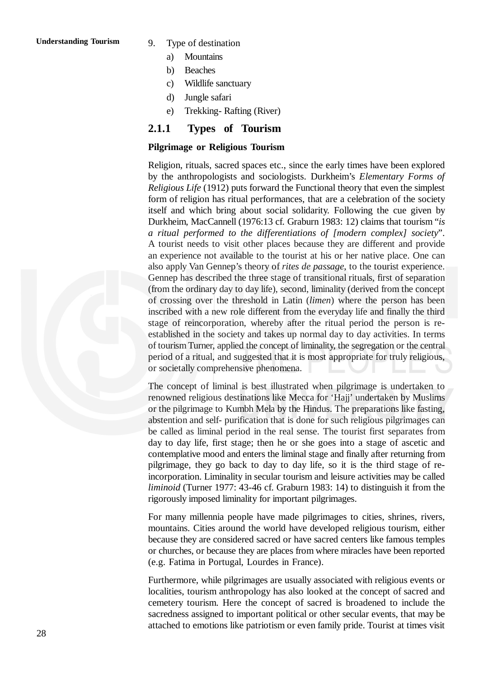- 
- 9. Type of destination
	- a) Mountains
	- b) Beaches
	- c) Wildlife sanctuary
	- d) Jungle safari
	- e) Trekking- Rafting (River)

#### **2.1.1 Types of Tourism**

#### **Pilgrimage or Religious Tourism**

Religion, rituals, sacred spaces etc., since the early times have been explored by the anthropologists and sociologists. Durkheim's *Elementary Forms of Religious Life* (1912) puts forward the Functional theory that even the simplest form of religion has ritual performances, that are a celebration of the society itself and which bring about social solidarity. Following the cue given by Durkheim, MacCannell (1976:13 cf. Graburn 1983: 12) claims that tourism "*is a ritual performed to the differentiations of [modern complex] society*". A tourist needs to visit other places because they are different and provide an experience not available to the tourist at his or her native place. One can also apply Van Gennep's theory of *rites de passage*, to the tourist experience. Gennep has described the three stage of transitional rituals, first of separation (from the ordinary day to day life), second, liminality (derived from the concept of crossing over the threshold in Latin (*limen*) where the person has been inscribed with a new role different from the everyday life and finally the third stage of reincorporation, whereby after the ritual period the person is reestablished in the society and takes up normal day to day activities. In terms of tourism Turner, applied the concept of liminality, the segregation or the central period of a ritual, and suggested that it is most appropriate for truly religious, or societally comprehensive phenomena.

The concept of liminal is best illustrated when pilgrimage is undertaken to renowned religious destinations like Mecca for 'Hajj' undertaken by Muslims or the pilgrimage to Kumbh Mela by the Hindus. The preparations like fasting, abstention and self- purification that is done for such religious pilgrimages can be called as liminal period in the real sense. The tourist first separates from day to day life, first stage; then he or she goes into a stage of ascetic and contemplative mood and enters the liminal stage and finally after returning from pilgrimage, they go back to day to day life, so it is the third stage of reincorporation. Liminality in secular tourism and leisure activities may be called *liminoid* (Turner 1977: 43-46 cf. Graburn 1983: 14) to distinguish it from the rigorously imposed liminality for important pilgrimages.

For many millennia people have made pilgrimages to cities, shrines, rivers, mountains. Cities around the world have developed religious tourism, either because they are considered sacred or have sacred centers like famous temples or churches, or because they are places from where miracles have been reported (e.g. Fatima in Portugal, Lourdes in France).

Furthermore, while pilgrimages are usually associated with religious events or localities, tourism anthropology has also looked at the concept of sacred and cemetery tourism. Here the concept of sacred is broadened to include the sacredness assigned to important political or other secular events, that may be attached to emotions like patriotism or even family pride. Tourist at times visit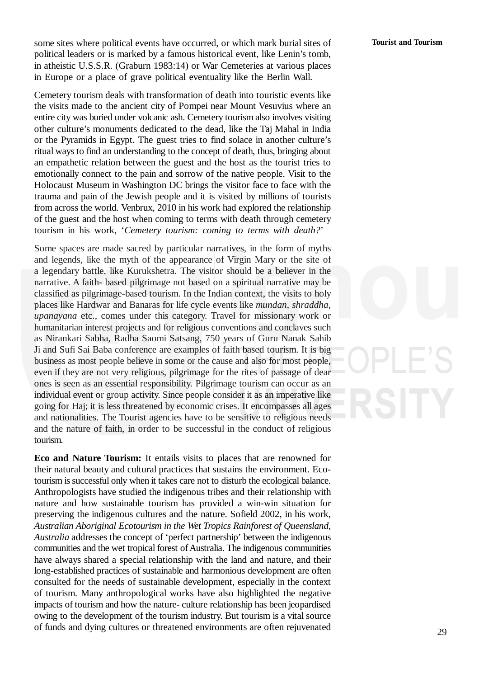29

some sites where political events have occurred, or which mark burial sites of political leaders or is marked by a famous historical event, like Lenin's tomb, in atheistic U.S.S.R. (Graburn 1983:14) or War Cemeteries at various places in Europe or a place of grave political eventuality like the Berlin Wall.

Cemetery tourism deals with transformation of death into touristic events like the visits made to the ancient city of Pompei near Mount Vesuvius where an entire city was buried under volcanic ash. Cemetery tourism also involves visiting other culture's monuments dedicated to the dead, like the Taj Mahal in India or the Pyramids in Egypt. The guest tries to find solace in another culture's ritual ways to find an understanding to the concept of death, thus, bringing about an empathetic relation between the guest and the host as the tourist tries to emotionally connect to the pain and sorrow of the native people. Visit to the Holocaust Museum in Washington DC brings the visitor face to face with the trauma and pain of the Jewish people and it is visited by millions of tourists from across the world. Venbrux, 2010 in his work had explored the relationship of the guest and the host when coming to terms with death through cemetery tourism in his work, '*Cemetery tourism: coming to terms with death?*'

Some spaces are made sacred by particular narratives, in the form of myths and legends, like the myth of the appearance of Virgin Mary or the site of a legendary battle, like Kurukshetra. The visitor should be a believer in the narrative. A faith- based pilgrimage not based on a spiritual narrative may be classified as pilgrimage-based tourism. In the Indian context, the visits to holy places like Hardwar and Banaras for life cycle events like *mundan*, *shraddha*, *upanayana* etc., comes under this category. Travel for missionary work or humanitarian interest projects and for religious conventions and conclaves such as Nirankari Sabha, Radha Saomi Satsang, 750 years of Guru Nanak Sahib Ji and Sufi Sai Baba conference are examples of faith based tourism. It is big business as most people believe in some or the cause and also for most people, even if they are not very religious, pilgrimage for the rites of passage of dear ones is seen as an essential responsibility. Pilgrimage tourism can occur as an individual event or group activity. Since people consider it as an imperative like going for Haj; it is less threatened by economic crises. It encompasses all ages and nationalities. The Tourist agencies have to be sensitive to religious needs and the nature of faith, in order to be successful in the conduct of religious tourism.

**Eco and Nature Tourism:** It entails visits to places that are renowned for their natural beauty and cultural practices that sustains the environment. Ecotourism is successful only when it takes care not to disturb the ecological balance. Anthropologists have studied the indigenous tribes and their relationship with nature and how sustainable tourism has provided a win-win situation for preserving the indigenous cultures and the nature. Sofield 2002, in his work, *Australian Aboriginal Ecotourism in the Wet Tropics Rainforest of Queensland, Australia* addresses the concept of 'perfect partnership' between the indigenous communities and the wet tropical forest of Australia. The indigenous communities have always shared a special relationship with the land and nature, and their long-established practices of sustainable and harmonious development are often consulted for the needs of sustainable development, especially in the context of tourism. Many anthropological works have also highlighted the negative impacts of tourism and how the nature- culture relationship has been jeopardised owing to the development of the tourism industry. But tourism is a vital source of funds and dying cultures or threatened environments are often rejuvenated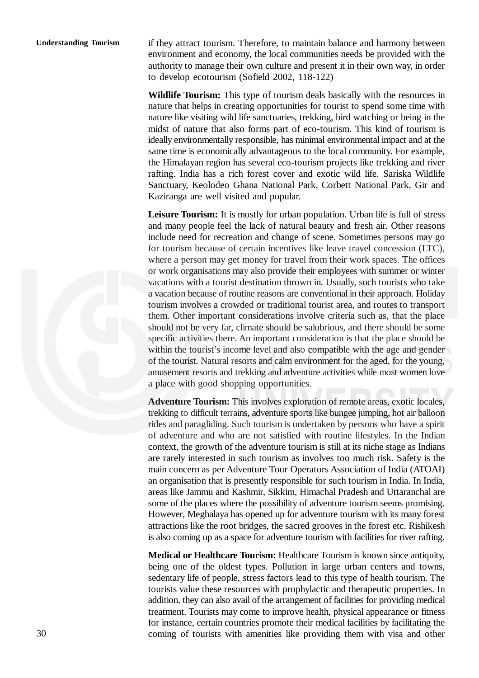#### **Understanding Tourism**

if they attract tourism. Therefore, to maintain balance and harmony between environment and economy, the local communities needs be provided with the authority to manage their own culture and present it in their own way, in order to develop ecotourism (Sofield 2002, 118-122)

**Wildlife Tourism:** This type of tourism deals basically with the resources in nature that helps in creating opportunities for tourist to spend some time with nature like visiting wild life sanctuaries, trekking, bird watching or being in the midst of nature that also forms part of eco-tourism. This kind of tourism is ideally environmentally responsible, has minimal environmental impact and at the same time is economically advantageous to the local community. For example, the Himalayan region has several eco-tourism projects like trekking and river rafting. India has a rich forest cover and exotic wild life. Sariska Wildlife Sanctuary, Keolodeo Ghana National Park, Corbett National Park, Gir and Kaziranga are well visited and popular.

**Leisure Tourism:** It is mostly for urban population. Urban life is full of stress and many people feel the lack of natural beauty and fresh air. Other reasons include need for recreation and change of scene. Sometimes persons may go for tourism because of certain incentives like leave travel concession (LTC), where a person may get money for travel from their work spaces. The offices or work organisations may also provide their employees with summer or winter vacations with a tourist destination thrown in. Usually, such tourists who take a vacation because of routine reasons are conventional in their approach. Holiday tourism involves a crowded or traditional tourist area, and routes to transport them. Other important considerations involve criteria such as, that the place should not be very far, climate should be salubrious, and there should be some specific activities there. An important consideration is that the place should be within the tourist's income level and also compatible with the age and gender of the tourist. Natural resorts and calm environment for the aged, for the young, amusement resorts and trekking and adventure activities while most women love a place with good shopping opportunities.

**Adventure Tourism:** This involves exploration of remote areas, exotic locales, trekking to difficult terrains, adventure sports like bungee jumping, hot air balloon rides and paragliding. Such tourism is undertaken by persons who have a spirit of adventure and who are not satisfied with routine lifestyles. In the Indian context, the growth of the adventure tourism is still at its niche stage as Indians are rarely interested in such tourism as involves too much risk. Safety is the main concern as per Adventure Tour Operators Association of India (ATOAI) an organisation that is presently responsible for such tourism in India. In India, areas like Jammu and Kashmir, Sikkim, Himachal Pradesh and Uttaranchal are some of the places where the possibility of adventure tourism seems promising. However, Meghalaya has opened up for adventure tourism with its many forest attractions like the root bridges, the sacred grooves in the forest etc. Rishikesh is also coming up as a space for adventure tourism with facilities for river rafting.

**Medical or Healthcare Tourism:** Healthcare Tourism is known since antiquity, being one of the oldest types. Pollution in large urban centers and towns, sedentary life of people, stress factors lead to this type of health tourism. The tourists value these resources with prophylactic and therapeutic properties. In addition, they can also avail of the arrangement of facilities for providing medical treatment. Tourists may come to improve health, physical appearance or fitness for instance, certain countries promote their medical facilities by facilitating the coming of tourists with amenities like providing them with visa and other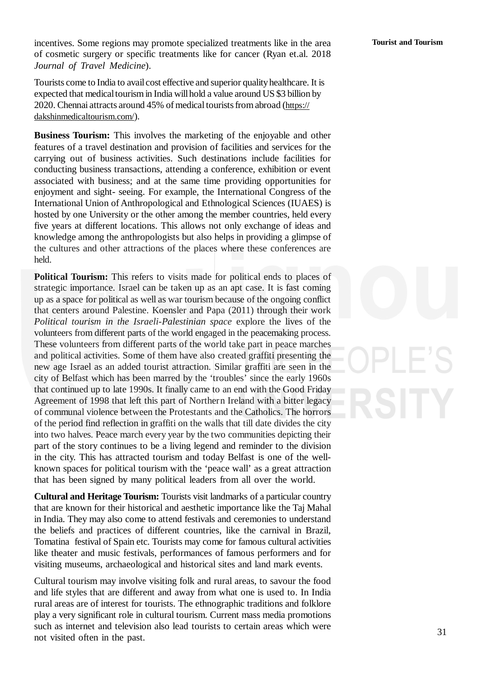incentives. Some regions may promote specialized treatments like in the area of cosmetic surgery or specific treatments like for cancer (Ryan et.al. 2018 *Journal of Travel Medicine*).

Tourists come to India to avail cost effective and superior quality healthcare. It is expected that medicaltourism in India willhold a value around US \$3 billion by 2020. Chennai attracts around 45% of medical tourists from abroad (https:// dakshinmedicaltourism.com/).

**Business Tourism:** This involves the marketing of the enjoyable and other features of a travel destination and provision of facilities and services for the carrying out of business activities. Such destinations include facilities for conducting business transactions, attending a conference, exhibition or event associated with business; and at the same time providing opportunities for enjoyment and sight- seeing. For example, the International Congress of the International Union of Anthropological and Ethnological Sciences (IUAES) is hosted by one University or the other among the member countries, held every five years at different locations. This allows not only exchange of ideas and knowledge among the anthropologists but also helps in providing a glimpse of the cultures and other attractions of the places where these conferences are held.

**Political Tourism:** This refers to visits made for political ends to places of strategic importance. Israel can be taken up as an apt case. It is fast coming up as a space for political as well as war tourism because of the ongoing conflict that centers around Palestine. Koensler and Papa (2011) through their work *Political tourism in the Israeli-Palestinian space* explore the lives of the volunteers from different parts of the world engaged in the peacemaking process. These volunteers from different parts of the world take part in peace marches and political activities. Some of them have also created graffiti presenting the new age Israel as an added tourist attraction. Similar graffiti are seen in the city of Belfast which has been marred by the 'troubles' since the early 1960s that continued up to late 1990s. It finally came to an end with the Good Friday Agreement of 1998 that left this part of Northern Ireland with a bitter legacy of communal violence between the Protestants and the Catholics. The horrors of the period find reflection in graffiti on the walls that till date divides the city into two halves. Peace march every year by the two communities depicting their part of the story continues to be a living legend and reminder to the division in the city. This has attracted tourism and today Belfast is one of the wellknown spaces for political tourism with the 'peace wall' as a great attraction that has been signed by many political leaders from all over the world.

**Cultural and Heritage Tourism:** Tourists visit landmarks of a particular country that are known for their historical and aesthetic importance like the Taj Mahal in India. They may also come to attend festivals and ceremonies to understand the beliefs and practices of different countries, like the carnival in Brazil, Tomatina festival of Spain etc. Tourists may come for famous cultural activities like theater and music festivals, performances of famous performers and for visiting museums, archaeological and historical sites and land mark events.

Cultural tourism may involve visiting folk and rural areas, to savour the food and life styles that are different and away from what one is used to. In India rural areas are of interest for tourists. The ethnographic traditions and folklore play a very significant role in cultural tourism. Current mass media promotions such as internet and television also lead tourists to certain areas which were not visited often in the past.

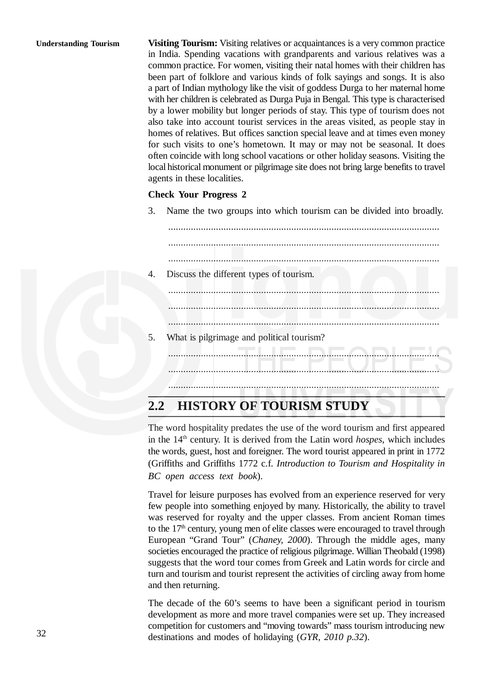#### **Understanding Tourism**

**Visiting Tourism:** Visiting relatives or acquaintances is a very common practice in India. Spending vacations with grandparents and various relatives was a common practice. For women, visiting their natal homes with their children has been part of folklore and various kinds of folk sayings and songs. It is also a part of Indian mythology like the visit of goddess Durga to her maternal home with her children is celebrated as Durga Puja in Bengal. This type is characterised by a lower mobility but longer periods of stay. This type of tourism does not also take into account tourist services in the areas visited, as people stay in homes of relatives. But offices sanction special leave and at times even money for such visits to one's hometown. It may or may not be seasonal. It does often coincide with long school vacations or other holiday seasons. Visiting the local historical monument or pilgrimage site does not bring large benefits to travel agents in these localities.

#### **Check Your Progress 2**

3. Name the two groups into which tourism can be divided into broadly.

............................................................................................................ ............................................................................................................ ............................................................................................................ 4. Discuss the different types of tourism. ............................................................................................................ ............................................................................................................ ............................................................................................................ 5. What is pilgrimage and political tourism? ............................................................................................................ ............................................................................................................ ............................................................................................................

#### **2.2 HISTORY OF TOURISM STUDY**

The word hospitality predates the use of the word tourism and first appeared in the 14<sup>th</sup> century. It is derived from the Latin word *hospes*, which includes the words, guest, host and foreigner. The word tourist appeared in print in 1772 (Griffiths and Griffiths 1772 c.f. *Introduction to Tourism and Hospitality in BC open access text book*).

Travel for leisure purposes has evolved from an experience reserved for very few people into something enjoyed by many. Historically, the ability to travel was reserved for royalty and the upper classes. From ancient Roman times to the  $17<sup>th</sup>$  century, young men of elite classes were encouraged to travel through European "Grand Tour" (*Chaney, 2000*). Through the middle ages, many societies encouraged the practice of religious pilgrimage. Willian Theobald (1998) suggests that the word tour comes from Greek and Latin words for circle and turn and tourism and tourist represent the activities of circling away from home and then returning.

The decade of the 60's seems to have been a significant period in tourism development as more and more travel companies were set up. They increased competition for customers and "moving towards" mass tourism introducing new destinations and modes of holidaying (*GYR, 2010 p.32*).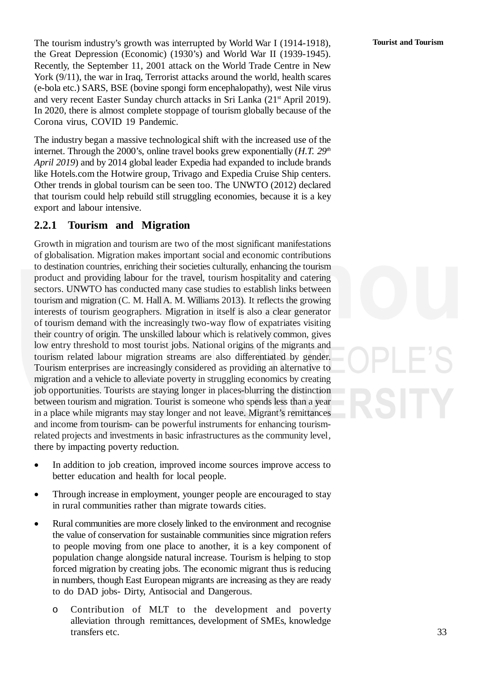The tourism industry's growth was interrupted by World War I (1914-1918), the Great Depression (Economic) (1930's) and World War II (1939-1945). Recently, the September 11, 2001 attack on the World Trade Centre in New York (9/11), the war in Iraq, Terrorist attacks around the world, health scares (e-bola etc.) SARS, BSE (bovine spongi form encephalopathy), west Nile virus and very recent Easter Sunday church attacks in Sri Lanka (21<sup>st</sup> April 2019). In 2020, there is almost complete stoppage of tourism globally because of the Corona virus, COVID 19 Pandemic.

The industry began a massive technological shift with the increased use of the internet. Through the 2000's, online travel books grew exponentially (*H.T. 29th April 2019*) and by 2014 global leader Expedia had expanded to include brands like Hotels.com the Hotwire group, Trivago and Expedia Cruise Ship centers. Other trends in global tourism can be seen too. The UNWTO (2012) declared that tourism could help rebuild still struggling economies, because it is a key export and labour intensive.

#### **2.2.1 Tourism and Migration**

Growth in migration and tourism are two of the most significant manifestations of globalisation. Migration makes important social and economic contributions to destination countries, enriching their societies culturally, enhancing the tourism product and providing labour for the travel, tourism hospitality and catering sectors. UNWTO has conducted many case studies to establish links between tourism and migration (C. M. HallA. M. Williams 2013). It reflects the growing interests of tourism geographers. Migration in itself is also a clear generator of tourism demand with the increasingly two-way flow of expatriates visiting their country of origin. The unskilled labour which is relatively common, gives low entry threshold to most tourist jobs. National origins of the migrants and tourism related labour migration streams are also differentiated by gender. Tourism enterprises are increasingly considered as providing an alternative to migration and a vehicle to alleviate poverty in struggling economics by creating job opportunities. Tourists are staying longer in places-blurring the distinction between tourism and migration. Tourist is someone who spends less than a year in a place while migrants may stay longer and not leave. Migrant's remittances and income from tourism- can be powerful instruments for enhancing tourismrelated projects and investments in basic infrastructures as the community level*,* there by impacting poverty reduction.

- In addition to job creation, improved income sources improve access to better education and health for local people.
- Through increase in employment, younger people are encouraged to stay in rural communities rather than migrate towards cities.
- Rural communities are more closely linked to the environment and recognise the value of conservation for sustainable communities since migration refers to people moving from one place to another, it is a key component of population change alongside natural increase. Tourism is helping to stop forced migration by creating jobs. The economic migrant thus is reducing in numbers, though East European migrants are increasing as they are ready to do DAD jobs- Dirty, Antisocial and Dangerous.
	- o Contribution of MLT to the development and poverty alleviation through remittances, development of SMEs, knowledge transfers etc.

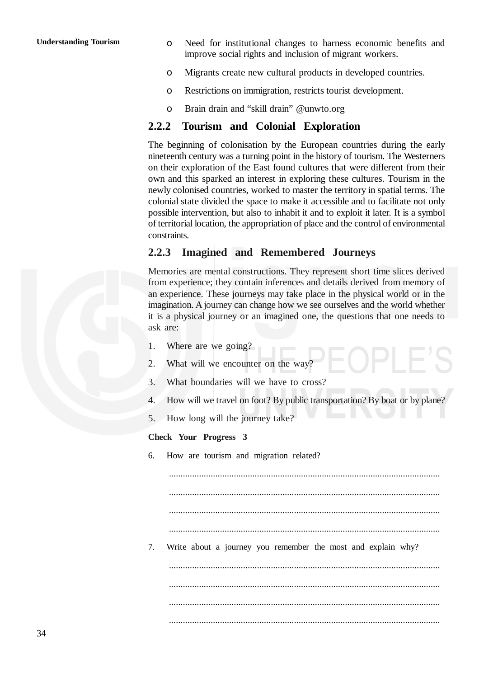- o Need for institutional changes to harness economic benefits and improve social rights and inclusion of migrant workers.
- o Migrants create new cultural products in developed countries.
- o Restrictions on immigration, restricts tourist development.
- o Brain drain and "skill drain" @unwto.org

#### **2.2.2 Tourism and Colonial Exploration**

The beginning of colonisation by the European countries during the early nineteenth century was a turning point in the history of tourism. The Westerners on their exploration of the East found cultures that were different from their own and this sparked an interest in exploring these cultures. Tourism in the newly colonised countries, worked to master the territory in spatial terms. The colonial state divided the space to make it accessible and to facilitate not only possible intervention, but also to inhabit it and to exploit it later. It is a symbol of territorial location, the appropriation of place and the control of environmental constraints.

#### **2.2.3 Imagined and Remembered Journeys**

Memories are mental constructions. They represent short time slices derived from experience; they contain inferences and details derived from memory of an experience. These journeys may take place in the physical world or in the imagination. A journey can change how we see ourselves and the world whether it is a physical journey or an imagined one, the questions that one needs to ask are:

- 1. Where are we going?
- 2. What will we encounter on the way?
- 3. What boundaries will we have to cross?
- 4. How will we travel on foot? By public transportation? By boat or by plane?
- 5. How long will the journey take?

#### **Check Your Progress 3**

6. How are tourism and migration related?

..................................................................................................................... ..................................................................................................................... .....................................................................................................................

.....................................................................................................................

7. Write about a journey you remember the most and explain why?

..................................................................................................................... ..................................................................................................................... ..................................................................................................................... .....................................................................................................................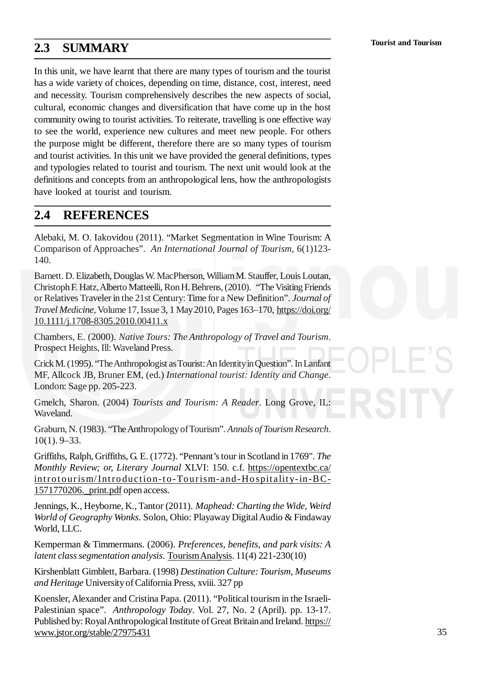#### **2.3 SUMMARY**

In this unit, we have learnt that there are many types of tourism and the tourist has a wide variety of choices, depending on time, distance, cost, interest, need and necessity. Tourism comprehensively describes the new aspects of social, cultural, economic changes and diversification that have come up in the host community owing to tourist activities. To reiterate, travelling is one effective way to see the world, experience new cultures and meet new people. For others the purpose might be different, therefore there are so many types of tourism and tourist activities. In this unit we have provided the general definitions, types and typologies related to tourist and tourism. The next unit would look at the definitions and concepts from an anthropological lens, how the anthropologists have looked at tourist and tourism.

#### **2.4 REFERENCES**

Alebaki, M. O. Iakovidou (2011). "Market Segmentation in Wine Tourism: A Comparison of Approaches". *An International Journal of Tourism*, 6(1)123- 140.

Barnett. D. Elizabeth, Douglas W. MacPherson, WilliamM. Stauffer, Louis Loutan, ChristophF. Hatz,Alberto Matteelli, RonH. Behrens, (2010). "The Visiting Friends or Relatives Traveler in the 21st Century: Time for a New Definition". *Journal of Travel Medicine*, Volume 17, Issue 3, 1 May2010, Pages 163–170, https://doi.org/ 10.1111/j.1708-8305.2010.00411.x

Chambers, E. (2000). *Native Tours: The Anthropology of Travel and Tourism*. Prospect Heights, Ill: Waveland Press.

Crick M. (1995). "The Anthropologist as Tourist: An Identity in Question". In Lanfant MF, Allcock JB, Bruner EM, (ed.) *International tourist: Identity and Change*. London: Sage pp. 205-223.

Gmelch, Sharon. (2004) *Tourists and Tourism: A Reader*. Long Grove, IL: Waveland.

Graburn, N. (1983). "TheAnthropologyofTourism". *Annals of Tourism Research*. 10(1). 9–33.

Griffiths, Ralph, Griffiths, G. E. (1772). "Pennant's tour in Scotland in 1769". *The Monthly Review; or, Literary Journal* XLVI: 150. c.f. https://opentextbc.ca/ introtourism/Introduction-to-Tourism-and-Hospitality-in-BC-1571770206.\_print.pdf open access.

Jennings, K., Heyborne, K., Tantor (2011). *Maphead: Charting the Wide, Weird World of Geography Wonks*. Solon, Ohio: Playaway DigitalAudio & Findaway World, LLC.

Kemperman & Timmermans. (2006). *Preferences, benefits, and park visits: A latent class segmentation analysis*. TourismAnalysis. 11(4) 221-230(10)

Kirshenblatt Gimblett, Barbara. (1998) *Destination Culture: Tourism, Museums and Heritage* Universityof California Press, xviii. 327 pp

Koensler, Alexander and Cristina Papa. (2011). "Political tourism in the Israeli-Palestinian space". *Anthropology Today*. Vol. 27, No. 2 (April). pp. 13-17. Published by: Royal Anthropological Institute of Great Britain and Ireland. https:// www.jstor.org/stable/27975431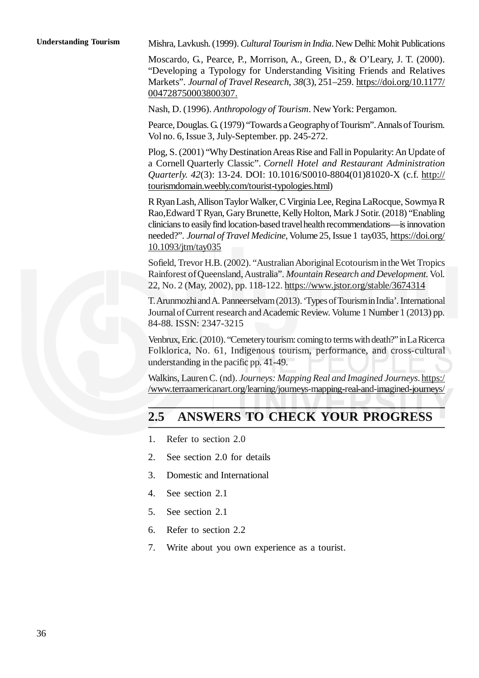Mishra, Lavkush. (1999).*Cultural Tourism in India*. New Delhi: Mohit Publications

Moscardo, G., Pearce, P., Morrison, A., Green, D., & O'Leary, J. T. (2000). "Developing a Typology for Understanding Visiting Friends and Relatives Markets". *Journal of Travel Research*, *38*(3), 251–259. https://doi.org/10.1177/ 004728750003800307.

Nash, D. (1996). *Anthropology of Tourism*. NewYork: Pergamon.

Pearce, Douglas. G. (1979) "Towards a Geography of Tourism". Annals of Tourism. Vol no. 6, Issue 3, July-September. pp. 245-272.

Plog, S. (2001) "Why Destination Areas Rise and Fall in Popularity: An Update of a Cornell Quarterly Classic". *Cornell Hotel and Restaurant Administration Quarterly. 42*(3): 13-24. DOI: 10.1016/S0010-8804(01)81020-X (c.f. http:// tourismdomain.weebly.com/tourist-typologies.html)

R RyanLash,AllisonTaylor Walker, C Virginia Lee, Regina LaRocque, Sowmya R Rao, Edward T Ryan, Gary Brunette, Kelly Holton, Mark J Sotir. (2018) "Enabling clinicians to easilyfind location-based travelhealth recommendations—is innovation needed?". *Journal of Travel Medicine*, Volume 25, Issue 1 tay035, https://doi.org/ 10.1093/jtm/tay035

Sofield, Trevor H.B. (2002). "Australian Aboriginal Ecotourism in the Wet Tropics Rainforest ofQueensland,Australia". *Mountain Research and Development.*Vol. 22, No. 2 (May, 2002), pp. 118-122. https://www.jstor.org/stable/3674314

T.ArunmozhiandA. Panneerselvam(2013).'TypesofTourisminIndia'. International Journal of Current research and Academic Review. Volume 1 Number 1 (2013) pp. 84-88. ISSN: 2347-3215

Venbrux, Eric. (2010). "Cemetery tourism: coming to terms with death?" in La Ricerca Folklorica, No. 61, Indigenous tourism, performance, and cross-cultural understanding in the pacific pp. 41-49.

Walkins, Lauren C. (nd). *Journeys: Mapping Real and Imagined Journeys*. https:/ /www.terraamericanart.org/learning/journeys-mapping-real-and-imagined-journeys/

#### **2.5 ANSWERS TO CHECK YOUR PROGRESS**

- 1. Refer to section 2.0
- 2. See section 2.0 for details
- 3. Domestic and International
- 4. See section 2.1
- 5. See section 2.1
- 6. Refer to section 2.2
- 7. Write about you own experience as a tourist.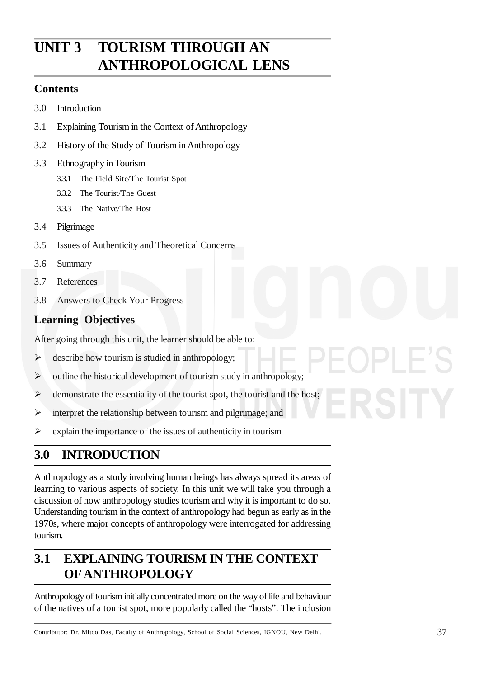# **UNIT 3 TOURISM THROUGH AN ANTHROPOLOGICAL LENS**

#### **Contents**

- 3.0 Introduction
- 3.1 Explaining Tourism in the Context of Anthropology
- 3.2 History of the Study of Tourism in Anthropology
- 3.3 Ethnography in Tourism
	- 3.3.1 The Field Site/The Tourist Spot
	- 3.3.2 The Tourist/The Guest
	- 3.3.3 The Native/The Host
- 3.4 Pilgrimage
- 3.5 Issues of Authenticity and Theoretical Concerns
- 3.6 Summary
- 3.7 References
- 3.8 Answers to Check Your Progress

### **Learning Objectives**

After going through this unit, the learner should be able to:

- $\triangleright$  describe how tourism is studied in anthropology;
- $\triangleright$  outline the historical development of tourism study in anthropology;
- $\triangleright$  demonstrate the essentiality of the tourist spot, the tourist and the host;
- $\triangleright$  interpret the relationship between tourism and pilgrimage; and
- $\triangleright$  explain the importance of the issues of authenticity in tourism

## **3.0 INTRODUCTION**

Anthropology as a study involving human beings has always spread its areas of learning to various aspects of society. In this unit we will take you through a discussion of how anthropology studies tourism and why it is important to do so. Understanding tourism in the context of anthropology had begun as early as in the 1970s, where major concepts of anthropology were interrogated for addressing tourism.

## **3.1 EXPLAINING TOURISM IN THE CONTEXT OFANTHROPOLOGY**

Anthropology of tourism initially concentrated more on the way of life and behaviour of the natives of a tourist spot, more popularly called the "hosts". The inclusion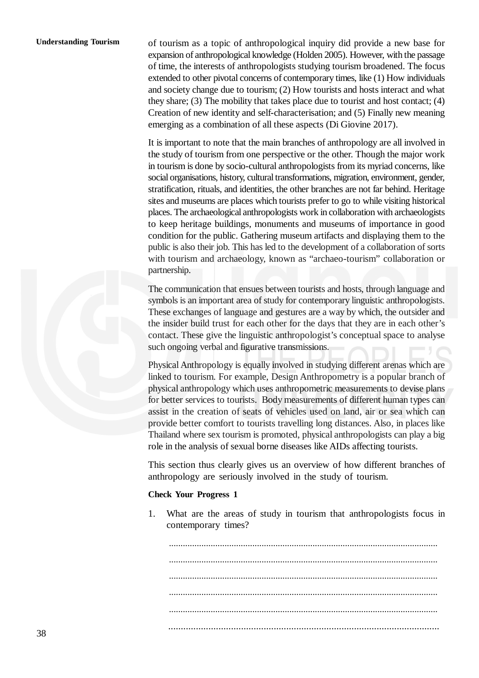#### **Understanding Tourism**

of tourism as a topic of anthropological inquiry did provide a new base for expansion of anthropological knowledge (Holden 2005). However, with the passage of time, the interests of anthropologists studying tourism broadened. The focus extended to other pivotal concerns of contemporary times, like (1) How individuals and society change due to tourism; (2) How tourists and hosts interact and what they share; (3) The mobility that takes place due to tourist and host contact; (4) Creation of new identity and self-characterisation; and (5) Finally new meaning emerging as a combination of all these aspects (Di Giovine 2017).

It is important to note that the main branches of anthropology are all involved in the study of tourism from one perspective or the other. Though the major work in tourism is done by socio-cultural anthropologists from its myriad concerns, like social organisations, history, cultural transformations, migration, environment, gender, stratification, rituals, and identities, the other branches are not far behind. Heritage sites and museums are places which tourists prefer to go to while visiting historical places. The archaeological anthropologists work in collaboration with archaeologists to keep heritage buildings, monuments and museums of importance in good condition for the public. Gathering museum artifacts and displaying them to the public is also their job. This has led to the development of a collaboration of sorts with tourism and archaeology, known as "archaeo-tourism" collaboration or partnership.

The communication that ensues between tourists and hosts, through language and symbols is an important area of study for contemporary linguistic anthropologists. These exchanges of language and gestures are a way by which, the outsider and the insider build trust for each other for the days that they are in each other's contact. These give the linguistic anthropologist's conceptual space to analyse such ongoing verbal and figurative transmissions.

Physical Anthropology is equally involved in studying different arenas which are linked to tourism. For example, Design Anthropometry is a popular branch of physical anthropology which uses anthropometric measurements to devise plans for better services to tourists. Body measurements of different human types can assist in the creation of seats of vehicles used on land, air or sea which can provide better comfort to tourists travelling long distances. Also, in places like Thailand where sex tourism is promoted, physical anthropologists can play a big role in the analysis of sexual borne diseases like AIDs affecting tourists.

This section thus clearly gives us an overview of how different branches of anthropology are seriously involved in the study of tourism.

#### **Check Your Progress 1**

1. What are the areas of study in tourism that anthropologists focus in contemporary times?

.................................................................................................................... .................................................................................................................... .................................................................................................................... .................................................................................................................... .................................................................................................................... ............................................................................................................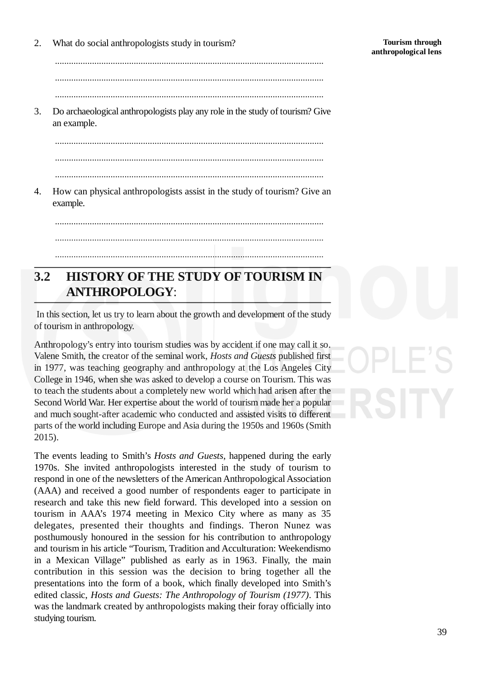**Tourism through anthropological lens**

2. What do social anthropologists study in tourism?

.................................................................................................................... .................................................................................................................... ....................................................................................................................

3. Do archaeological anthropologists play any role in the study of tourism? Give an example.

.................................................................................................................... .................................................................................................................... ....................................................................................................................

4. How can physical anthropologists assist in the study of tourism? Give an example.

....................................................................................................................

## ....................................................................................................................

## **3.2 HISTORY OF THE STUDY OF TOURISM IN ANTHROPOLOGY**:

....................................................................................................................

In this section, let us try to learn about the growth and development of the study of tourism in anthropology.

Anthropology's entry into tourism studies was by accident if one may call it so. Valene Smith, the creator of the seminal work, *Hosts and Guests* published first in 1977, was teaching geography and anthropology at the Los Angeles City College in 1946, when she was asked to develop a course on Tourism. This was to teach the students about a completely new world which had arisen after the Second World War. Her expertise about the world of tourism made her a popular and much sought-after academic who conducted and assisted visits to different parts of the world including Europe and Asia during the 1950s and 1960s (Smith 2015).

The events leading to Smith's *Hosts and Guests*, happened during the early 1970s. She invited anthropologists interested in the study of tourism to respond in one of the newsletters of the American Anthropological Association (AAA) and received a good number of respondents eager to participate in research and take this new field forward. This developed into a session on tourism in AAA's 1974 meeting in Mexico City where as many as 35 delegates, presented their thoughts and findings. Theron Nunez was posthumously honoured in the session for his contribution to anthropology and tourism in his article "Tourism, Tradition and Acculturation: Weekendismo in a Mexican Village" published as early as in 1963. Finally, the main contribution in this session was the decision to bring together all the presentations into the form of a book, which finally developed into Smith's edited classic, *Hosts and Guests: The Anthropology of Tourism (1977)*. This was the landmark created by anthropologists making their foray officially into studying tourism.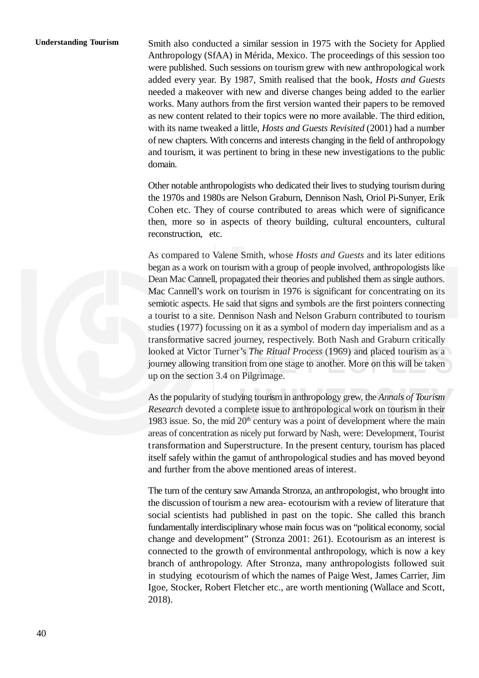#### **Understanding Tourism**

Smith also conducted a similar session in 1975 with the Society for Applied Anthropology (SfAA) in Mérida, Mexico. The proceedings of this session too were published. Such sessions on tourism grew with new anthropological work added every year. By 1987, Smith realised that the book, *Hosts and Guests* needed a makeover with new and diverse changes being added to the earlier works. Many authors from the first version wanted their papers to be removed as new content related to their topics were no more available. The third edition, with its name tweaked a little, *Hosts and Guests Revisited* (2001) had a number of new chapters. With concerns and interests changing in the field of anthropology and tourism, it was pertinent to bring in these new investigations to the public domain.

Other notable anthropologists who dedicated their lives to studying tourism during the 1970s and 1980s are Nelson Graburn, Dennison Nash, Oriol Pi-Sunyer, Erik Cohen etc. They of course contributed to areas which were of significance then, more so in aspects of theory building, cultural encounters, cultural reconstruction, etc.

As compared to Valene Smith, whose *Hosts and Guests* and its later editions began as a work on tourism with a group of people involved, anthropologists like Dean Mac Cannell, propagated their theories and published them as single authors. Mac Cannell's work on tourism in 1976 is significant for concentrating on its semiotic aspects. He said that signs and symbols are the first pointers connecting a tourist to a site. Dennison Nash and Nelson Graburn contributed to tourism studies (1977) focussing on it as a symbol of modern day imperialism and as a transformative sacred journey, respectively. Both Nash and Graburn critically looked at Victor Turner's *The Ritual Process* (1969) and placed tourism as a journey allowing transition from one stage to another. More on this will be taken up on the section 3.4 on Pilgrimage.

As the popularity of studying tourism in anthropology grew, the *Annals of Tourism Research* devoted a complete issue to anthropological work on tourism in their 1983 issue. So, the mid  $20<sup>th</sup>$  century was a point of development where the main areas of concentration as nicely put forward by Nash, were: Development, Tourist transformation and Superstructure. In the present century, tourism has placed itself safely within the gamut of anthropological studies and has moved beyond and further from the above mentioned areas of interest.

The turn of the century saw Amanda Stronza, an anthropologist, who brought into the discussion of tourism a new area- ecotourism with a review of literature that social scientists had published in past on the topic. She called this branch fundamentally interdisciplinary whose main focus was on "political economy, social change and development" (Stronza 2001: 261). Ecotourism as an interest is connected to the growth of environmental anthropology, which is now a key branch of anthropology. After Stronza, many anthropologists followed suit in studying ecotourism of which the names of Paige West, James Carrier, Jim Igoe, Stocker, Robert Fletcher etc., are worth mentioning (Wallace and Scott, 2018).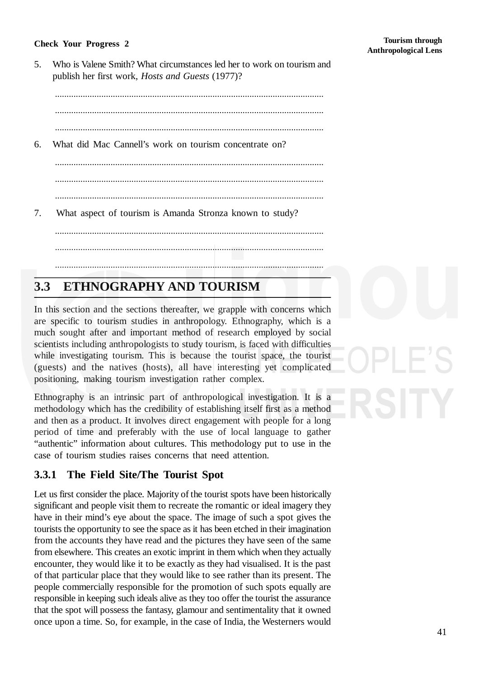#### **Check Your Progress 2**

41

5. Who is Valene Smith? What circumstances led her to work on tourism and publish her first work, *Hosts and Guests* (1977)?

....................................................................................................................

....................................................................................................................

....................................................................................................................

6. What did Mac Cannell's work on tourism concentrate on?

....................................................................................................................

....................................................................................................................

....................................................................................................................

....................................................................................................................

....................................................................................................................

- ....................................................................................................................
- 7. What aspect of tourism is Amanda Stronza known to study?

## **3.3 ETHNOGRAPHY AND TOURISM**

In this section and the sections thereafter, we grapple with concerns which are specific to tourism studies in anthropology. Ethnography, which is a much sought after and important method of research employed by social scientists including anthropologists to study tourism, is faced with difficulties while investigating tourism. This is because the tourist space, the tourist (guests) and the natives (hosts), all have interesting yet complicated positioning, making tourism investigation rather complex.

Ethnography is an intrinsic part of anthropological investigation. It is a methodology which has the credibility of establishing itself first as a method and then as a product. It involves direct engagement with people for a long period of time and preferably with the use of local language to gather "authentic" information about cultures. This methodology put to use in the case of tourism studies raises concerns that need attention.

#### **3.3.1 The Field Site/The Tourist Spot**

Let us first consider the place. Majority of the tourist spots have been historically significant and people visit them to recreate the romantic or ideal imagery they have in their mind's eye about the space. The image of such a spot gives the tourists the opportunity to see the space as it has been etched in their imagination from the accounts they have read and the pictures they have seen of the same from elsewhere. This creates an exotic imprint in them which when they actually encounter, they would like it to be exactly as they had visualised. It is the past of that particular place that they would like to see rather than its present. The people commercially responsible for the promotion of such spots equally are responsible in keeping such ideals alive as they too offer the tourist the assurance that the spot will possess the fantasy, glamour and sentimentality that it owned once upon a time. So, for example, in the case of India, the Westerners would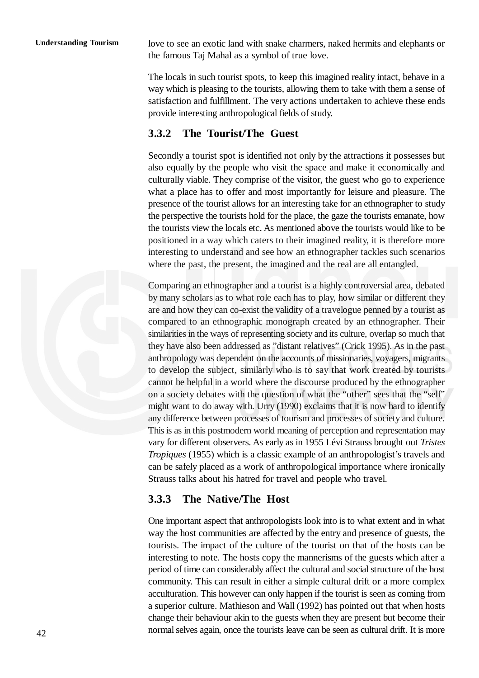love to see an exotic land with snake charmers, naked hermits and elephants or the famous Taj Mahal as a symbol of true love.

The locals in such tourist spots, to keep this imagined reality intact, behave in a way which is pleasing to the tourists, allowing them to take with them a sense of satisfaction and fulfillment. The very actions undertaken to achieve these ends provide interesting anthropological fields of study.

#### **3.3.2 The Tourist/The Guest**

Secondly a tourist spot is identified not only by the attractions it possesses but also equally by the people who visit the space and make it economically and culturally viable. They comprise of the visitor, the guest who go to experience what a place has to offer and most importantly for leisure and pleasure. The presence of the tourist allows for an interesting take for an ethnographer to study the perspective the tourists hold for the place, the gaze the tourists emanate, how the tourists view the locals etc. As mentioned above the tourists would like to be positioned in a way which caters to their imagined reality, it is therefore more interesting to understand and see how an ethnographer tackles such scenarios where the past, the present, the imagined and the real are all entangled.

Comparing an ethnographer and a tourist is a highly controversial area, debated by many scholars as to what role each has to play, how similar or different they are and how they can co-exist the validity of a travelogue penned by a tourist as compared to an ethnographic monograph created by an ethnographer. Their similarities in the ways of representing society and its culture, overlap so much that they have also been addressed as "distant relatives" (Crick 1995). As in the past anthropology was dependent on the accounts of missionaries, voyagers, migrants to develop the subject, similarly who is to say that work created by tourists cannot be helpful in a world where the discourse produced by the ethnographer on a society debates with the question of what the "other" sees that the "self" might want to do away with. Urry (1990) exclaims that it is now hard to identify any difference between processes of tourism and processes of society and culture. This is as in this postmodern world meaning of perception and representation may vary for different observers. As early as in 1955 Lévi Strauss brought out *Tristes Tropiques* (1955) which is a classic example of an anthropologist's travels and can be safely placed as a work of anthropological importance where ironically Strauss talks about his hatred for travel and people who travel.

#### **3.3.3 The Native/The Host**

One important aspect that anthropologists look into is to what extent and in what way the host communities are affected by the entry and presence of guests, the tourists. The impact of the culture of the tourist on that of the hosts can be interesting to note. The hosts copy the mannerisms of the guests which after a period of time can considerably affect the cultural and social structure of the host community. This can result in either a simple cultural drift or a more complex acculturation. This however can only happen if the tourist is seen as coming from a superior culture. Mathieson and Wall (1992) has pointed out that when hosts change their behaviour akin to the guests when they are present but become their normal selves again, once the tourists leave can be seen as cultural drift. It is more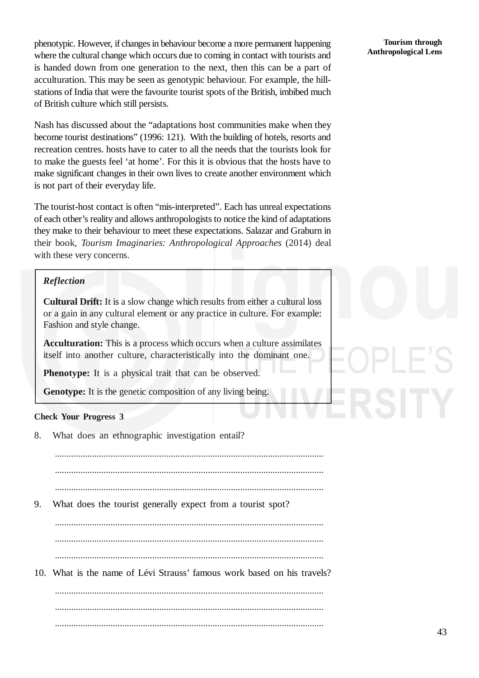phenotypic. However, if changes in behaviour become a more permanent happening where the cultural change which occurs due to coming in contact with tourists and is handed down from one generation to the next, then this can be a part of acculturation. This may be seen as genotypic behaviour. For example, the hillstations of India that were the favourite tourist spots of the British, imbibed much of British culture which still persists.

Nash has discussed about the "adaptations host communities make when they become tourist destinations" (1996: 121). With the building of hotels, resorts and recreation centres. hosts have to cater to all the needs that the tourists look for to make the guests feel 'at home'. For this it is obvious that the hosts have to make significant changes in their own lives to create another environment which is not part of their everyday life.

The tourist-host contact is often "mis-interpreted". Each has unreal expectations of each other's reality and allows anthropologists to notice the kind of adaptations they make to their behaviour to meet these expectations. Salazar and Graburn in their book, *Tourism Imaginaries: Anthropological Approaches* (2014) deal with these very concerns.

#### *Reflection*

**Cultural Drift:** It is a slow change which results from either a cultural loss or a gain in any cultural element or any practice in culture. For example: Fashion and style change.

**Acculturation:** This is a process which occurs when a culture assimilates itself into another culture, characteristically into the dominant one.

**Phenotype:** It is a physical trait that can be observed.

**Genotype:** It is the genetic composition of any living being.

#### **Check Your Progress 3**

8. What does an ethnographic investigation entail?

.................................................................................................................... ....................................................................................................................

- ....................................................................................................................
- 9. What does the tourist generally expect from a tourist spot?

.................................................................................................................... ....................................................................................................................

....................................................................................................................

10. What is the name of Lévi Strauss' famous work based on his travels?

.................................................................................................................... .................................................................................................................... ....................................................................................................................

#### **Tourism through Anthropological Lens**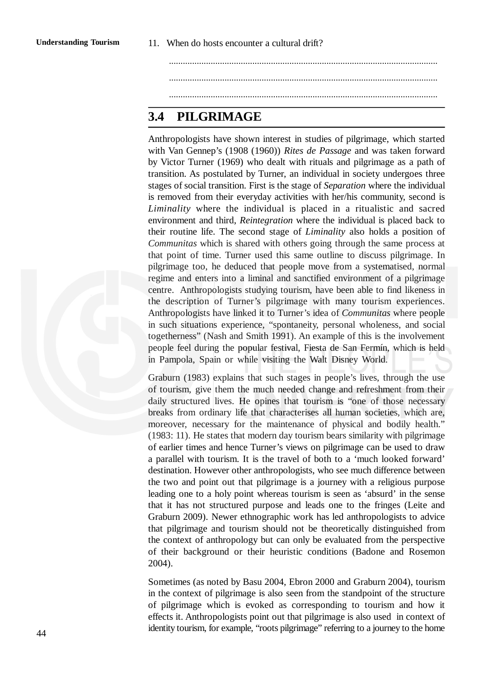.................................................................................................................... .................................................................................................................... ....................................................................................................................

## **3.4 PILGRIMAGE**

Anthropologists have shown interest in studies of pilgrimage, which started with Van Gennep's (1908 (1960)) *Rites de Passage* and was taken forward by Victor Turner (1969) who dealt with rituals and pilgrimage as a path of transition. As postulated by Turner, an individual in society undergoes three stages of social transition. First is the stage of *Separation* where the individual is removed from their everyday activities with her/his community, second is *Liminality* where the individual is placed in a ritualistic and sacred environment and third, *Reintegration* where the individual is placed back to their routine life. The second stage of *Liminality* also holds a position of *Communitas* which is shared with others going through the same process at that point of time. Turner used this same outline to discuss pilgrimage. In pilgrimage too, he deduced that people move from a systematised, normal regime and enters into a liminal and sanctified environment of a pilgrimage centre. Anthropologists studying tourism, have been able to find likeness in the description of Turner's pilgrimage with many tourism experiences. Anthropologists have linked it to Turner's idea of *Communitas* where people in such situations experience, "spontaneity, personal wholeness, and social togetherness" (Nash and Smith 1991). An example of this is the involvement people feel during the popular festival, Fiesta de San Fermín, which is held in Pampola, Spain or while visiting the Walt Disney World.

Graburn (1983) explains that such stages in people's lives, through the use of tourism, give them the much needed change and refreshment from their daily structured lives. He opines that tourism is "one of those necessary breaks from ordinary life that characterises all human societies, which are, moreover, necessary for the maintenance of physical and bodily health." (1983: 11). He states that modern day tourism bears similarity with pilgrimage of earlier times and hence Turner's views on pilgrimage can be used to draw a parallel with tourism. It is the travel of both to a 'much looked forward' destination. However other anthropologists, who see much difference between the two and point out that pilgrimage is a journey with a religious purpose leading one to a holy point whereas tourism is seen as 'absurd' in the sense that it has not structured purpose and leads one to the fringes (Leite and Graburn 2009). Newer ethnographic work has led anthropologists to advice that pilgrimage and tourism should not be theoretically distinguished from the context of anthropology but can only be evaluated from the perspective of their background or their heuristic conditions (Badone and Rosemon 2004).

Sometimes (as noted by Basu 2004, Ebron 2000 and Graburn 2004), tourism in the context of pilgrimage is also seen from the standpoint of the structure of pilgrimage which is evoked as corresponding to tourism and how it effects it. Anthropologists point out that pilgrimage is also used in context of identity tourism, for example, "roots pilgrimage" referring to a journey to the home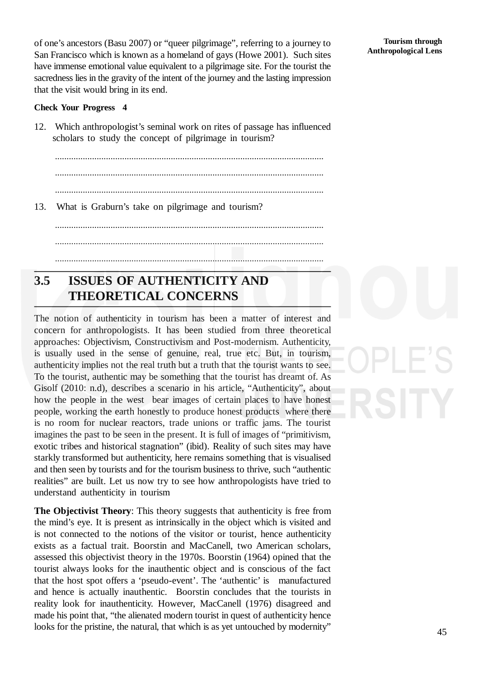of one's ancestors (Basu 2007) or "queer pilgrimage", referring to a journey to San Francisco which is known as a homeland of gays (Howe 2001). Such sites have immense emotional value equivalent to a pilgrimage site. For the tourist the sacredness lies in the gravity of the intent of the journey and the lasting impression that the visit would bring in its end.

#### **Check Your Progress 4**

12. Which anthropologist's seminal work on rites of passage has influenced scholars to study the concept of pilgrimage in tourism?

.................................................................................................................... .................................................................................................................... ....................................................................................................................

13. What is Graburn's take on pilgrimage and tourism?

....................................................................................................................

....................................................................................................................

....................................................................................................................

## **3.5 ISSUES OF AUTHENTICITY AND THEORETICAL CONCERNS**

The notion of authenticity in tourism has been a matter of interest and concern for anthropologists. It has been studied from three theoretical approaches: Objectivism, Constructivism and Post-modernism. Authenticity, is usually used in the sense of genuine, real, true etc. But, in tourism, authenticity implies not the real truth but a truth that the tourist wants to see. To the tourist, authentic may be something that the tourist has dreamt of. As Gisolf (2010: n.d), describes a scenario in his article, "Authenticity", about how the people in the west bear images of certain places to have honest people, working the earth honestly to produce honest products where there is no room for nuclear reactors, trade unions or traffic jams. The tourist imagines the past to be seen in the present. It is full of images of "primitivism, exotic tribes and historical stagnation" (ibid). Reality of such sites may have starkly transformed but authenticity, here remains something that is visualised and then seen by tourists and for the tourism business to thrive, such "authentic realities" are built. Let us now try to see how anthropologists have tried to understand authenticity in tourism

**The Objectivist Theory**: This theory suggests that authenticity is free from the mind's eye. It is present as intrinsically in the object which is visited and is not connected to the notions of the visitor or tourist, hence authenticity exists as a factual trait. Boorstin and MacCanell, two American scholars, assessed this objectivist theory in the 1970s. Boorstin (1964) opined that the tourist always looks for the inauthentic object and is conscious of the fact that the host spot offers a 'pseudo-event'. The 'authentic' is manufactured and hence is actually inauthentic. Boorstin concludes that the tourists in reality look for inauthenticity. However, MacCanell (1976) disagreed and made his point that, "the alienated modern tourist in quest of authenticity hence looks for the pristine, the natural, that which is as yet untouched by modernity"

**Tourism through Anthropological Lens**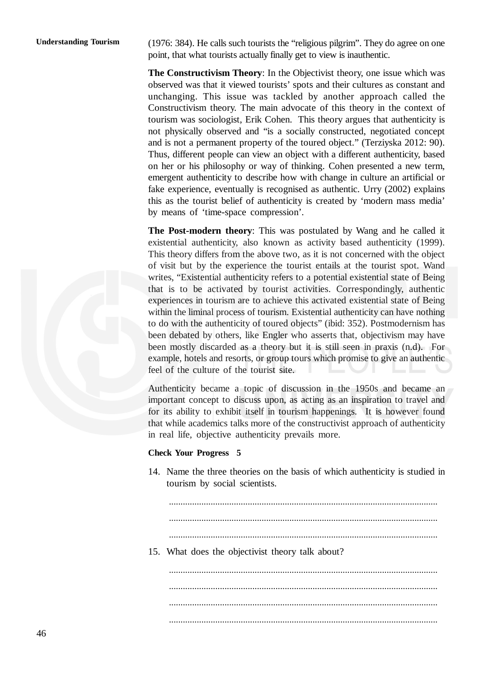(1976: 384). He calls such tourists the "religious pilgrim". They do agree on one point, that what tourists actually finally get to view is inauthentic.

**The Constructivism Theory**: In the Objectivist theory, one issue which was observed was that it viewed tourists' spots and their cultures as constant and unchanging. This issue was tackled by another approach called the Constructivism theory. The main advocate of this theory in the context of tourism was sociologist, Erik Cohen. This theory argues that authenticity is not physically observed and "is a socially constructed, negotiated concept and is not a permanent property of the toured object." (Terziyska 2012: 90). Thus, different people can view an object with a different authenticity, based on her or his philosophy or way of thinking. Cohen presented a new term, emergent authenticity to describe how with change in culture an artificial or fake experience, eventually is recognised as authentic. Urry (2002) explains this as the tourist belief of authenticity is created by 'modern mass media' by means of 'time-space compression'.

**The Post-modern theory**: This was postulated by Wang and he called it existential authenticity, also known as activity based authenticity (1999). This theory differs from the above two, as it is not concerned with the object of visit but by the experience the tourist entails at the tourist spot. Wand writes, "Existential authenticity refers to a potential existential state of Being that is to be activated by tourist activities. Correspondingly, authentic experiences in tourism are to achieve this activated existential state of Being within the liminal process of tourism. Existential authenticity can have nothing to do with the authenticity of toured objects" (ibid: 352). Postmodernism has been debated by others, like Engler who asserts that, objectivism may have been mostly discarded as a theory but it is still seen in praxis (n.d). For example, hotels and resorts, or group tours which promise to give an authentic feel of the culture of the tourist site.

Authenticity became a topic of discussion in the 1950s and became an important concept to discuss upon, as acting as an inspiration to travel and for its ability to exhibit itself in tourism happenings. It is however found that while academics talks more of the constructivist approach of authenticity in real life, objective authenticity prevails more.

#### **Check Your Progress 5**

14. Name the three theories on the basis of which authenticity is studied in tourism by social scientists.

....................................................................................................................

....................................................................................................................

- ....................................................................................................................
- 15. What does the objectivist theory talk about?

.................................................................................................................... .................................................................................................................... ....................................................................................................................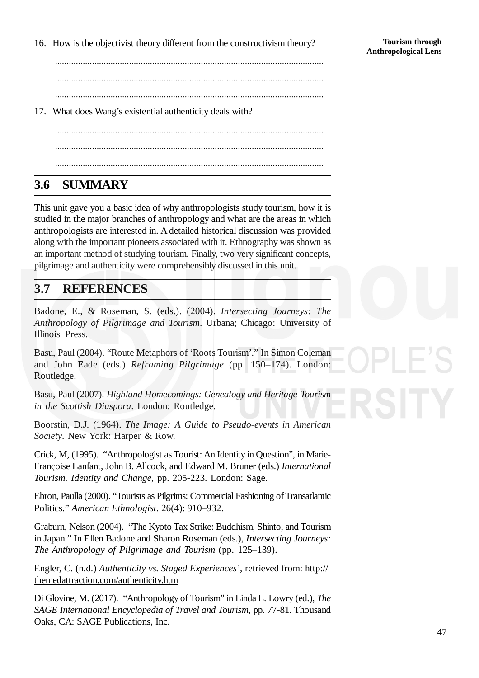16. How is the objectivist theory different from the constructivism theory?

.................................................................................................................... .................................................................................................................... ....................................................................................................................

17. What does Wang's existential authenticity deals with?

.................................................................................................................... .................................................................................................................... ....................................................................................................................

# **3.6 SUMMARY**

This unit gave you a basic idea of why anthropologists study tourism, how it is studied in the major branches of anthropology and what are the areas in which anthropologists are interested in. A detailed historical discussion was provided along with the important pioneers associated with it. Ethnography was shown as an important method of studying tourism. Finally, two very significant concepts, pilgrimage and authenticity were comprehensibly discussed in this unit.

## **3.7 REFERENCES**

Badone, E., & Roseman, S. (eds.). (2004). *Intersecting Journeys: The Anthropology of Pilgrimage and Tourism*. Urbana; Chicago: University of Illinois Press.

Basu, Paul (2004). "Route Metaphors of 'Roots Tourism'." In Simon Coleman and John Eade (eds.) *Reframing Pilgrimage* (pp. 150–174). London: Routledge.

Basu, Paul (2007). *Highland Homecomings: Genealogy and Heritage-Tourism in the Scottish Diaspora*. London: Routledge.

Boorstin, D.J. (1964). *The Image: A Guide to Pseudo-events in American Society*. New York: Harper & Row.

Crick, M, (1995). "Anthropologist as Tourist: An Identity in Question", in Marie-Françoise Lanfant, John B. Allcock, and Edward M. Bruner (eds.) *International Tourism. Identity and Change*, pp. 205-223. London: Sage.

Ebron, Paulla (2000). "Tourists as Pilgrims: Commercial Fashioning of Transatlantic Politics." *American Ethnologist*. 26(4): 910–932.

Graburn, Nelson (2004). "The Kyoto Tax Strike: Buddhism, Shinto, and Tourism in Japan." In Ellen Badone and Sharon Roseman (eds.), *Intersecting Journeys: The Anthropology of Pilgrimage and Tourism* (pp. 125–139).

Engler, C. (n.d.) *Authenticity vs. Staged Experiences'*, retrieved from: http:// themedattraction.com/authenticity.htm

Di Glovine, M. (2017). "Anthropology of Tourism" in Linda L. Lowry (ed.), *The SAGE International Encyclopedia of Travel and Tourism*, pp. 77-81. Thousand Oaks, CA: SAGE Publications, Inc.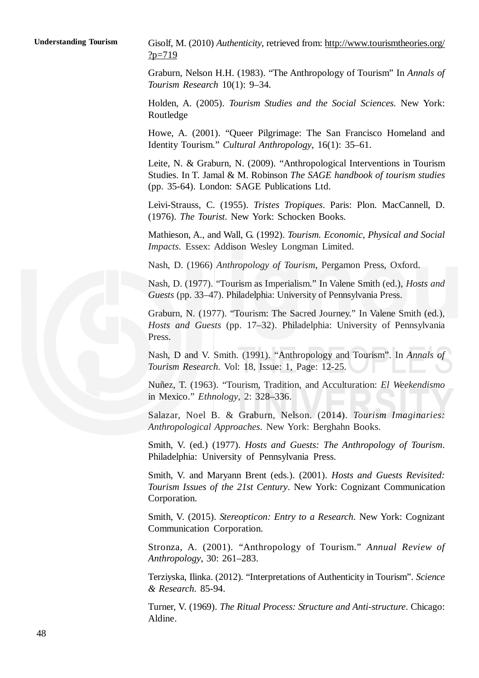Gisolf, M. (2010) *Authenticity*, retrieved from: http://www.tourismtheories.org/  $?p=719$ 

Graburn, Nelson H.H. (1983). "The Anthropology of Tourism" In *Annals of Tourism Research* 10(1): 9–34.

Holden, A. (2005). *Tourism Studies and the Social Sciences.* New York: Routledge

Howe, A. (2001). "Queer Pilgrimage: The San Francisco Homeland and Identity Tourism." *Cultural Anthropology*, 16(1): 35–61.

Leite, N. & Graburn, N. (2009). "Anthropological Interventions in Tourism Studies. In T. Jamal & M. Robinson *The SAGE handbook of tourism studies* (pp. 35-64). London: SAGE Publications Ltd.

Leìvi-Strauss, C. (1955). *Tristes Tropiques*. Paris: Plon. MacCannell, D. (1976). *The Tourist*. New York: Schocken Books.

Mathieson, A., and Wall, G. (1992). *Tourism. Economic, Physical and Social Impacts*. Essex: Addison Wesley Longman Limited.

Nash, D. (1966) *Anthropology of Tourism*, Pergamon Press, Oxford.

Nash, D. (1977). "Tourism as Imperialism." In Valene Smith (ed.), *Hosts and Guests* (pp. 33–47). Philadelphia: University of Pennsylvania Press.

Graburn, N. (1977). "Tourism: The Sacred Journey." In Valene Smith (ed.), *Hosts and Guests* (pp. 17–32). Philadelphia: University of Pennsylvania Press.

Nash, D and V. Smith. (1991). "Anthropology and Tourism". In *Annals of Tourism Research*. Vol: 18, Issue: 1, Page: 12-25.

Nuñez, T. (1963). "Tourism, Tradition, and Acculturation: *El Weekendismo* in Mexico." *Ethnology*, 2: 328–336.

Salazar, Noel B. & Graburn, Nelson. (2014). *Tourism Imaginaries: Anthropological Approaches*. New York: Berghahn Books.

Smith, V. (ed.) (1977). *Hosts and Guests: The Anthropology of Tourism*. Philadelphia: University of Pennsylvania Press.

Smith, V. and Maryann Brent (eds.). (2001). *Hosts and Guests Revisited: Tourism Issues of the 21st Century*. New York: Cognizant Communication Corporation.

Smith, V. (2015). *Stereopticon: Entry to a Research*. New York: Cognizant Communication Corporation.

Stronza, A. (2001). "Anthropology of Tourism." *Annual Review of Anthropology*, 30: 261–283.

Terziyska, Ilinka. (2012). "Interpretations of Authenticity in Tourism". *Science & Research*. 85-94.

Turner, V. (1969). *The Ritual Process: Structure and Anti-structure*. Chicago: Aldine.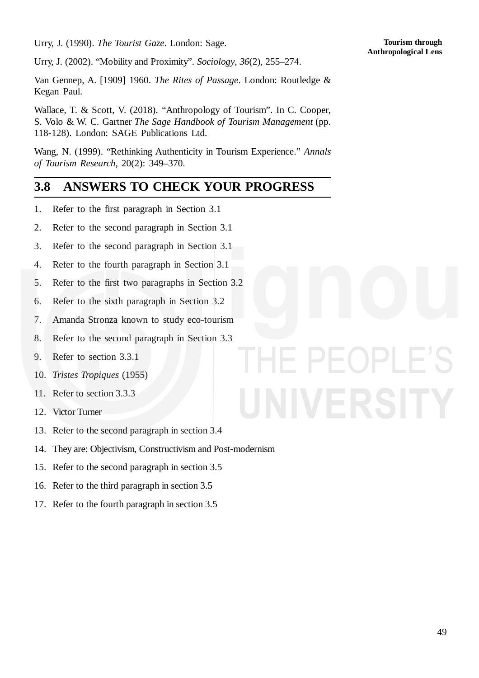Urry, J. (1990). *The Tourist Gaze*. London: Sage.

 $-()$ 

Urry, J. (2002). "Mobility and Proximity". *Sociology*, *36*(2), 255–274.

Van Gennep, A. [1909] 1960. *The Rites of Passage*. London: Routledge & Kegan Paul.

Wallace, T. & Scott, V. (2018). "Anthropology of Tourism". In C. Cooper, S. Volo & W. C. Gartner *The Sage Handbook of Tourism Management* (pp. 118-128). London: SAGE Publications Ltd.

Wang, N. (1999). "Rethinking Authenticity in Tourism Experience." *Annals of Tourism Research*, 20(2): 349–370.

## **3.8 ANSWERS TO CHECK YOUR PROGRESS**

- 1. Refer to the first paragraph in Section 3.1
- 2. Refer to the second paragraph in Section 3.1
- 3. Refer to the second paragraph in Section 3.1
- 4. Refer to the fourth paragraph in Section 3.1
- 5. Refer to the first two paragraphs in Section 3.2
- 6. Refer to the sixth paragraph in Section 3.2
- 7. Amanda Stronza known to study eco-tourism
- 8. Refer to the second paragraph in Section 3.3
- 9. Refer to section 3.3.1
- 10. *Tristes Tropiques* (1955)
- 11. Refer to section 3.3.3
- 12. Victor Turner
- 13. Refer to the second paragraph in section 3.4
- 14. They are: Objectivism, Constructivism and Post-modernism
- 15. Refer to the second paragraph in section 3.5
- 16. Refer to the third paragraph in section 3.5
- 17. Refer to the fourth paragraph in section 3.5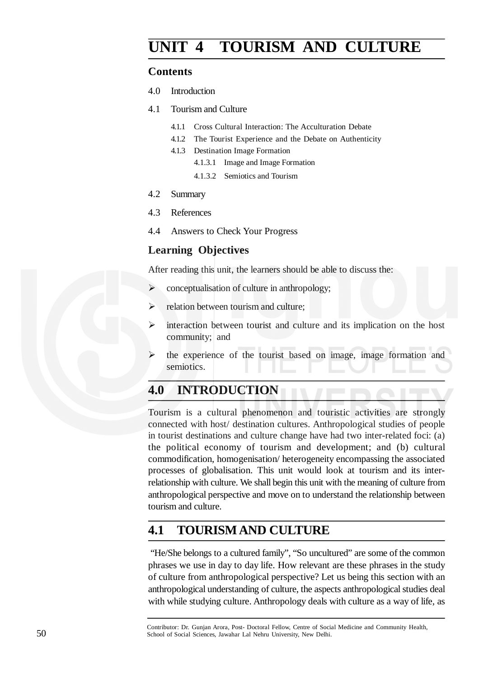# **UNIT 4 TOURISM AND CULTURE**

#### **Contents**

- 4.0 Introduction
- 4.1 Tourism and Culture
	- 4.1.1 Cross Cultural Interaction: The Acculturation Debate
	- 4.1.2 The Tourist Experience and the Debate on Authenticity
	- 4.1.3 Destination Image Formation
		- 4.1.3.1 Image and Image Formation
		- 4.1.3.2 Semiotics and Tourism

#### 4.2 Summary

- 4.3 References
- 4.4 Answers to Check Your Progress

#### **Learning Objectives**

After reading this unit, the learners should be able to discuss the:

- $\triangleright$  conceptualisation of culture in anthropology;
- $\triangleright$  relation between tourism and culture:
- $\triangleright$  interaction between tourist and culture and its implication on the host community; and
- the experience of the tourist based on image, image formation and semiotics.

## **4.0 INTRODUCTION**

Tourism is a cultural phenomenon and touristic activities are strongly connected with host/ destination cultures. Anthropological studies of people in tourist destinations and culture change have had two inter-related foci: (a) the political economy of tourism and development; and (b) cultural commodification, homogenisation/ heterogeneity encompassing the associated processes of globalisation. This unit would look at tourism and its interrelationship with culture. We shall begin this unit with the meaning of culture from anthropological perspective and move on to understand the relationship between tourism and culture.

## **4.1 TOURISMAND CULTURE**

"He/She belongs to a cultured family", "So uncultured" are some of the common phrases we use in day to day life. How relevant are these phrases in the study of culture from anthropological perspective? Let us being this section with an anthropological understanding of culture, the aspects anthropological studies deal with while studying culture. Anthropology deals with culture as a way of life, as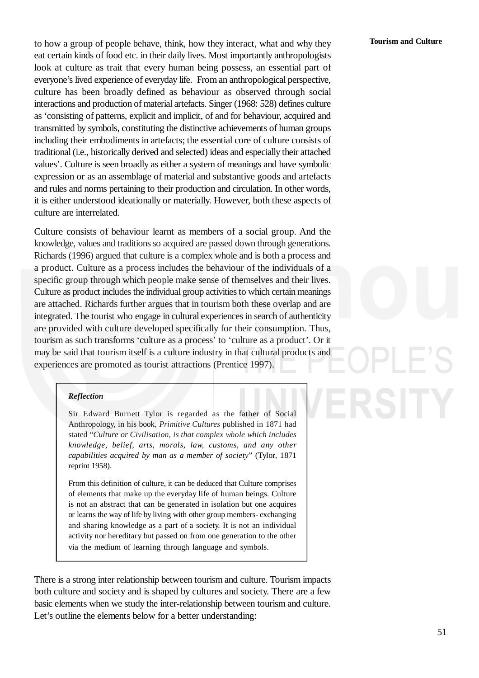# **Tourism and Culture**

to how a group of people behave, think, how they interact, what and why they eat certain kinds of food etc. in their daily lives. Most importantly anthropologists look at culture as trait that every human being possess, an essential part of everyone's lived experience of everyday life. From an anthropological perspective, culture has been broadly defined as behaviour as observed through social interactions and production of material artefacts. Singer (1968: 528) defines culture as 'consisting of patterns, explicit and implicit, of and for behaviour, acquired and transmitted by symbols, constituting the distinctive achievements of human groups including their embodiments in artefacts; the essential core of culture consists of traditional (i.e., historically derived and selected) ideas and especially their attached values'. Culture is seen broadly as either a system of meanings and have symbolic expression or as an assemblage of material and substantive goods and artefacts and rules and norms pertaining to their production and circulation. In other words, it is either understood ideationally or materially. However, both these aspects of culture are interrelated.

Culture consists of behaviour learnt as members of a social group. And the knowledge, values and traditions so acquired are passed down through generations. Richards (1996) argued that culture is a complex whole and is both a process and a product. Culture as a process includes the behaviour of the individuals of a specific group through which people make sense of themselves and their lives. Culture as product includes the individual group activities to which certain meanings are attached. Richards further argues that in tourism both these overlap and are integrated. The tourist who engage in cultural experiences in search of authenticity are provided with culture developed specifically for their consumption. Thus, tourism as such transforms 'culture as a process' to 'culture as a product'. Or it may be said that tourism itself is a culture industry in that cultural products and experiences are promoted as tourist attractions (Prentice 1997).

#### *Reflection*

Sir Edward Burnett Tylor is regarded as the father of Social Anthropology, in his book, *Primitive Cultures* published in 1871 had stated "*Culture or Civilisation, is that complex whole which includes knowledge, belief, arts, morals, law, customs, and any other capabilities acquired by man as a member of society*" (Tylor, 1871 reprint 1958).

From this definition of culture, it can be deduced that Culture comprises of elements that make up the everyday life of human beings. Culture is not an abstract that can be generated in isolation but one acquires or learns the way of life by living with other group members- exchanging and sharing knowledge as a part of a society. It is not an individual activity nor hereditary but passed on from one generation to the other via the medium of learning through language and symbols.

There is a strong inter relationship between tourism and culture. Tourism impacts both culture and society and is shaped by cultures and society. There are a few basic elements when we study the inter-relationship between tourism and culture. Let's outline the elements below for a better understanding: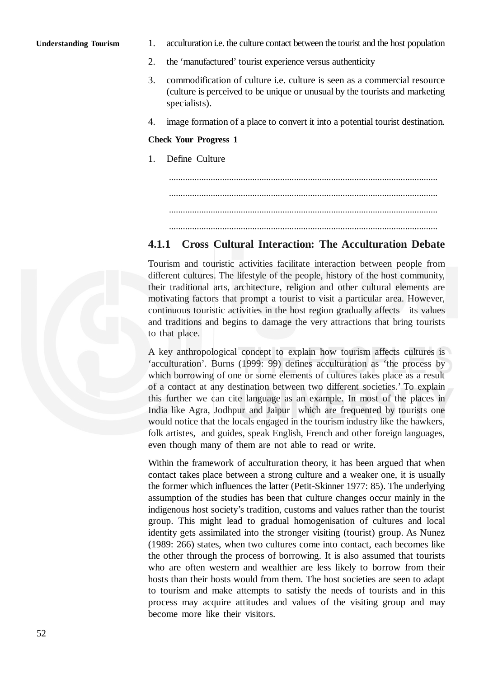#### **Understanding Tourism**

- 1. acculturation i.e. the culture contact between the tourist and the host population
- 2. the 'manufactured' tourist experience versus authenticity
- 3. commodification of culture i.e. culture is seen as a commercial resource (culture is perceived to be unique or unusual by the tourists and marketing specialists).
- 4. image formation of a place to convert it into a potential tourist destination.

#### **Check Your Progress 1**

- 1. Define Culture .................................................................................................................... ....................................................................................................................
	- ....................................................................................................................

....................................................................................................................

#### **4.1.1 Cross Cultural Interaction: The Acculturation Debate**

Tourism and touristic activities facilitate interaction between people from different cultures. The lifestyle of the people, history of the host community, their traditional arts, architecture, religion and other cultural elements are motivating factors that prompt a tourist to visit a particular area. However, continuous touristic activities in the host region gradually affects its values and traditions and begins to damage the very attractions that bring tourists to that place.

A key anthropological concept to explain how tourism affects cultures is 'acculturation'. Burns (1999: 99) defines acculturation as 'the process by which borrowing of one or some elements of cultures takes place as a result of a contact at any destination between two different societies.' To explain this further we can cite language as an example. In most of the places in India like Agra, Jodhpur and Jaipur which are frequented by tourists one would notice that the locals engaged in the tourism industry like the hawkers, folk artistes, and guides, speak English, French and other foreign languages, even though many of them are not able to read or write.

Within the framework of acculturation theory, it has been argued that when contact takes place between a strong culture and a weaker one, it is usually the former which influences the latter (Petit-Skinner 1977: 85). The underlying assumption of the studies has been that culture changes occur mainly in the indigenous host society's tradition, customs and values rather than the tourist group. This might lead to gradual homogenisation of cultures and local identity gets assimilated into the stronger visiting (tourist) group. As Nunez (1989: 266) states, when two cultures come into contact, each becomes like the other through the process of borrowing. It is also assumed that tourists who are often western and wealthier are less likely to borrow from their hosts than their hosts would from them. The host societies are seen to adapt to tourism and make attempts to satisfy the needs of tourists and in this process may acquire attitudes and values of the visiting group and may become more like their visitors.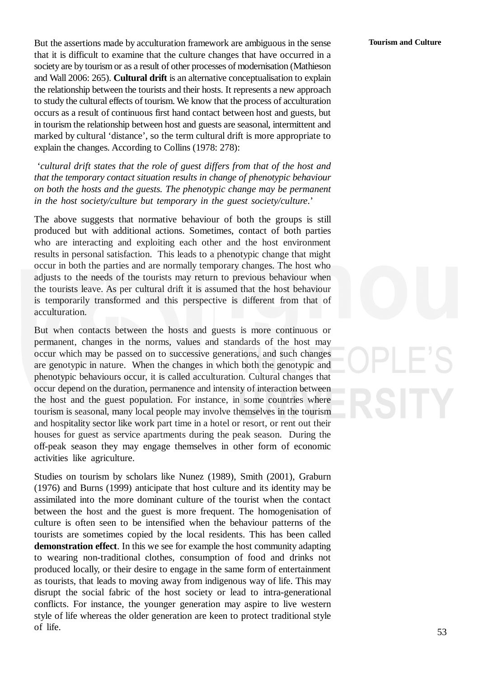But the assertions made by acculturation framework are ambiguous in the sense that it is difficult to examine that the culture changes that have occurred in a society are by tourism or as a result of other processes of modernisation (Mathieson and Wall 2006: 265). **Cultural drift** is an alternative conceptualisation to explain the relationship between the tourists and their hosts. It represents a new approach to study the cultural effects of tourism. We know that the process of acculturation occurs as a result of continuous first hand contact between host and guests, but in tourism the relationship between host and guests are seasonal, intermittent and marked by cultural 'distance', so the term cultural drift is more appropriate to explain the changes. According to Collins (1978: 278):

'*cultural drift states that the role of guest differs from that of the host and that the temporary contact situation results in change of phenotypic behaviour on both the hosts and the guests. The phenotypic change may be permanent in the host society/culture but temporary in the guest society/culture*.'

The above suggests that normative behaviour of both the groups is still produced but with additional actions. Sometimes, contact of both parties who are interacting and exploiting each other and the host environment results in personal satisfaction. This leads to a phenotypic change that might occur in both the parties and are normally temporary changes. The host who adjusts to the needs of the tourists may return to previous behaviour when the tourists leave. As per cultural drift it is assumed that the host behaviour is temporarily transformed and this perspective is different from that of acculturation.

But when contacts between the hosts and guests is more continuous or permanent, changes in the norms, values and standards of the host may occur which may be passed on to successive generations, and such changes are genotypic in nature. When the changes in which both the genotypic and phenotypic behaviours occur, it is called acculturation. Cultural changes that occur depend on the duration, permanence and intensity of interaction between the host and the guest population. For instance, in some countries where tourism is seasonal, many local people may involve themselves in the tourism and hospitality sector like work part time in a hotel or resort, or rent out their houses for guest as service apartments during the peak season. During the off-peak season they may engage themselves in other form of economic activities like agriculture.

Studies on tourism by scholars like Nunez (1989), Smith (2001), Graburn (1976) and Burns (1999) anticipate that host culture and its identity may be assimilated into the more dominant culture of the tourist when the contact between the host and the guest is more frequent. The homogenisation of culture is often seen to be intensified when the behaviour patterns of the tourists are sometimes copied by the local residents. This has been called **demonstration effect**. In this we see for example the host community adapting to wearing non-traditional clothes, consumption of food and drinks not produced locally, or their desire to engage in the same form of entertainment as tourists, that leads to moving away from indigenous way of life. This may disrupt the social fabric of the host society or lead to intra-generational conflicts. For instance, the younger generation may aspire to live western style of life whereas the older generation are keen to protect traditional style of life.

#### **Tourism and Culture**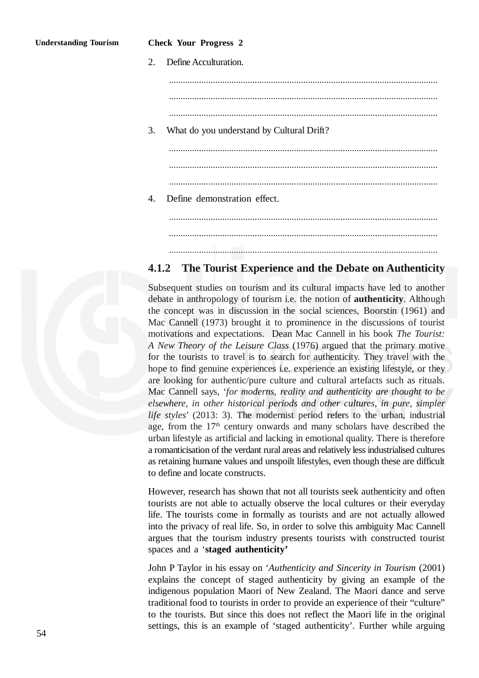2. Define Acculturation. .................................................................................................................... .................................................................................................................... .................................................................................................................... 3. What do you understand by Cultural Drift? .................................................................................................................... .................................................................................................................... .................................................................................................................... 4. Define demonstration effect. .................................................................................................................... .................................................................................................................... ....................................................................................................................

#### **4.1.2 The Tourist Experience and the Debate on Authenticity**

Subsequent studies on tourism and its cultural impacts have led to another debate in anthropology of tourism i.e. the notion of **authenticity**. Although the concept was in discussion in the social sciences, Boorstin (1961) and Mac Cannell (1973) brought it to prominence in the discussions of tourist motivations and expectations. Dean Mac Cannell in his book *The Tourist: A New Theory of the Leisure Class* (1976) argued that the primary motive for the tourists to travel is to search for authenticity. They travel with the hope to find genuine experiences i.e. experience an existing lifestyle, or they are looking for authentic/pure culture and cultural artefacts such as rituals. Mac Cannell says, '*for moderns, reality and authenticity are thought to be elsewhere, in other historical periods and other cultures, in pure, simpler life styles*' (2013: 3). The modernist period refers to the urban, industrial age, from the  $17<sup>th</sup>$  century onwards and many scholars have described the urban lifestyle as artificial and lacking in emotional quality. There is therefore a romanticisation of the verdant rural areas and relatively less industrialised cultures as retaining humane values and unspoilt lifestyles, even though these are difficult to define and locate constructs.

However, research has shown that not all tourists seek authenticity and often tourists are not able to actually observe the local cultures or their everyday life. The tourists come in formally as tourists and are not actually allowed into the privacy of real life. So, in order to solve this ambiguity Mac Cannell argues that the tourism industry presents tourists with constructed tourist spaces and a '**staged authenticity'**

John P Taylor in his essay on '*Authenticity and Sincerity in Tourism* (2001) explains the concept of staged authenticity by giving an example of the indigenous population Maori of New Zealand. The Maori dance and serve traditional food to tourists in order to provide an experience of their "culture" to the tourists. But since this does not reflect the Maori life in the original settings, this is an example of 'staged authenticity'. Further while arguing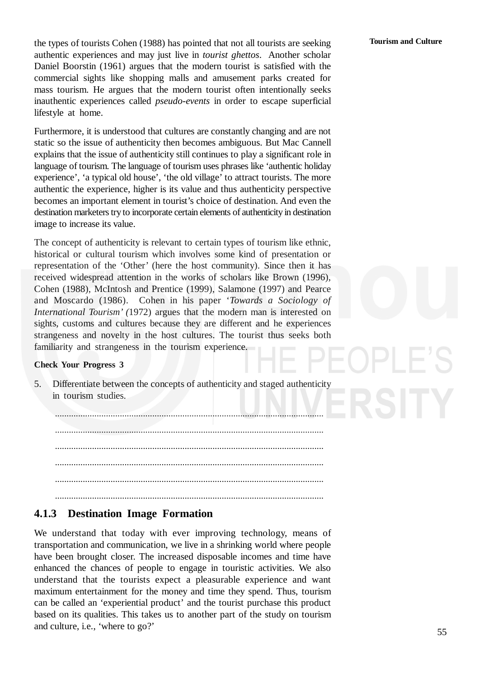the types of tourists Cohen (1988) has pointed that not all tourists are seeking authentic experiences and may just live in *tourist ghettos*. Another scholar Daniel Boorstin (1961) argues that the modern tourist is satisfied with the commercial sights like shopping malls and amusement parks created for mass tourism. He argues that the modern tourist often intentionally seeks inauthentic experiences called *pseudo-events* in order to escape superficial lifestyle at home.

Furthermore, it is understood that cultures are constantly changing and are not static so the issue of authenticity then becomes ambiguous. But Mac Cannell explains that the issue of authenticity still continues to play a significant role in language of tourism. The language of tourism uses phrases like 'authentic holiday experience', 'a typical old house', 'the old village' to attract tourists. The more authentic the experience, higher is its value and thus authenticity perspective becomes an important element in tourist's choice of destination. And even the destination marketers try to incorporate certain elements of authenticity in destination image to increase its value.

The concept of authenticity is relevant to certain types of tourism like ethnic, historical or cultural tourism which involves some kind of presentation or representation of the 'Other' (here the host community). Since then it has received widespread attention in the works of scholars like Brown (1996), Cohen (1988), McIntosh and Prentice (1999), Salamone (1997) and Pearce and Moscardo (1986). Cohen in his paper '*Towards a Sociology of International Tourism' (*1972) argues that the modern man is interested on sights, customs and cultures because they are different and he experiences strangeness and novelty in the host cultures. The tourist thus seeks both familiarity and strangeness in the tourism experience.

#### **Check Your Progress 3**

5. Differentiate between the concepts of authenticity and staged authenticity in tourism studies.

.................................................................................................................... .................................................................................................................... .................................................................................................................... .................................................................................................................... .................................................................................................................... ....................................................................................................................

#### **4.1.3 Destination Image Formation**

We understand that today with ever improving technology, means of transportation and communication, we live in a shrinking world where people have been brought closer. The increased disposable incomes and time have enhanced the chances of people to engage in touristic activities. We also understand that the tourists expect a pleasurable experience and want maximum entertainment for the money and time they spend. Thus, tourism can be called an 'experiential product' and the tourist purchase this product based on its qualities. This takes us to another part of the study on tourism and culture, i.e., 'where to go?'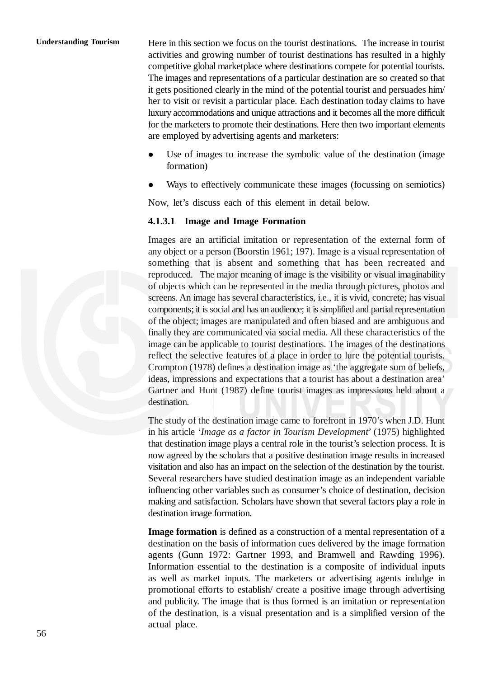#### **Understanding Tourism**

Here in this section we focus on the tourist destinations. The increase in tourist activities and growing number of tourist destinations has resulted in a highly competitive global marketplace where destinations compete for potential tourists. The images and representations of a particular destination are so created so that it gets positioned clearly in the mind of the potential tourist and persuades him/ her to visit or revisit a particular place. Each destination today claims to have luxury accommodations and unique attractions and it becomes all the more difficult for the marketers to promote their destinations. Here then two important elements are employed by advertising agents and marketers:

- Use of images to increase the symbolic value of the destination (image formation)
- Ways to effectively communicate these images (focussing on semiotics)

Now, let's discuss each of this element in detail below.

#### **4.1.3.1 Image and Image Formation**

Images are an artificial imitation or representation of the external form of any object or a person (Boorstin 1961; 197). Image is a visual representation of something that is absent and something that has been recreated and reproduced. The major meaning of image is the visibility or visual imaginability of objects which can be represented in the media through pictures, photos and screens. An image has several characteristics, i.e., it is vivid, concrete; has visual components; it is social and has an audience; it is simplified and partial representation of the object; images are manipulated and often biased and are ambiguous and finally they are communicated via social media. All these characteristics of the image can be applicable to tourist destinations. The images of the destinations reflect the selective features of a place in order to lure the potential tourists. Crompton (1978) defines a destination image as 'the aggregate sum of beliefs, ideas, impressions and expectations that a tourist has about a destination area' Gartner and Hunt (1987) define tourist images as impressions held about a destination.

The study of the destination image came to forefront in 1970's when J.D. Hunt in his article '*Image as a factor in Tourism Development*' (1975) highlighted that destination image plays a central role in the tourist's selection process. It is now agreed by the scholars that a positive destination image results in increased visitation and also has an impact on the selection of the destination by the tourist. Several researchers have studied destination image as an independent variable influencing other variables such as consumer's choice of destination, decision making and satisfaction. Scholars have shown that several factors play a role in destination image formation.

**Image formation** is defined as a construction of a mental representation of a destination on the basis of information cues delivered by the image formation agents (Gunn 1972: Gartner 1993, and Bramwell and Rawding 1996). Information essential to the destination is a composite of individual inputs as well as market inputs. The marketers or advertising agents indulge in promotional efforts to establish/ create a positive image through advertising and publicity. The image that is thus formed is an imitation or representation of the destination, is a visual presentation and is a simplified version of the actual place.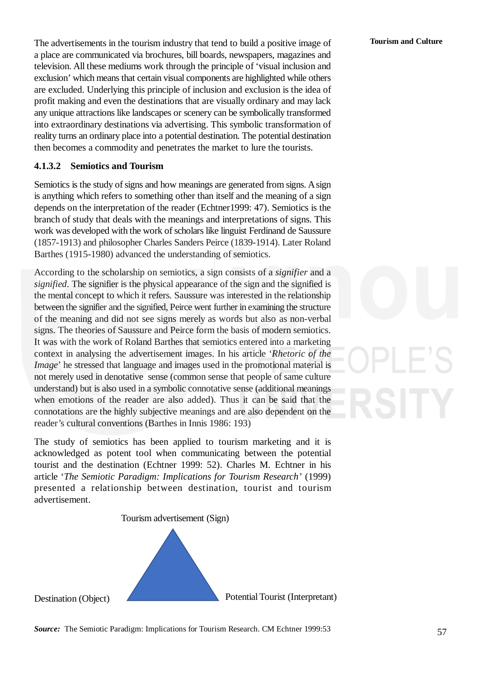The advertisements in the tourism industry that tend to build a positive image of a place are communicated via brochures, bill boards, newspapers, magazines and television. All these mediums work through the principle of 'visual inclusion and exclusion' which means that certain visual components are highlighted while others are excluded. Underlying this principle of inclusion and exclusion is the idea of profit making and even the destinations that are visually ordinary and may lack any unique attractions like landscapes or scenery can be symbolically transformed into extraordinary destinations via advertising. This symbolic transformation of reality turns an ordinary place into a potential destination. The potential destination then becomes a commodity and penetrates the market to lure the tourists.

#### **4.1.3.2 Semiotics and Tourism**

Semiotics is the study of signs and how meanings are generated from signs. Asign is anything which refers to something other than itself and the meaning of a sign depends on the interpretation of the reader (Echtner1999: 47). Semiotics is the branch of study that deals with the meanings and interpretations of signs. This work was developed with the work of scholars like linguist Ferdinand de Saussure (1857-1913) and philosopher Charles Sanders Peirce (1839-1914). Later Roland Barthes (1915-1980) advanced the understanding of semiotics.

According to the scholarship on semiotics, a sign consists of a *signifier* and a *signified*. The signifier is the physical appearance of the sign and the signified is the mental concept to which it refers. Saussure was interested in the relationship between the signifier and the signified, Peirce went further in examining the structure of the meaning and did not see signs merely as words but also as non-verbal signs. The theories of Saussure and Peirce form the basis of modern semiotics. It was with the work of Roland Barthes that semiotics entered into a marketing context in analysing the advertisement images. In his article '*Rhetoric of the Image*' he stressed that language and images used in the promotional material is not merely used in denotative sense (common sense that people of same culture understand) but is also used in a symbolic connotative sense (additional meanings when emotions of the reader are also added). Thus it can be said that the connotations are the highly subjective meanings and are also dependent on the reader's cultural conventions (Barthes in Innis 1986: 193)

The study of semiotics has been applied to tourism marketing and it is acknowledged as potent tool when communicating between the potential tourist and the destination (Echtner 1999: 52). Charles M. Echtner in his article '*The Semiotic Paradigm: Implications for Tourism Research'* (1999) presented a relationship between destination, tourist and tourism advertisement.

Tourism advertisement (Sign)



Destination (Object)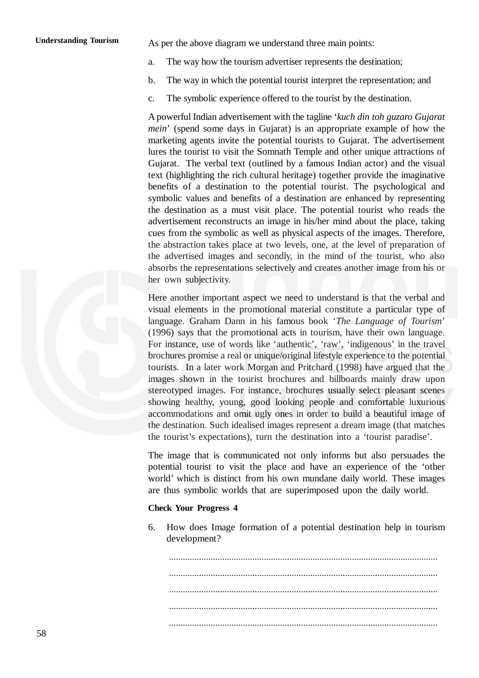As per the above diagram we understand three main points:

- a. The way how the tourism advertiser represents the destination;
- b. The way in which the potential tourist interpret the representation; and
- c. The symbolic experience offered to the tourist by the destination.

A powerful Indian advertisement with the tagline '*kuch din toh guzaro Gujarat mein*' (spend some days in Gujarat) is an appropriate example of how the marketing agents invite the potential tourists to Gujarat. The advertisement lures the tourist to visit the Somnath Temple and other unique attractions of Gujarat. The verbal text (outlined by a famous Indian actor) and the visual text (highlighting the rich cultural heritage) together provide the imaginative benefits of a destination to the potential tourist. The psychological and symbolic values and benefits of a destination are enhanced by representing the destination as a must visit place. The potential tourist who reads the advertisement reconstructs an image in his/her mind about the place, taking cues from the symbolic as well as physical aspects of the images. Therefore, the abstraction takes place at two levels, one, at the level of preparation of the advertised images and secondly, in the mind of the tourist, who also absorbs the representations selectively and creates another image from his or her own subjectivity.

Here another important aspect we need to understand is that the verbal and visual elements in the promotional material constitute a particular type of language. Graham Dann in his famous book '*The Language of Tourism*' (1996) says that the promotional acts in tourism, have their own language. For instance, use of words like 'authentic', 'raw', 'indigenous' in the travel brochures promise a real or unique/original lifestyle experience to the potential tourists. In a later work Morgan and Pritchard (1998) have argued that the images shown in the tourist brochures and billboards mainly draw upon stereotyped images. For instance, brochures usually select pleasant scenes showing healthy, young, good looking people and comfortable luxurious accommodations and omit ugly ones in order to build a beautiful image of the destination. Such idealised images represent a dream image (that matches the tourist's expectations), turn the destination into a 'tourist paradise'.

The image that is communicated not only informs but also persuades the potential tourist to visit the place and have an experience of the 'other world' which is distinct from his own mundane daily world. These images are thus symbolic worlds that are superimposed upon the daily world.

#### **Check Your Progress 4**

6. How does Image formation of a potential destination help in tourism development?

.................................................................................................................... .................................................................................................................... .................................................................................................................... .................................................................................................................... ....................................................................................................................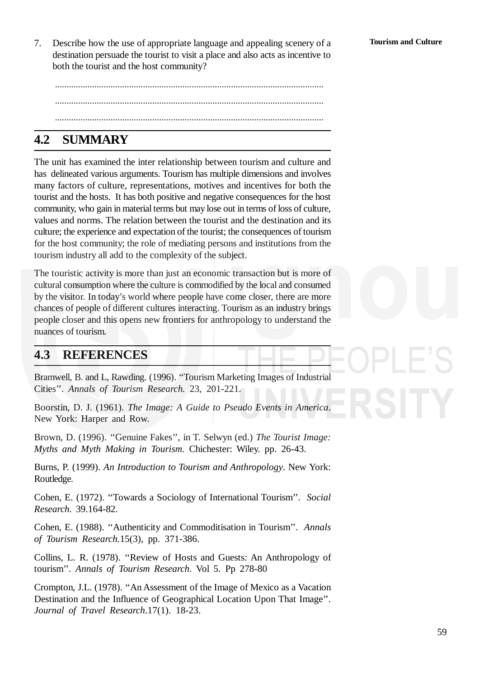7. Describe how the use of appropriate language and appealing scenery of a destination persuade the tourist to visit a place and also acts as incentive to both the tourist and the host community?

.................................................................................................................... .................................................................................................................... ....................................................................................................................

## **4.2 SUMMARY**

The unit has examined the inter relationship between tourism and culture and has delineated various arguments. Tourism has multiple dimensions and involves many factors of culture, representations, motives and incentives for both the tourist and the hosts. It has both positive and negative consequences for the host community, who gain in material terms but may lose out in terms of loss of culture, values and norms. The relation between the tourist and the destination and its culture; the experience and expectation of the tourist; the consequences of tourism for the host community; the role of mediating persons and institutions from the tourism industry all add to the complexity of the subject.

The touristic activity is more than just an economic transaction but is more of cultural consumption where the culture is commodified by the local and consumed by the visitor. In today's world where people have come closer, there are more chances of people of different cultures interacting. Tourism as an industry brings people closer and this opens new frontiers for anthropology to understand the nuances of tourism.

## **4.3 REFERENCES**

Bramwell, B. and L, Rawding. (1996). ''Tourism Marketing Images of Industrial Cities''. *Annals of Tourism Research.* 23, 201-221.

Boorstin, D. J. (1961). *The Image: A Guide to Pseudo Events in America*. New York: Harper and Row.

Brown, D. (1996). ''Genuine Fakes'', in T. Selwyn (ed.) *The Tourist Image: Myths and Myth Making in Tourism*. Chichester: Wiley. pp. 26-43.

Burns, P. (1999). *An Introduction to Tourism and Anthropology*. New York: Routledge.

Cohen, E. (1972). ''Towards a Sociology of International Tourism''. *Social Research.* 39.164-82.

Cohen, E. (1988). ''Authenticity and Commoditisation in Tourism''. *Annals of Tourism Research.*15(3), pp. 371-386.

Collins, L. R. (1978). ''Review of Hosts and Guests: An Anthropology of tourism''. *Annals of Tourism Research*. Vol 5. Pp 278-80

Crompton, J.L. (1978). ''An Assessment of the Image of Mexico as a Vacation Destination and the Influence of Geographical Location Upon That Image''. *Journal of Travel Research*.17(1). 18-23.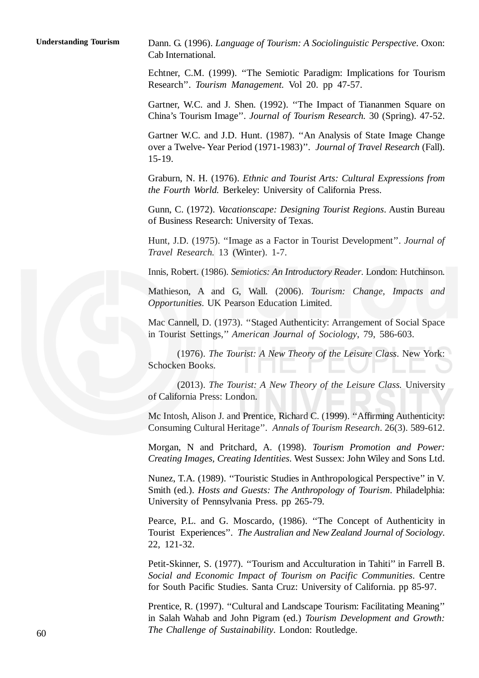**Understanding Tourism**

Dann. G. (1996). *Language of Tourism: A Sociolinguistic Perspective*. Oxon: Cab International.

Echtner, C.M. (1999). ''The Semiotic Paradigm: Implications for Tourism Research''. *Tourism Management.* Vol 20. pp 47-57.

Gartner, W.C. and J. Shen. (1992). ''The Impact of Tiananmen Square on China's Tourism Image''. *Journal of Tourism Research.* 30 (Spring). 47-52.

Gartner W.C. and J.D. Hunt. (1987). ''An Analysis of State Image Change over a Twelve- Year Period (1971-1983)''. *Journal of Travel Research* (Fall). 15-19.

Graburn, N. H. (1976). *Ethnic and Tourist Arts: Cultural Expressions from the Fourth World.* Berkeley: University of California Press.

Gunn, C. (1972). *Vacationscape: Designing Tourist Regions*. Austin Bureau of Business Research: University of Texas.

Hunt, J.D. (1975). ''Image as a Factor in Tourist Development''. *Journal of Travel Research.* 13 (Winter). 1-7.

Innis, Robert. (1986). *Semiotics: An Introductory Reader*. London: Hutchinson.

Mathieson, A and G, Wall. (2006). *Tourism: Change, Impacts and Opportunities*. UK Pearson Education Limited.

Mac Cannell, D. (1973). ''Staged Authenticity: Arrangement of Social Space in Tourist Settings,'' *American Journal of Sociology*, 79, 586-603.

(1976). *The Tourist: A New Theory of the Leisure Class*. New York: Schocken Books.

(2013). *The Tourist: A New Theory of the Leisure Class.* University of California Press: London.

Mc Intosh, Alison J. and Prentice, Richard C. (1999). ''Affirming Authenticity: Consuming Cultural Heritage''. *Annals of Tourism Research*. 26(3). 589-612.

Morgan, N and Pritchard, A. (1998). *Tourism Promotion and Power: Creating Images, Creating Identities*. West Sussex: John Wiley and Sons Ltd.

Nunez, T.A. (1989). ''Touristic Studies in Anthropological Perspective'' in V. Smith (ed.). *Hosts and Guests: The Anthropology of Tourism*. Philadelphia: University of Pennsylvania Press. pp 265-79.

Pearce, P.L. and G. Moscardo, (1986). "The Concept of Authenticity in Tourist Experiences''. *The Australian and New Zealand Journal of Sociology*. 22, 121-32.

Petit-Skinner, S. (1977). ''Tourism and Acculturation in Tahiti'' in Farrell B. *Social and Economic Impact of Tourism on Pacific Communities*. Centre for South Pacific Studies. Santa Cruz: University of California. pp 85-97.

Prentice, R. (1997). ''Cultural and Landscape Tourism: Facilitating Meaning'' in Salah Wahab and John Pigram (ed.) *Tourism Development and Growth: The Challenge of Sustainability*. London: Routledge.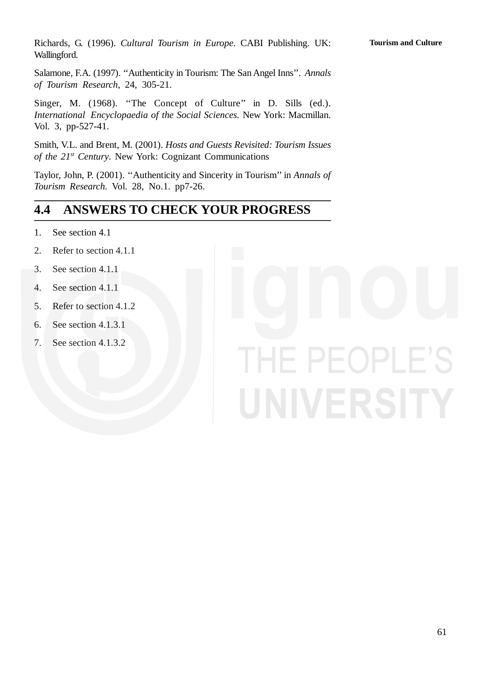Richards, G. (1996). *Cultural Tourism in Europe*. CABI Publishing. UK: Wallingford.

Salamone, F.A. (1997). ''Authenticity in Tourism: The San Angel Inns''. *Annals of Tourism Research*, 24, 305-21.

Singer, M. (1968). "The Concept of Culture" in D. Sills (ed.). *International Encyclopaedia of the Social Sciences.* New York: Macmillan. Vol. 3, pp-527-41.

Smith, V.L. and Brent, M. (2001). *Hosts and Guests Revisited: Tourism Issues of the 21st Century*. New York: Cognizant Communications

Taylor, John, P. (2001). ''Authenticity and Sincerity in Tourism'' in *Annals of Tourism Research.* Vol. 28, No.1. pp7-26.

## **4.4 ANSWERS TO CHECK YOUR PROGRESS**

- 1. See section 4.1
- 2. Refer to section 4.1.1
- 3. See section 4.1.1
- 4. See section 4.1.1
- 5. Refer to section 4.1.2
- 6. See section 4.1.3.1
- 7. See section 4.1.3.2

# IE PEOPLE'S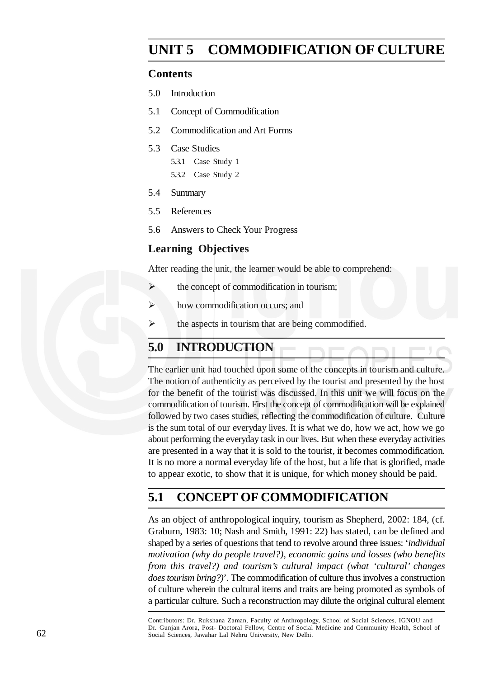## **UNIT 5 COMMODIFICATION OF CULTURE**

#### **Contents**

- 5.0 Introduction
- 5.1 Concept of Commodification
- 5.2 Commodification and Art Forms
- 5.3 Case Studies
	- 5.3.1 Case Study 1
	- 5.3.2 Case Study 2
- 5.4 Summary
- 5.5 References
- 5.6 Answers to Check Your Progress

#### **Learning Objectives**

After reading the unit, the learner would be able to comprehend:

- $\triangleright$  the concept of commodification in tourism:
- $\triangleright$  how commodification occurs; and
- $\triangleright$  the aspects in tourism that are being commodified.

## **5.0 INTRODUCTION**

The earlier unit had touched upon some of the concepts in tourism and culture. The notion of authenticity as perceived by the tourist and presented by the host for the benefit of the tourist was discussed. In this unit we will focus on the commodification of tourism. First the concept of commodification will be explained followed by two cases studies, reflecting the commodification of culture. Culture is the sum total of our everyday lives. It is what we do, how we act, how we go about performing the everyday task in our lives. But when these everyday activities are presented in a way that it is sold to the tourist, it becomes commodification. It is no more a normal everyday life of the host, but a life that is glorified, made to appear exotic, to show that it is unique, for which money should be paid.

## **5.1 CONCEPT OF COMMODIFICATION**

As an object of anthropological inquiry, tourism as Shepherd, 2002: 184, (cf. Graburn, 1983: 10; Nash and Smith, 1991: 22) has stated, can be defined and shaped by a series of questions that tend to revolve around three issues: '*individual motivation (why do people travel?), economic gains and losses (who benefits from this travel?) and tourism's cultural impact (what 'cultural' changes does tourism bring?)*'. The commodification of culture thus involves a construction of culture wherein the cultural items and traits are being promoted as symbols of a particular culture. Such a reconstruction may dilute the original cultural element

Contributors: Dr. Rukshana Zaman, Faculty of Anthropology, School of Social Sciences, IGNOU and Dr. Gunjan Arora, Post- Doctoral Fellow, Centre of Social Medicine and Community Health, School of Social Sciences, Jawahar Lal Nehru University, New Delhi.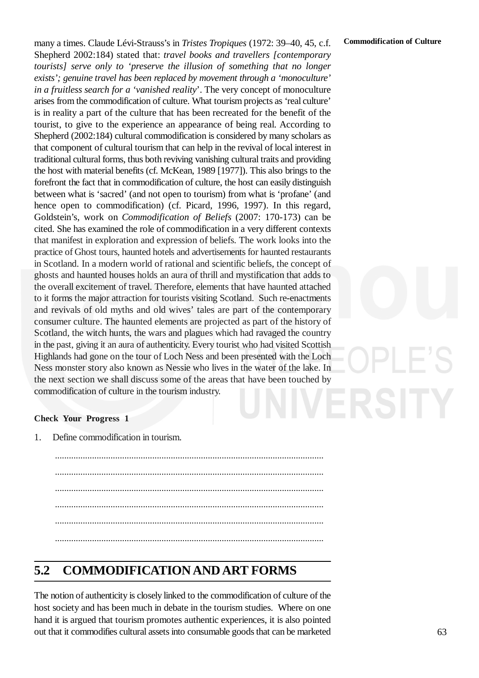many a times. Claude Lévi-Strauss's in *Tristes Tropiques* (1972: 39–40, 45, c.f. Shepherd 2002:184) stated that: *travel books and travellers [contemporary tourists] serve only to 'preserve the illusion of something that no longer exists'; genuine travel has been replaced by movement through a 'monoculture' in a fruitless search for a 'vanished reality*'. The very concept of monoculture arises from the commodification of culture. What tourism projects as 'real culture' is in reality a part of the culture that has been recreated for the benefit of the tourist, to give to the experience an appearance of being real. According to Shepherd (2002:184) cultural commodification is considered by many scholars as that component of cultural tourism that can help in the revival of local interest in traditional cultural forms, thus both reviving vanishing cultural traits and providing the host with material benefits (cf. McKean, 1989 [1977]). This also brings to the forefront the fact that in commodification of culture, the host can easily distinguish between what is 'sacred' (and not open to tourism) from what is 'profane' (and hence open to commodification) (cf. Picard, 1996, 1997). In this regard, Goldstein's, work on *Commodification of Beliefs* (2007: 170-173) can be cited. She has examined the role of commodification in a very different contexts that manifest in exploration and expression of beliefs. The work looks into the practice of Ghost tours, haunted hotels and advertisements for haunted restaurants in Scotland. In a modern world of rational and scientific beliefs, the concept of ghosts and haunted houses holds an aura of thrill and mystification that adds to the overall excitement of travel. Therefore, elements that have haunted attached to it forms the major attraction for tourists visiting Scotland. Such re-enactments and revivals of old myths and old wives' tales are part of the contemporary consumer culture. The haunted elements are projected as part of the history of Scotland, the witch hunts, the wars and plagues which had ravaged the country in the past, giving it an aura of authenticity. Every tourist who had visited Scottish Highlands had gone on the tour of Loch Ness and been presented with the Loch Ness monster story also known as Nessie who lives in the water of the lake. In the next section we shall discuss some of the areas that have been touched by commodification of culture in the tourism industry.



#### **Check Your Progress 1**

1. Define commodification in tourism.

.................................................................................................................... .................................................................................................................... .................................................................................................................... .................................................................................................................... .................................................................................................................... ....................................................................................................................

## **5.2 COMMODIFICATION AND ART FORMS**

The notion of authenticity is closely linked to the commodification of culture of the host society and has been much in debate in the tourism studies. Where on one hand it is argued that tourism promotes authentic experiences, it is also pointed out that it commodifies cultural assets into consumable goods that can be marketed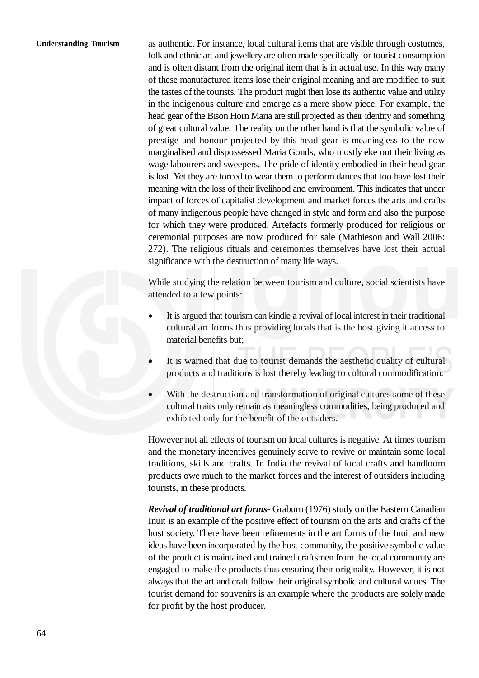#### **Understanding Tourism**

as authentic. For instance, local cultural items that are visible through costumes, folk and ethnic art and jewellery are often made specifically for tourist consumption and is often distant from the original item that is in actual use. In this way many of these manufactured items lose their original meaning and are modified to suit the tastes of the tourists. The product might then lose its authentic value and utility in the indigenous culture and emerge as a mere show piece. For example, the head gear of the Bison Horn Maria are still projected as their identity and something of great cultural value. The reality on the other hand is that the symbolic value of prestige and honour projected by this head gear is meaningless to the now marginalised and dispossessed Maria Gonds, who mostly eke out their living as wage labourers and sweepers. The pride of identity embodied in their head gear is lost. Yet they are forced to wear them to perform dances that too have lost their meaning with the loss of their livelihood and environment. This indicates that under impact of forces of capitalist development and market forces the arts and crafts of many indigenous people have changed in style and form and also the purpose for which they were produced. Artefacts formerly produced for religious or ceremonial purposes are now produced for sale (Mathieson and Wall 2006: 272). The religious rituals and ceremonies themselves have lost their actual significance with the destruction of many life ways.

While studying the relation between tourism and culture, social scientists have attended to a few points:

- It is argued that tourism can kindle a revival of local interest in their traditional cultural art forms thus providing locals that is the host giving it access to material benefits but;
- It is warned that due to tourist demands the aesthetic quality of cultural products and traditions is lost thereby leading to cultural commodification.
- With the destruction and transformation of original cultures some of these cultural traits only remain as meaningless commodities, being produced and exhibited only for the benefit of the outsiders.

However not all effects of tourism on local cultures is negative. At times tourism and the monetary incentives genuinely serve to revive or maintain some local traditions, skills and crafts. In India the revival of local crafts and handloom products owe much to the market forces and the interest of outsiders including tourists, in these products.

*Revival of traditional art forms***-** Graburn (1976) study on the Eastern Canadian Inuit is an example of the positive effect of tourism on the arts and crafts of the host society. There have been refinements in the art forms of the Inuit and new ideas have been incorporated by the host community, the positive symbolic value of the product is maintained and trained craftsmen from the local community are engaged to make the products thus ensuring their originality. However, it is not always that the art and craft follow their original symbolic and cultural values. The tourist demand for souvenirs is an example where the products are solely made for profit by the host producer.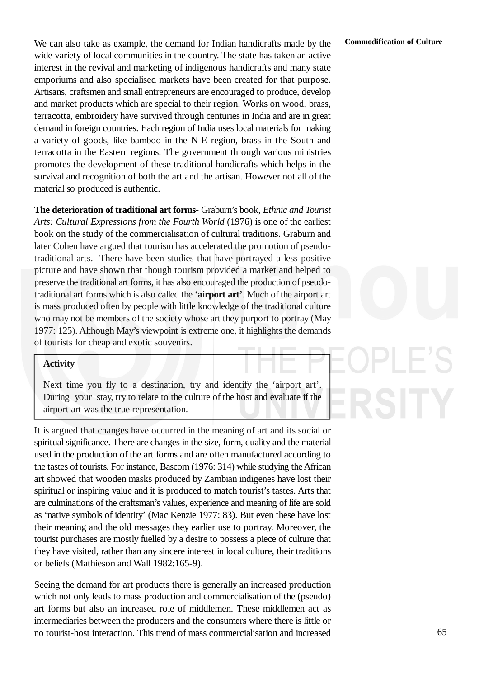We can also take as example, the demand for Indian handicrafts made by the wide variety of local communities in the country. The state has taken an active interest in the revival and marketing of indigenous handicrafts and many state emporiums and also specialised markets have been created for that purpose. Artisans, craftsmen and small entrepreneurs are encouraged to produce, develop and market products which are special to their region. Works on wood, brass, terracotta, embroidery have survived through centuries in India and are in great demand in foreign countries. Each region of India uses local materials for making a variety of goods, like bamboo in the N-E region, brass in the South and terracotta in the Eastern regions. The government through various ministries promotes the development of these traditional handicrafts which helps in the survival and recognition of both the art and the artisan. However not all of the material so produced is authentic.

**The deterioration of traditional art forms-** Graburn's book, *Ethnic and Tourist Arts: Cultural Expressions from the Fourth World* (1976) is one of the earliest book on the study of the commercialisation of cultural traditions. Graburn and later Cohen have argued that tourism has accelerated the promotion of pseudotraditional arts. There have been studies that have portrayed a less positive picture and have shown that though tourism provided a market and helped to preserve the traditional art forms, it has also encouraged the production of pseudotraditional art forms which is also called the '**airport art'**. Much of the airport art is mass produced often by people with little knowledge of the traditional culture who may not be members of the society whose art they purport to portray (May 1977: 125). Although May's viewpoint is extreme one, it highlights the demands of tourists for cheap and exotic souvenirs.

#### **Activity**

Next time you fly to a destination, try and identify the 'airport art'. During your stay, try to relate to the culture of the host and evaluate if the airport art was the true representation.

It is argued that changes have occurred in the meaning of art and its social or spiritual significance. There are changes in the size, form, quality and the material used in the production of the art forms and are often manufactured according to the tastes of tourists. For instance, Bascom (1976: 314) while studying the African art showed that wooden masks produced by Zambian indigenes have lost their spiritual or inspiring value and it is produced to match tourist's tastes. Arts that are culminations of the craftsman's values, experience and meaning of life are sold as 'native symbols of identity' (Mac Kenzie 1977: 83). But even these have lost their meaning and the old messages they earlier use to portray. Moreover, the tourist purchases are mostly fuelled by a desire to possess a piece of culture that they have visited, rather than any sincere interest in local culture, their traditions or beliefs (Mathieson and Wall 1982:165-9).

Seeing the demand for art products there is generally an increased production which not only leads to mass production and commercialisation of the (pseudo) art forms but also an increased role of middlemen. These middlemen act as intermediaries between the producers and the consumers where there is little or no tourist-host interaction. This trend of mass commercialisation and increased

#### **Commodification of Culture**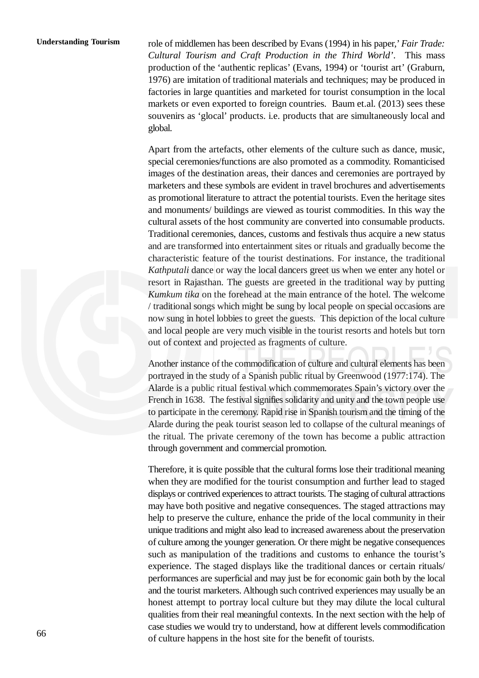#### **Understanding Tourism**

role of middlemen has been described by Evans (1994) in his paper,'*Fair Trade: Cultural Tourism and Craft Production in the Third World'*. This mass production of the 'authentic replicas' (Evans, 1994) or 'tourist art' (Graburn, 1976) are imitation of traditional materials and techniques; may be produced in factories in large quantities and marketed for tourist consumption in the local markets or even exported to foreign countries. Baum et.al. (2013) sees these souvenirs as 'glocal' products. i.e. products that are simultaneously local and global.

Apart from the artefacts, other elements of the culture such as dance, music, special ceremonies/functions are also promoted as a commodity. Romanticised images of the destination areas, their dances and ceremonies are portrayed by marketers and these symbols are evident in travel brochures and advertisements as promotional literature to attract the potential tourists. Even the heritage sites and monuments/ buildings are viewed as tourist commodities. In this way the cultural assets of the host community are converted into consumable products. Traditional ceremonies, dances, customs and festivals thus acquire a new status and are transformed into entertainment sites or rituals and gradually become the characteristic feature of the tourist destinations. For instance, the traditional *Kathputali* dance or way the local dancers greet us when we enter any hotel or resort in Rajasthan. The guests are greeted in the traditional way by putting *Kumkum tika* on the forehead at the main entrance of the hotel. The welcome / traditional songs which might be sung by local people on special occasions are now sung in hotel lobbies to greet the guests. This depiction of the local culture and local people are very much visible in the tourist resorts and hotels but torn out of context and projected as fragments of culture.

Another instance of the commodification of culture and cultural elements has been portrayed in the study of a Spanish public ritual by Greenwood (1977:174). The Alarde is a public ritual festival which commemorates Spain's victory over the French in 1638. The festival signifies solidarity and unity and the town people use to participate in the ceremony. Rapid rise in Spanish tourism and the timing of the Alarde during the peak tourist season led to collapse of the cultural meanings of the ritual. The private ceremony of the town has become a public attraction through government and commercial promotion.

Therefore, it is quite possible that the cultural forms lose their traditional meaning when they are modified for the tourist consumption and further lead to staged displays or contrived experiences to attract tourists. The staging of cultural attractions may have both positive and negative consequences. The staged attractions may help to preserve the culture, enhance the pride of the local community in their unique traditions and might also lead to increased awareness about the preservation of culture among the younger generation. Or there might be negative consequences such as manipulation of the traditions and customs to enhance the tourist's experience. The staged displays like the traditional dances or certain rituals/ performances are superficial and may just be for economic gain both by the local and the tourist marketers. Although such contrived experiences may usually be an honest attempt to portray local culture but they may dilute the local cultural qualities from their real meaningful contexts. In the next section with the help of case studies we would try to understand, how at different levels commodification of culture happens in the host site for the benefit of tourists.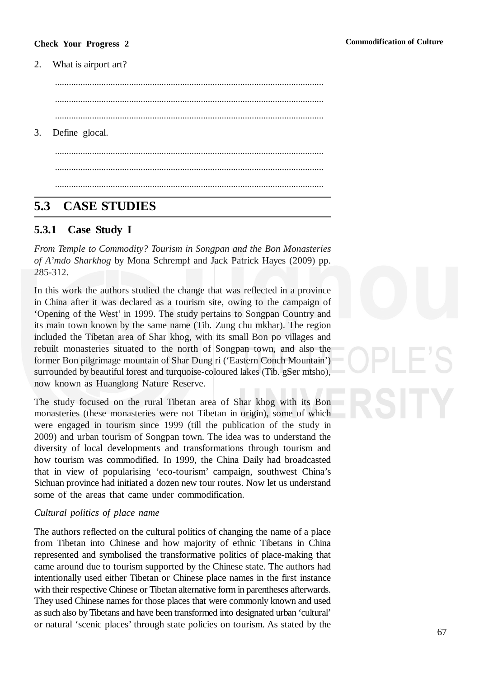#### **Check Your Progress 2**

#### 2. What is airport art?

.................................................................................................................... .................................................................................................................... .................................................................................................................... 3. Define glocal. .................................................................................................................... .................................................................................................................... ....................................................................................................................

## **5.3 CASE STUDIES**

#### **5.3.1 Case Study I**

*From Temple to Commodity? Tourism in Songpan and the Bon Monasteries of A'mdo Sharkhog* by Mona Schrempf and Jack Patrick Hayes (2009) pp. 285-312.

In this work the authors studied the change that was reflected in a province in China after it was declared as a tourism site, owing to the campaign of 'Opening of the West' in 1999. The study pertains to Songpan Country and its main town known by the same name (Tib. Zung chu mkhar). The region included the Tibetan area of Shar khog, with its small Bon po villages and rebuilt monasteries situated to the north of Songpan town, and also the former Bon pilgrimage mountain of Shar Dung ri ('Eastern Conch Mountain') surrounded by beautiful forest and turquoise-coloured lakes (Tib. gSer mtsho), now known as Huanglong Nature Reserve.

The study focused on the rural Tibetan area of Shar khog with its Bon monasteries (these monasteries were not Tibetan in origin), some of which were engaged in tourism since 1999 (till the publication of the study in 2009) and urban tourism of Songpan town. The idea was to understand the diversity of local developments and transformations through tourism and how tourism was commodified. In 1999, the China Daily had broadcasted that in view of popularising 'eco-tourism' campaign, southwest China's Sichuan province had initiated a dozen new tour routes. Now let us understand some of the areas that came under commodification.

#### *Cultural politics of place name*

The authors reflected on the cultural politics of changing the name of a place from Tibetan into Chinese and how majority of ethnic Tibetans in China represented and symbolised the transformative politics of place-making that came around due to tourism supported by the Chinese state. The authors had intentionally used either Tibetan or Chinese place names in the first instance with their respective Chinese or Tibetan alternative form in parentheses afterwards. They used Chinese names for those places that were commonly known and used as such also by Tibetans and have been transformed into designated urban 'cultural' or natural 'scenic places' through state policies on tourism. As stated by the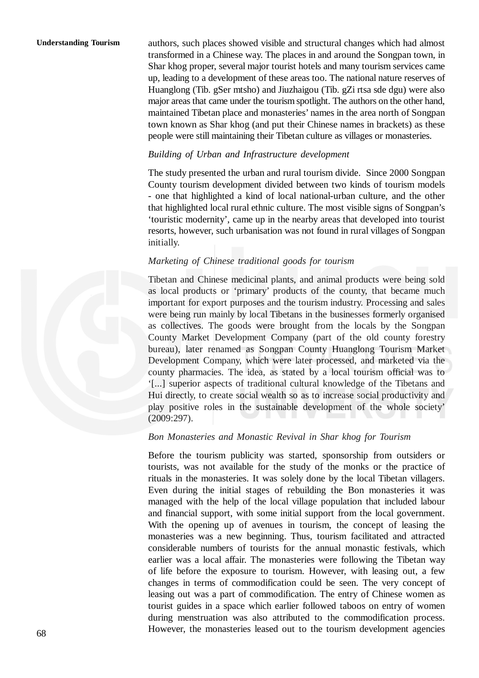authors, such places showed visible and structural changes which had almost transformed in a Chinese way. The places in and around the Songpan town, in Shar khog proper, several major tourist hotels and many tourism services came up, leading to a development of these areas too. The national nature reserves of Huanglong (Tib. gSer mtsho) and Jiuzhaigou (Tib. gZi rtsa sde dgu) were also major areas that came under the tourism spotlight. The authors on the other hand, maintained Tibetan place and monasteries' names in the area north of Songpan town known as Shar khog (and put their Chinese names in brackets) as these people were still maintaining their Tibetan culture as villages or monasteries.

#### *Building of Urban and Infrastructure development*

The study presented the urban and rural tourism divide. Since 2000 Songpan County tourism development divided between two kinds of tourism models - one that highlighted a kind of local national-urban culture, and the other that highlighted local rural ethnic culture. The most visible signs of Songpan's 'touristic modernity', came up in the nearby areas that developed into tourist resorts, however, such urbanisation was not found in rural villages of Songpan initially.

#### *Marketing of Chinese traditional goods for tourism*

Tibetan and Chinese medicinal plants, and animal products were being sold as local products or 'primary' products of the county, that became much important for export purposes and the tourism industry. Processing and sales were being run mainly by local Tibetans in the businesses formerly organised as collectives. The goods were brought from the locals by the Songpan County Market Development Company (part of the old county forestry bureau), later renamed as Songpan County Huanglong Tourism Market Development Company, which were later processed, and marketed via the county pharmacies. The idea, as stated by a local tourism official was to '[...] superior aspects of traditional cultural knowledge of the Tibetans and Hui directly, to create social wealth so as to increase social productivity and play positive roles in the sustainable development of the whole society' (2009:297).

#### *Bon Monasteries and Monastic Revival in Shar khog for Tourism*

Before the tourism publicity was started, sponsorship from outsiders or tourists, was not available for the study of the monks or the practice of rituals in the monasteries. It was solely done by the local Tibetan villagers. Even during the initial stages of rebuilding the Bon monasteries it was managed with the help of the local village population that included labour and financial support, with some initial support from the local government. With the opening up of avenues in tourism, the concept of leasing the monasteries was a new beginning. Thus, tourism facilitated and attracted considerable numbers of tourists for the annual monastic festivals, which earlier was a local affair. The monasteries were following the Tibetan way of life before the exposure to tourism. However, with leasing out, a few changes in terms of commodification could be seen. The very concept of leasing out was a part of commodification. The entry of Chinese women as tourist guides in a space which earlier followed taboos on entry of women during menstruation was also attributed to the commodification process. However, the monasteries leased out to the tourism development agencies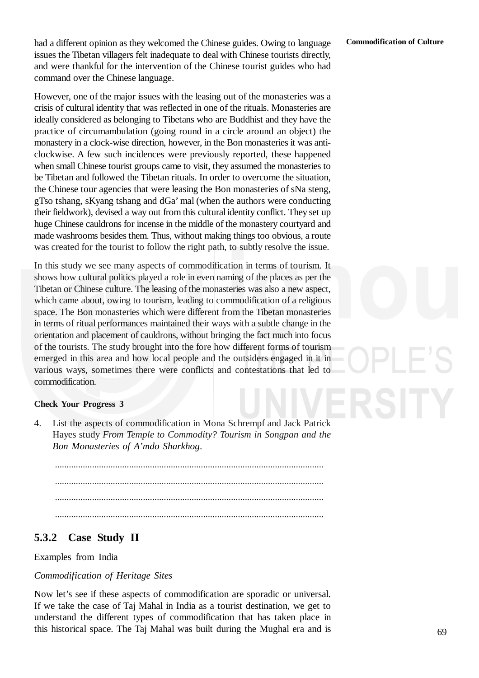had a different opinion as they welcomed the Chinese guides. Owing to language issues the Tibetan villagers felt inadequate to deal with Chinese tourists directly, and were thankful for the intervention of the Chinese tourist guides who had command over the Chinese language.

However, one of the major issues with the leasing out of the monasteries was a crisis of cultural identity that was reflected in one of the rituals. Monasteries are ideally considered as belonging to Tibetans who are Buddhist and they have the practice of circumambulation (going round in a circle around an object) the monastery in a clock-wise direction, however, in the Bon monasteries it was anticlockwise. A few such incidences were previously reported, these happened when small Chinese tourist groups came to visit, they assumed the monasteries to be Tibetan and followed the Tibetan rituals. In order to overcome the situation, the Chinese tour agencies that were leasing the Bon monasteries of sNa steng, gTso tshang, sKyang tshang and dGa' mal (when the authors were conducting their fieldwork), devised a way out from this cultural identity conflict. They set up huge Chinese cauldrons for incense in the middle of the monastery courtyard and made washrooms besides them. Thus, without making things too obvious, a route was created for the tourist to follow the right path, to subtly resolve the issue.

In this study we see many aspects of commodification in terms of tourism. It shows how cultural politics played a role in even naming of the places as per the Tibetan or Chinese culture. The leasing of the monasteries was also a new aspect, which came about, owing to tourism, leading to commodification of a religious space. The Bon monasteries which were different from the Tibetan monasteries in terms of ritual performances maintained their ways with a subtle change in the orientation and placement of cauldrons, without bringing the fact much into focus of the tourists. The study brought into the fore how different forms of tourism emerged in this area and how local people and the outsiders engaged in it in various ways, sometimes there were conflicts and contestations that led to commodification.

#### **Check Your Progress 3**

4. List the aspects of commodification in Mona Schrempf and Jack Patrick Hayes study *From Temple to Commodity? Tourism in Songpan and the Bon Monasteries of A'mdo Sharkhog*.

.................................................................................................................... .................................................................................................................... .................................................................................................................... ....................................................................................................................

#### **5.3.2 Case Study II**

#### Examples from India

#### *Commodification of Heritage Sites*

Now let's see if these aspects of commodification are sporadic or universal. If we take the case of Taj Mahal in India as a tourist destination, we get to understand the different types of commodification that has taken place in this historical space. The Taj Mahal was built during the Mughal era and is

69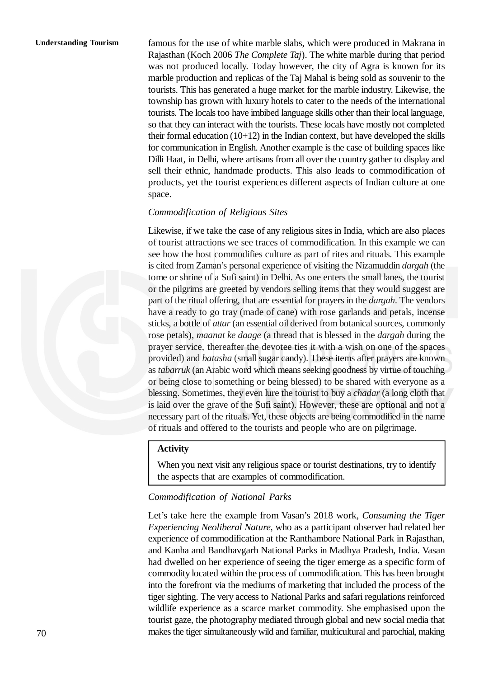famous for the use of white marble slabs, which were produced in Makrana in Rajasthan (Koch 2006 *The Complete Taj*). The white marble during that period was not produced locally. Today however, the city of Agra is known for its marble production and replicas of the Taj Mahal is being sold as souvenir to the tourists. This has generated a huge market for the marble industry. Likewise, the township has grown with luxury hotels to cater to the needs of the international tourists. The locals too have imbibed language skills other than their local language, so that they can interact with the tourists. These locals have mostly not completed their formal education  $(10+12)$  in the Indian context, but have developed the skills for communication in English. Another example is the case of building spaces like Dilli Haat, in Delhi, where artisans from all over the country gather to display and sell their ethnic, handmade products. This also leads to commodification of products, yet the tourist experiences different aspects of Indian culture at one space.

#### *Commodification of Religious Sites*

Likewise, if we take the case of any religious sites in India, which are also places of tourist attractions we see traces of commodification. In this example we can see how the host commodifies culture as part of rites and rituals. This example is cited from Zaman's personal experience of visiting the Nizamuddin *dargah* (the tome or shrine of a Sufi saint) in Delhi. As one enters the small lanes, the tourist or the pilgrims are greeted by vendors selling items that they would suggest are part of the ritual offering, that are essential for prayers in the *dargah*. The vendors have a ready to go tray (made of cane) with rose garlands and petals, incense sticks, a bottle of *attar* (an essential oil derived from botanical sources, commonly rose petals), *maanat ke daage* (a thread that is blessed in the *dargah* during the prayer service, thereafter the devotee ties it with a wish on one of the spaces provided) and *batasha* (small sugar candy). These items after prayers are known as *tabarruk* (an Arabic word which means seeking goodness by virtue of touching or being close to something or being blessed) to be shared with everyone as a blessing. Sometimes, they even lure the tourist to buy a *chadar* (a long cloth that is laid over the grave of the Sufi saint). However, these are optional and not a necessary part of the rituals. Yet, these objects are being commodified in the name of rituals and offered to the tourists and people who are on pilgrimage.

#### **Activity**

When you next visit any religious space or tourist destinations, try to identify the aspects that are examples of commodification.

#### *Commodification of National Parks*

Let's take here the example from Vasan's 2018 work, *Consuming the Tiger Experiencing Neoliberal Nature,* who as a participant observer had related her experience of commodification at the Ranthambore National Park in Rajasthan, and Kanha and Bandhavgarh National Parks in Madhya Pradesh, India. Vasan had dwelled on her experience of seeing the tiger emerge as a specific form of commodity located within the process of commodification. This has been brought into the forefront via the mediums of marketing that included the process of the tiger sighting. The very access to National Parks and safari regulations reinforced wildlife experience as a scarce market commodity. She emphasised upon the tourist gaze, the photography mediated through global and new social media that makes the tiger simultaneously wild and familiar, multicultural and parochial, making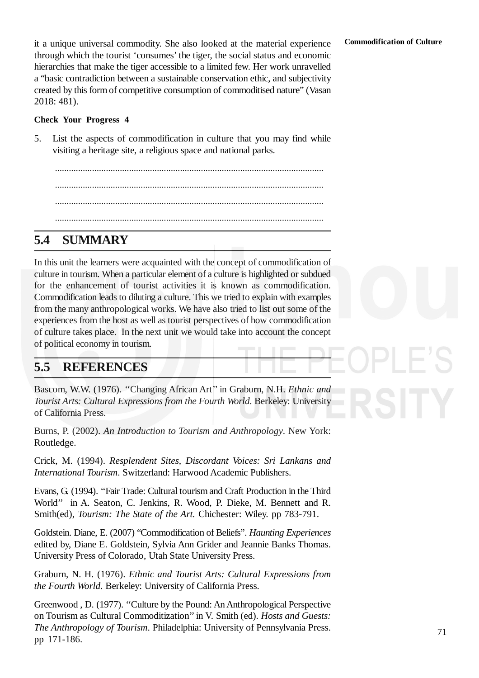it a unique universal commodity. She also looked at the material experience through which the tourist 'consumes' the tiger, the social status and economic hierarchies that make the tiger accessible to a limited few. Her work unravelled a "basic contradiction between a sustainable conservation ethic, and subjectivity created by this form of competitive consumption of commoditised nature" (Vasan 2018: 481).

#### **Check Your Progress 4**

5. List the aspects of commodification in culture that you may find while visiting a heritage site, a religious space and national parks.

.................................................................................................................... .................................................................................................................... .................................................................................................................... ....................................................................................................................

## **5.4 SUMMARY**

In this unit the learners were acquainted with the concept of commodification of culture in tourism. When a particular element of a culture is highlighted or subdued for the enhancement of tourist activities it is known as commodification. Commodification leads to diluting a culture. This we tried to explain with examples from the many anthropological works. We have also tried to list out some of the experiences from the host as well as tourist perspectives of how commodification of culture takes place. In the next unit we would take into account the concept of political economy in tourism.

## **5.5 REFERENCES**

Bascom, W.W. (1976). ''Changing African Art'' in Graburn, N.H. *Ethnic and Tourist Arts: Cultural Expressions from the Fourth World*. Berkeley: University of California Press.

Burns, P. (2002). *An Introduction to Tourism and Anthropology*. New York: Routledge.

Crick, M. (1994). *Resplendent Sites, Discordant Voices: Sri Lankans and International Tourism*. Switzerland: Harwood Academic Publishers.

Evans, G. (1994). ''Fair Trade: Cultural tourism and Craft Production in the Third World'' in A. Seaton, C. Jenkins, R. Wood, P. Dieke, M. Bennett and R. Smith(ed), *Tourism: The State of the Art.* Chichester: Wiley. pp 783-791.

Goldstein. Diane, E. (2007) "Commodification of Beliefs". *Haunting Experiences* edited by, Diane E. Goldstein, Sylvia Ann Grider and Jeannie Banks Thomas. University Press of Colorado, Utah State University Press.

Graburn, N. H. (1976). *Ethnic and Tourist Arts: Cultural Expressions from the Fourth World.* Berkeley: University of California Press.

Greenwood , D. (1977). ''Culture by the Pound: An Anthropological Perspective on Tourism as Cultural Commoditization'' in V. Smith (ed). *Hosts and Guests: The Anthropology of Tourism*. Philadelphia: University of Pennsylvania Press. pp 171-186.

#### **Commodification of Culture**